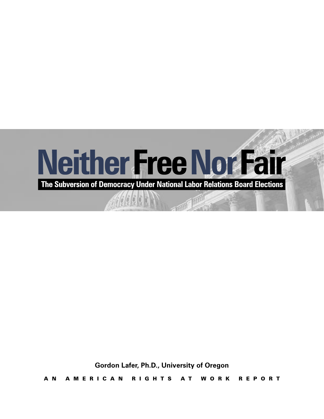

**Gordon Lafer, Ph.D., University of Oregon**

A N A M E R I C A N R I G H T S A T W O R K R E P O R T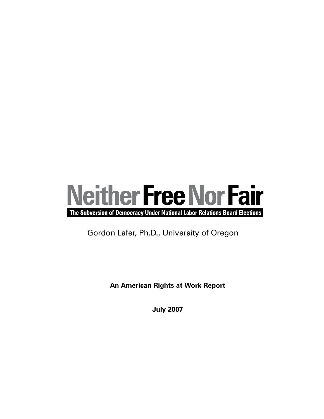

The Subversion of Democracy Under National Labor Relations Board Elections

Gordon Lafer, Ph.D., University of Oregon

**An American Rights at Work Report**

**July 2007**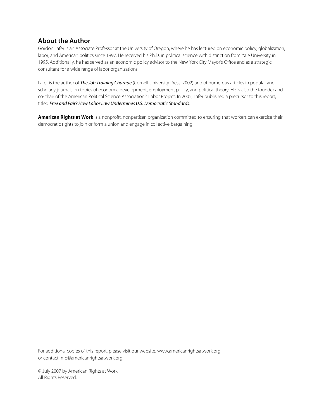## About the Author

Gordon Lafer is an Associate Professor at the University of Oregon, where he has lectured on economic policy, globalization, labor, and American politics since 1997. He received his Ph.D. in political science with distinction from Yale University in 1995. Additionally, he has served as an economic policy advisor to the New York City Mayor's Office and as a strategic consultant for a wide range of labor organizations.

Lafer is the author of The Job Training Charade (Cornell University Press, 2002) and of numerous articles in popular and scholarly journals on topics of economic development, employment policy, and political theory. He is also the founder and co-chair of the American Political Science Association's Labor Project. In 2005, Lafer published a precursor to this report, titled Free and Fair? How Labor Law Undermines U.S. Democratic Standards.

American Rights at Work is a nonprofit, nonpartisan organization committed to ensuring that workers can exercise their democratic rights to join or form a union and engage in collective bargaining.

For additional copies of this report, please visit our website, www.americanrightsatwork.org or contact info@americanrightsatwork.org.

© July 2007 by American Rights at Work. All Rights Reserved.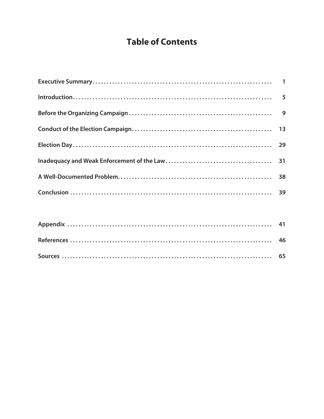# **Table of Contents**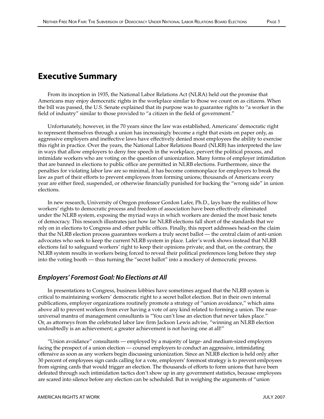# Executive Summary

From its inception in 1935, the National Labor Relations Act (NLRA) held out the promise that Americans may enjoy democratic rights in the workplace similar to those we count on as citizens. When the bill was passed, the U.S. Senate explained that its purpose was to guarantee rights to "a worker in the field of industry" similar to those provided to "a citizen in the field of government."

Unfortunately, however, in the 70 years since the law was established, Americans' democratic right to represent themselves through a union has increasingly become a right that exists on paper only, as aggressive employers and ineffective laws have effectively denied most employees the ability to exercise this right in practice. Over the years, the National Labor Relations Board (NLRB) has interpreted the law in ways that allow employers to deny free speech in the workplace, pervert the political process, and intimidate workers who are voting on the question of unionization. Many forms of employer intimidation that are banned in elections to public office are permitted in NLRB elections. Furthermore, since the penalties for violating labor law are so minimal, it has become commonplace for employers to break the law as part of their efforts to prevent employees from forming unions; thousands of Americans every year are either fired, suspended, or otherwise financially punished for backing the "wrong side" in union elections.

In new research, University of Oregon professor Gordon Lafer, Ph.D., lays bare the realities of how workers' rights to democratic process and freedom of association have been effectively eliminated under the NLRB system, exposing the myriad ways in which workers are denied the most basic tenets of democracy. This research illustrates just how far NLRB elections fall short of the standards that we rely on in elections to Congress and other public offices. Finally, this report addresses head-on the claim that the NLRB election process guarantees workers a truly secret ballot — the central claim of anti-union advocates who seek to keep the current NLRB system in place. Lafer's work shows instead that NLRB elections fail to safeguard workers' right to keep their opinions private; and that, on the contrary, the NLRB system results in workers being forced to reveal their political preferences long before they step into the voting booth — thus turning the "secret ballot" into a mockery of democratic process.

## Employers' Foremost Goal: No Elections at All

In presentations to Congress, business lobbies have sometimes argued that the NLRB system is critical to maintaining workers' democratic right to a secret ballot election. But in their own internal publications, employer organizations routinely promote a strategy of "union avoidance," which aims above all to prevent workers from ever having a vote of any kind related to forming a union. The nearuniversal mantra of management consultants is "You can't lose an election that never takes place." Or, as attorneys from the celebrated labor law firm Jackson Lewis advise, "winning an NLRB election undoubtedly is an achievement; a greater achievement is not having one at all!"

"Union avoidance" consultants — employed by a majority of large- and medium-sized employers facing the prospect of a union election — counsel employers to conduct an aggressive, intimidating offensive as soon as any workers begin discussing unionization. Since an NLRB election is held only after 30 percent of employees sign cards calling for a vote, employers' foremost strategy is to prevent emlpoyees from signing cards that would trigger an election. The thousands of efforts to form unions that have been defeated through such intimidation tactics don't show up in any government statistics, because employees are scared into silence before any election can be scheduled. But in weighing the arguments of "union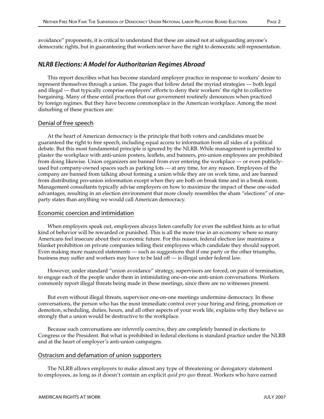avoidance" proponents, it is critical to understand that these are aimed not at safeguarding anyone's democratic rights, but in guaranteeing that workers never have the right to democratic self-representation.

## NLRB Elections: A Model for Authoritarian Regimes Abroad

This report describes what has become standard employer practice in response to workers' desire to represent themselves through a union. The pages that follow detail the myriad strategies — both legal and illegal — that typically comprise employers' efforts to deny their workers' the right to collective bargaining. Many of these entail practices that our government routinely denounces when practiced by foreign regimes. But they have become commonplace in the American workplace. Among the most disturbing of these practices are:

#### Denial of free speech

At the heart of American democracy is the principle that both voters and candidates must be guaranteed the right to free speech, including equal access to information from all sides of a political debate. But this most fundamental principle is ignored by the NLRB. While management is permitted to plaster the workplace with anti-union posters, leaflets, and banners, pro-union employees are prohibited from doing likewise. Union organizers are banned from ever entering the workplace — or even publiclyused but company-owned spaces such as parking lots — at any time, for any reason. Employees of the company are banned from talking about forming a union while they are on work time, and are banned from distributing pro-union information except when they are both on break time and in a break room. Management consultants typically advise employers on how to maximize the impact of these one-sided advantages, resulting in an election environment that more closely resembles the sham "elections" of oneparty states than anything we would call American democracy.

#### Economic coercion and intimidation

When employers speak out, employees always listen carefully for even the subtlest hints as to what kind of behavior will be rewarded or punished. This is all the more true in an economy where so many Americans feel insecure about their economic future. For this reason, federal election law maintains a blanket prohibition on private companies telling their employees which candidate they should support. Even making more nuanced statements — such as suggestions that if one party or the other triumphs, business may suffer and workers may have to be laid off — is illegal under federal law.

However, under standard "union avoidance" strategy, supervisors are forced, on pain of termination, to engage each of the people under them in intimidating one-on-one anti-union conversations. Workers commonly report illegal threats being made in these meetings, since there are no witnesses present.

But even without illegal threats, supervisor one-on-one meetings undermine democracy. In these conversations, the person who has the most immediate control over your hiring and firing, promotion or demotion, scheduling, duties, hours, and all other aspects of your work life, explains why they believe so strongly that a union would be destructive to the workplace.

Because such conversations are *inherently* coercive, they are completely banned in elections to Congress or the President. But what is prohibited in federal elections is standard practice under the NLRB and at the heart of employer's anti-union campaigns.

#### Ostracism and defamation of union supporters

The NLRB allows employers to make almost any type of threatening or derogatory statement to employees, as long as it doesn't contain an explicit *quid pro quo* threat. Workers who have earned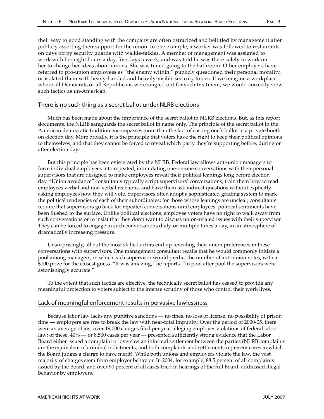their way to good standing with the company are often ostracized and belittled by management after publicly asserting their support for the union. In one example, a worker was followed to restaurants on days off by security guards with walkie-talkies. A member of management was assigned to work with her eight hours a day, five days a week, and was told he was there solely to work on her to change her ideas about unions. She was timed going to the bathroom. Other employers have referred to pro-union employees as "the enemy within," publicly questioned their personal morality, or isolated them with heavy-handed and heavily-visible security forces. If we imagine a workplace where all Democrats or all Republicans were singled out for such treatment, we would correctly view such tactics as un-American.

#### There is no such thing as a secret ballot under NLRB elections

Much has been made about the importance of the secret ballot in NLRB elections. But, as this report documents, the NLRB safeguards the secret ballot in name only. The principle of the secret ballot in the American democratic tradition encompasses more than the fact of casting one's ballot in a private booth on election day. More broadly, it is the principle that voters have the right to keep their political opinions to themselves, and that they cannot be forced to reveal which party they're supporting before, during or after election day.

But this principle has been eviscerated by the NLRB. Federal law allows anti-union managers to force individual employees into repeated, intimidating one-on-one conversations with their personal supervisors that are designed to make employees reveal their political leanings long before election day. "Union avoidance" consultants typically script supervisors' conversations, train them how to read employees verbal and non-verbal reactions, and have them ask indirect questions without explicitly asking employees how they will vote. Supervisors often adopt a sophisticated grading system to mark the political tendencies of each of their subordinates; for those whose leanings are unclear, consultants require that supervisors go back for repeated conversations until employees' political sentiments have been flushed to the surface. Unlike political elections, employee voters have no right to walk away from such conversations or to insist that they don't want to discuss union-related issues with their supervisor. They can be forced to engage in such conversations daily, or multiple times a day, in an atmosphere of dramatically increasing pressure.

Unsurprisingly, all but the most skilled actors end up revealing their union preferences in these conversations with supervisors. One management consultant recalls that he would commonly initiate a pool among managers, in which each supervisor would predict the number of anti-union votes, with a \$100 prize for the closest guess. "It was amazing," he reports. "In pool after pool the supervisors were astonishingly accurate."

To the extent that such tactics are effective, the technically secret ballot has ceased to provide any meaningful protection to voters subject to the intense scrutiny of those who control their work lives.

#### Lack of meaningful enforcement results in pervasive lawlessness

Because labor law lacks any punitive sanctions — no fines, no loss of license, no possibility of prison time — employers are free to break the law with near-total impunity. Over the period of 2000-05, there were an average of just over 19,000 charges filed per year alleging employer violations of federal labor law; of these, 40% — or 8,500 cases per year — presented sufficiently strong evidence that the Labor Board either issued a complaint or oversaw an informal settlement between the parties (NLRB complaints are the equivalent of criminal indictments, and both complaints and settlements represent cases in which the Board judges a charge to have merit). While both unions and employers violate the law, the vast majority of charges stem from employer behavior. In 2004, for example, 88.5 percent of all complaints issued by the Board, and over 90 percent of all cases tried in hearings of the full Board, addressed illegal behavior by employers.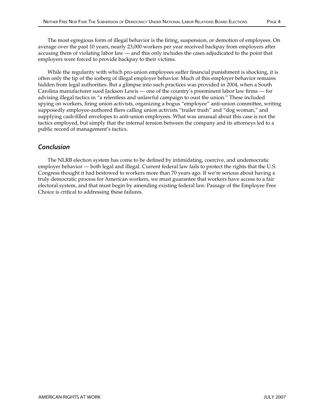The most egregious form of illegal behavior is the firing, suspension, or demotion of employees. On average over the past 10 years, nearly 23,000 workers per year received backpay from employers after accusing them of violating labor law — and this only includes the cases adjudicated to the point that employers were forced to provide backpay to their victims.

While the regularity with which pro-union employees suffer financial punishment is shocking, it is often only the tip of the iceberg of illegal employer behavior. Much of this employer behavior remains hidden from legal authorities. But a glimpse into such practices was provided in 2004, when a South Carolina manufacturer sued Jackson Lewis — one of the country's preeminent labor law firms — for advising illegal tactics in "a relentless and unlawful campaign to oust the union." These included spying on workers, firing union activists, organizing a bogus "employee" anti-union committee, writing supposedly employee-authored fliers calling union activists "trailer trash" and "dog woman," and supplying cash-filled envelopes to anti-union employees. What was unusual about this case is not the tactics employed, but simply that the internal tension between the company and its attorneys led to a public record of management's tactics.

## Conclusion

The NLRB election system has come to be defined by intimidating, coercive, and undemocratic employer behavior — both legal and illegal. Current federal law fails to protect the rights that the U.S. Congress thought it had bestowed to workers more than 70 years ago. If we're serious about having a truly democratic process for American workers, we must guarantee that workers have access to a fair electoral system, and that must begin by amending existing federal law. Passage of the Employee Free Choice is critical to addressing these failures.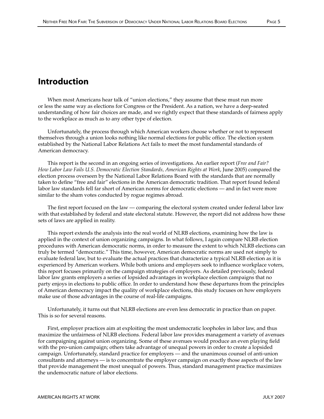# Introduction

When most Americans hear talk of "union elections," they assume that these must run more or less the same way as elections for Congress or the President. As a nation, we have a deep-seated understanding of how fair choices are made, and we rightly expect that these standards of fairness apply to the workplace as much as to any other type of election.

Unfortunately, the process through which American workers choose whether or not to represent themselves through a union looks nothing like normal elections for public office. The election system established by the National Labor Relations Act fails to meet the most fundamental standards of American democracy.

This report is the second in an ongoing series of investigations. An earlier report (*Free and Fair? How Labor Law Fails U.S. Democratic Election Standards, American Rights at Work*, June 2005) compared the election process overseen by the National Labor Relations Board with the standards that are normally taken to define "free and fair" elections in the American democratic tradition. That report found federal labor law standards fell far short of American norms for democratic elections — and in fact were more similar to the sham votes conducted by rogue regimes abroad.

The first report focused on the law — comparing the electoral system created under federal labor law with that established by federal and state electoral statute. However, the report did not address how these sets of laws are applied in reality.

This report extends the analysis into the real world of NLRB elections, examining how the law is applied in the context of union organizing campaigns. In what follows, I again compare NLRB election procedures with American democratic norms, in order to measure the extent to which NLRB elections can truly be termed "democratic." This time, however, American democratic norms are used not simply to evaluate federal law, but to evaluate the actual practices that characterize a typical NLRB election as it is experienced by American workers. While both unions and employers seek to influence workplace voters, this report focuses primarily on the campaign strategies of employers. As detailed previously, federal labor law grants employers a series of lopsided advantages in workplace election campaigns that no party enjoys in elections to public office. In order to understand how these departures from the principles of American democracy impact the quality of workplace elections, this study focuses on how employers make use of those advantages in the course of real-life campaigns.

Unfortunately, it turns out that NLRB elections are even less democratic in practice than on paper. This is so for several reasons.

First, employer practices aim at exploiting the most undemocratic loopholes in labor law, and thus maximize the unfairness of NLRB elections. Federal labor law provides management a variety of avenues for campaigning against union organizing. Some of these avenues would produce an even playing field with the pro-union campaign; others take advantage of unequal powers in order to create a lopsided campaign. Unfortunately, standard practice for employers — and the unanimous counsel of anti-union consultants and attorneys — is to concentrate the employer campaign on exactly those aspects of the law that provide management the most unequal of powers. Thus, standard management practice maximizes the undemocratic nature of labor elections.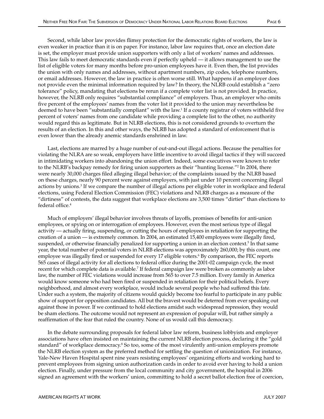Second, while labor law provides flimsy protection for the democratic rights of workers, the law is even weaker in practice than it is on paper. For instance, labor law requires that, once an election date is set, the employer must provide union supporters with only a list of workers' names and addresses. This law fails to meet democratic standards even if perfectly upheld — it allows management to use the list of eligible voters for many months before pro-union employees have it. Even then, the list provides the union with only names and addresses, without apartment numbers, zip codes, telephone numbers, or email addresses. However, the law in practice is often worse still. What happens if an employer does not provide even the minimal information required by law? In theory, the NLRB could establish a "zero tolerance" policy, mandating that elections be rerun if a complete voter list is not provided. In practice, however, the NLRB only requires "substantial compliance" of employers. Thus, an employer who omits five percent of the employees' names from the voter list it provided to the union may nevertheless be deemed to have been "substantially compliant" with the law.1 If a county registrar of voters withheld five percent of voters' names from one candidate while providing a complete list to the other, no authority would regard this as legitimate. But in NLRB elections, this is not considered grounds to overturn the results of an election. In this and other ways, the NLRB has adopted a standard of enforcement that is even lower than the already anemic standards enshrined in law.

Last, elections are marred by a huge number of out-and-out illegal actions. Because the penalties for violating the NLRA are so weak, employers have little incentive to avoid illegal tactics if they will succeed in intimidating workers into abandoning the union effort. Indeed, some executives were known to refer to the NLRB's backpay remedy for firing union supporters as their "hunting license."2 In 2004, there were nearly 30,000 charges filed alleging illegal behavior; of the complaints issued by the NLRB based on these charges, nearly 90 percent were against employers, with just under 10 percent concerning illegal actions by unions.3 If we compare the number of illegal actions per eligible voter in workplace and federal elections, using Federal Election Commission (FEC) violations and NLRB charges as a measure of the "dirtiness" of contests, the data suggest that workplace elections are 3,500 times "dirtier" than elections to federal office.4

Much of employers' illegal behavior involves threats of layoffs, promises of benefits for anti-union employees, or spying on or interrogation of employees. However, even the most serious type of illegal activity — actually firing, suspending, or cutting the hours of employees in retaliation for supporting the creation of a union — is extremely common. In 2004, an estimated 15,400 employees were illegally fired, suspended, or otherwise financially penalized for supporting a union in an election context.<sup>5</sup> In that same year, the total number of potential voters in NLRB elections was approximately 260,000; by this count, one employee was illegally fired or suspended for every 17 eligible voters.<sup>6</sup> By comparison, the FEC reports 565 cases of illegal activity for all elections to federal office during the 2001-02 campaign cycle, the most recent for which complete data is available.7 If federal campaign law were broken as commonly as labor law, the number of FEC violations would increase from 565 to over 7.5 million. Every family in America would know someone who had been fired or suspended in retaliation for their political beliefs. Every neighborhood, and almost every workplace, would include several people who had suffered this fate. Under such a system, the majority of citizens would quickly become too fearful to participate in any public show of support for opposition candidates. All but the bravest would be deterred from ever speaking out against those in power. If we continued to hold elections amidst such widespread repression, they would be sham elections. The outcome would not represent an expression of popular will, but rather simply a reaffirmation of the fear that ruled the country. None of us would call this democracy.

In the debate surrounding proposals for federal labor law reform, business lobbyists and employer associations have often insisted on maintaining the current NLRB election process, declaring it the "gold standard" of workplace democracy.<sup>8</sup> So too, some of the most virulently anti-union employers promote the NLRB election system as the preferred method for settling the question of unionization. For instance, Yale-New Haven Hospital spent nine years resisting employees' organizing efforts and working hard to prevent employees from signing union authorization cards in order to avoid ever having to hold a union election. Finally, under pressure from the local community and city government, the hospital in 2006 signed an agreement with the workers' union, committing to hold a secret ballot election free of coercion,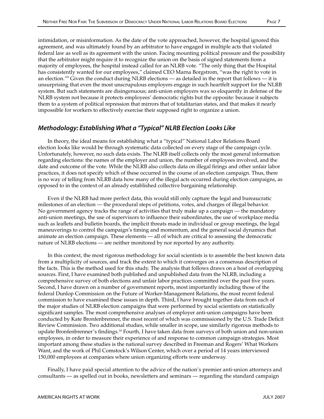intimidation, or misinformation. As the date of the vote approached, however, the hospital ignored this agreement, and was ultimately found by an arbitrator to have engaged in multiple acts that violated federal law as well as its agreement with the union. Facing mounting political pressure and the possibility that the arbitrator might require it to recognize the union on the basis of signed statements from a majority of employees, the hospital instead called for an NLRB vote. "The only thing that the Hospital has consistently wanted for our employees," claimed CEO Marna Borgstrom, "was the right to vote in an election." $9$  Given the conduct during NLRB elections — as detailed in the report that follows — it is unsurprising that even the most unscrupulous employers engage in such heartfelt support for the NLRB system. But such statements are disingenuous; anti-union employers wax so eloquently in defense of the NLRB system not because it protects employees' democratic rights but the opposite: because it subjects them to a system of political repression that mirrors that of totalitarian states, and that makes it nearly impossible for workers to effectively exercise their supposed right to organize a union.

## Methodology: Establishing What a "Typical" NLRB Election Looks Like

In theory, the ideal means for establishing what a "typical" National Labor Relations Board election looks like would be through systematic data collected on every stage of the campaign cycle. Unfortunately, however, no such data exists. The NLRB itself collects only the most general information regarding elections: the names of the employer and union, the number of employees involved, and the date and outcome of the vote. While the NLRB also collects data on illegal firings and other unfair labor practices, it does not specify which of these occurred in the course of an election campaign. Thus, there is no way of telling from NLRB data how many of the illegal acts occurred during election campaigns, as opposed to in the context of an already established collective bargaining relationship.

Even if the NLRB had more perfect data, this would still only capture the legal and bureaucratic milestones of an election — the procedural steps of petitions, votes, and charges of illegal behavior. No government agency tracks the range of activities that truly make up a campaign — the mandatory anti-union meetings, the use of supervisors to influence their subordinates, the use of workplace media such as leaflets and bulletin boards, the implicit threats made in individual or group meetings, the legal maneuverings to control the campaign's timing and momentum, and the general social dynamics that animate an election campaign. These elements — all of which are critical to assessing the democratic nature of NLRB elections — are neither monitored by nor reported by any authority.

In this context, the most rigorous methodology for social scientists is to assemble the best known data from a multiplicity of sources, and track the extent to which it converges on a consensus description of the facts. This is the method used for this study. The analysis that follows draws on a host of overlapping sources. First, I have examined both published and unpublished data from the NLRB, including a comprehensive survey of both elections and unfair labor practices committed over the past five years. Second, I have drawn on a number of government reports, most importantly including those of the federal Dunlop Commission on the Future of Worker-Management Relations, the most recent federal commission to have examined these issues in depth. Third, I have brought together data from each of the major studies of NLRB election campaigns that were performed by social scientists on statistically significant samples. The most comprehensive analyses of employer anti-union campaigns have been conducted by Kate Bronfenbrenner, the most recent of which was commissioned by the U.S. Trade Deficit Review Commission. Two additional studies, while smaller in scope, use similarly rigorous methods to update Bronfenbrenner's findings.10 Fourth, I have taken data from surveys of both union and non-union employees, in order to measure their experience of and response to common campaign strategies. Most important among these studies is the national survey described in Freeman and Rogers' What Workers Want, and the work of Phil Comstock's Wilson Center, which over a period of 14 years interviewed 150,000 employees at companies where union organizing efforts were underway.

Finally, I have paid special attention to the advice of the nation's premier anti-union attorneys and consultants — as spelled out in books, newsletters and seminars — regarding the standard campaign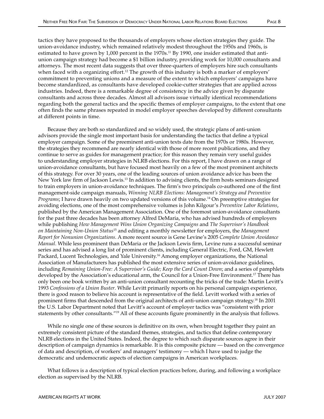tactics they have proposed to the thousands of employers whose election strategies they guide. The union-avoidance industry, which remained relatively modest throughout the 1950s and 1960s, is estimated to have grown by  $1,000$  percent in the 1970s.<sup>11</sup> By 1990, one insider estimated that antiunion campaign strategy had become a \$1 billion industry, providing work for 10,000 consultants and attorneys. The most recent data suggests that over three-quarters of employers hire such consultants when faced with a organizing effort.<sup>12</sup> The growth of this industry is both a marker of employers' commitment to preventing unions and a measure of the extent to which employers' campaigns have become standardized, as consultants have developed cookie-cutter strategies that are applied across industries. Indeed, there is a remarkable degree of consistency in the advice given by disparate consultants and across three decades. Almost all advisors issue virtually identical recommendations regarding both the general tactics and the specific themes of employer campaigns, to the extent that one often finds the same phrases repeated in model employer speeches developed by different consultants at different points in time.

Because they are both so standardized and so widely used, the strategic plans of anti-union advisors provide the single most important basis for understanding the tactics that define a typical employer campaign. Some of the preeminent anti-union texts date from the 1970s or 1980s. However, the strategies they recommend are nearly identical with those of more recent publications, and they continue to serve as guides for management practice; for this reason they remain very useful guides to understanding employer strategies in NLRB elections. For this report, I have drawn on a range of union-avoidance consultants, but have focused most heavily on a few of the most prominent architects of this strategy. For over 30 years, one of the leading sources of union avoidance advice has been the New York law firm of Jackson Lewis.13 In addition to advising clients, the firm hosts seminars designed to train employers in union-avoidance techniques. The firm's two principals co-authored one of the first management-side campaign manuals, *Winning NLRB Elections: Management's Strategy and Preventive Programs*; I have drawn heavily on two updated versions of this volume.14 On preemptive strategies for avoiding elections, one of the most comprehensive volumes is John Kilgour's *Preventive Labor Relations*, published by the American Management Association. One of the foremost union-avoidance consultants for the past three decades has been attorney Alfred DeMaria, who has advised hundreds of employers while publishing *How Management Wins Union Organizing Campaigns* and *The Supervisor's Handbook on Maintaining Non-Union Status*15 and editing a monthly newsletter for employers, the *Management Report for Nonunion Organizations*. A more recent source is Gene Levine's 2005 *Complete Union Avoidance Manual*. While less prominent than DeMaria or the Jackson Lewis firm, Levine runs a successful seminar series and has advised a long list of prominent clients, including General Electric, Ford, GM, Hewlett Packard, Lucent Technologies, and Yale University.16 Among employer organizations, the National Association of Manufacturers has published the most extensive series of union-avoidance guidelines, including *Remaining Union-Free: A Supervisor's Guide; Keep the Card Count Down*; and a series of pamphlets developed by the Association's educational arm, the Council for a Union-Free Environment.<sup>17</sup> There has only been one book written by an anti-union consultant recounting the tricks of the trade: Martin Levitt's 1993 *Confessions of a Union Buster*. While Levitt primarily reports on his personal campaign experience, there is good reason to believe his account is representative of the field. Levitt worked with a series of prominent firms that descended from the original architects of anti-union campaign strategy.18 In 2001 the U.S. Labor Department noted that Levitt's account of employer tactics was "consistent with prior statements by other consultants."19 All of these accounts figure prominently in the analysis that follows.

While no single one of these sources is definitive on its own, when brought together they paint an extremely consistent picture of the standard themes, strategies, and tactics that define contemporary NLRB elections in the United States. Indeed, the degree to which such disparate sources agree in their description of campaign dynamics is remarkable. It is this composite picture — based on the convergence of data and description, of workers' and managers' testimony — which I have used to judge the democratic and undemocratic aspects of election campaigns in American workplaces.

What follows is a description of typical election practices before, during, and following a workplace election as supervised by the NLRB.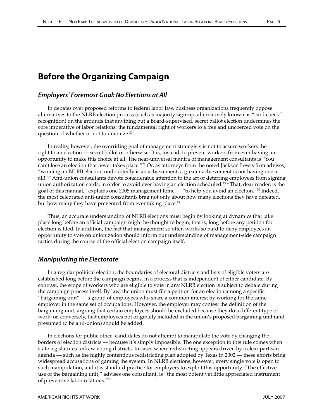# Before the Organizing Campaign

## Employers' Foremost Goal: No Elections at All

In debates over proposed reforms to federal labor law, business organizations frequently oppose alternatives to the NLRB election process (such as majority sign-up, alternatively known as "card check" recognition) on the grounds that anything but a Board-supervised, secret ballot election undermines the core imperative of labor relations: the fundamental right of workers to a free and uncoerced vote on the question of whether or not to unionize.<sup>20</sup>

In reality, however, the overriding goal of management strategists is not to assure workers the right to an election — secret ballot or otherwise. It is, instead, to prevent workers from ever having an opportunity to make this choice at all. The near-universal mantra of management consultants is "You can't lose an election that never takes place."<sup>21</sup> Or, as attorneys from the noted Jackson Lewis firm advises, "winning an NLRB election undoubtedly is an achievement; a greater achievement is not having one at all!"<sup>22</sup> Anti-union consultants devote considerable attention to the art of deterring employees from signing union authorization cards, in order to avoid ever having an election scheduled.<sup>23</sup> "That, dear reader, is the goal of this manual," explains one 2005 management tome — "to help you avoid an election."24 Indeed, the most celebrated anti-union consultants brag not only about how many elections they have defeated, but how many they have prevented from ever taking place.<sup>25</sup>

Thus, an accurate understanding of NLRB elections must begin by looking at dynamics that take place long before an official campaign might be thought to begin, that is, long before any petition for election is filed. In addition, the fact that management so often works so hard to deny employees an opportunity to vote on unionization should inform our understanding of management-side campaign tactics during the course of the official election campaign itself.

## Manipulating the Electorate

In a regular political election, the boundaries of electoral districts and lists of eligible voters are established long before the campaign begins, in a process that is independent of either candidate. By contrast, the scope of workers who are eligible to vote in any NLRB election is subject to debate during the campaign process itself. By law, the union must file a petition for an election among a specific "bargaining unit" — a group of employees who share a common interest by working for the same employer in the same set of occupations. However, the employer may contest the definition of the bargaining unit, arguing that certain employees should be excluded because they do a different type of work; or, conversely, that employees not originally included in the union's proposed bargaining unit (and presumed to be anti-union) should be added.

In elections for public office, candidates do not attempt to manipulate the vote by changing the borders of election districts — because it's simply impossible. The one exception to this rule comes when state legislatures redraw voting districts. In cases where redistricting appears driven by a clear partisan agenda — such as the highly contentious redistricting plan adopted by Texas in 2002 — these efforts bring widespread accusations of gaming the system. In NLRB elections, however, every single vote is open to such manipulation, and it is standard practice for employers to exploit this opportunity. "The effective use of the bargaining unit," advises one consultant, is "the most potent yet little appreciated instrument of preventive labor relations."26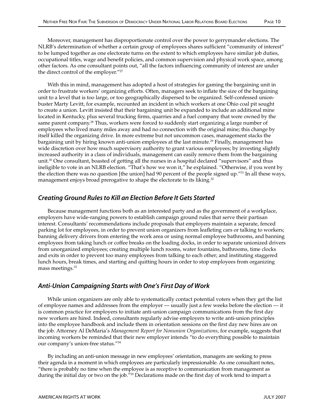Moreover, management has disproportionate control over the power to gerrymander elections. The NLRB's determination of whether a certain group of employees shares sufficient "community of interest" to be lumped together as one electorate turns on the extent to which employees have similar job duties, occupational titles, wage and benefit policies, and common supervision and physical work space, among other factors. As one consultant points out, "all the factors influencing community of interest are under the direct control of the employer."27

With this in mind, management has adopted a host of strategies for gaming the bargaining unit in order to frustrate workers' organizing efforts. Often, managers seek to inflate the size of the bargaining unit to a level that is too large, or too geographically dispersed to be organized. Self-confessed unionbuster Marty Levitt, for example, recounted an incident in which workers at one Ohio coal pit sought to create a union. Levitt insisted that their bargaining unit be expanded to include an additional mine located in Kentucky, plus several trucking firms, quarries and a fuel company that were owned by the same parent company.<sup>28</sup> Thus, workers were forced to suddenly start organizing a large number of employees who lived many miles away and had no connection with the original mine; this change by itself killed the organizing drive. In more extreme but not uncommon cases, management stacks the bargaining unit by hiring known anti-union employees at the last minute.<sup>29</sup> Finally, management has wide discretion over how much supervisory authority to grant various employees; by investing slightly increased authority in a class of individuals, management can easily remove them from the bargaining unit.30 One consultant, boasted of getting all the nurses in a hospital declared "supervisors" and thus ineligible to vote in an NLRB election. "That's how we won it," he explained. "Otherwise, if you went by the election there was no question [the union] had 90 percent of the people signed up."31 In all these ways, management enjoys broad prerogative to shape the electorate to its liking.<sup>32</sup>

## Creating Ground Rules to Kill an Election Before It Gets Started

Because management functions both as an interested party and as the government of a workplace, employers have wide-ranging powers to establish campaign ground rules that serve their partisan interest. Consultants' recommendations include proposals that employers maintain a separate, fenced parking lot for employees, in order to prevent union organizers from leafleting cars or talking to workers; banning delivery drivers from entering the work area or using normal employee bathrooms, and banning employees from taking lunch or coffee breaks on the loading docks, in order to separate unionized drivers from unorganized employees; creating multiple lunch rooms, water fountains, bathrooms, time clocks and exits in order to prevent too many employees from talking to each other; and instituting staggered lunch hours, break times, and starting and quitting hours in order to stop employees from organizing mass meetings.33

## Anti-Union Campaigning Starts with One's First Day of Work

While union organizers are only able to systematically contact potential voters when they get the list of employee names and addresses from the employer — usually just a few weeks before the election — it is common practice for employers to initiate anti-union campaign communications from the first day new workers are hired. Indeed, consultants regularly advise employers to write anti-union principles into the employee handbook and include them in orientation sessions on the first day new hires are on the job. Attorney Al DeMaria's *Management Report for Nonunion Organizations*, for example, suggests that incoming workers be reminded that their new employer intends "to do everything possible to maintain our company's union-free status."34

By including an anti-union message in new employees' orientation, managers are seeking to press their agenda in a moment in which employees are particularly impressionable. As one consultant notes, "there is probably no time when the employee is as receptive to communication from management as during the initial day or two on the job."<sup>35</sup> Declarations made on the first day of work tend to impart a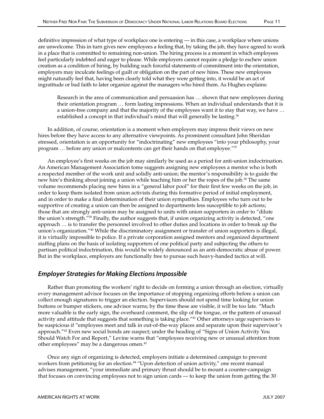definitive impression of what type of workplace one is entering — in this case, a workplace where unions are unwelcome. This in turn gives new employees a feeling that, by taking the job, they have agreed to work in a place that is committed to remaining non-union. The hiring process is a moment in which employees feel particularly indebted and eager to please. While employers cannot require a pledge to eschew union creation as a condition of hiring, by building such forceful statements of commitment into the orientation, employers may inculcate feelings of guilt or obligation on the part of new hires. These new employees might naturally feel that, having been clearly told what they were getting into, it would be an act of ingratitude or bad faith to later organize against the managers who hired them. As Hughes explains:

Research in the area of communication and persuasion has … shown that new employees during their orientation program … form lasting impressions. When an individual understands that it is a union-free company and that the majority of the employees want it to stay that way, we have … established a concept in that individual's mind that will generally be lasting.<sup>36</sup>

In addition, of course, orientation is a moment when employers may impress their views on new hires before they have access to any alternative viewpoints. As prominent consultant John Sheridan stressed, orientation is an opportunity for "indoctrinating" new employees "into your philosophy, your program ... before any union or malcontents can get their hands on that employee."37

An employee's first weeks on the job may similarly be used as a period for anti-union indoctrination. An American Management Association tome suggests assigning new employees a mentor who is both a respected member of the work unit and solidly anti-union; the mentor's responsibility is to guide the new hire's thinking about joining a union while teaching him or her the ropes of the job.<sup>38</sup> The same volume recommends placing new hires in a "general labor pool" for their first few weeks on the job, in order to keep them isolated from union activists during this formative period of initial employment, and in order to make a final determination of their union sympathies. Employees who turn out to be supportive of creating a union can then be assigned to departments less susceptible to job actions; those that are strongly anti-union may be assigned to units with union supporters in order to "dilute the union's strength."<sup>39</sup> Finally, the author suggests that, if union organizing activity is detected, "one approach … is to transfer the personnel involved to other duties and locations in order to break up the union's organization."40 While the discriminatory assignment or transfer of union supporters is illegal, it is virtually impossible to police. If a private corporation assigned mentors and organized department staffing plans on the basis of isolating supporters of one political party and subjecting the others to partisan political indoctrination, this would be widely denounced as an anti-democratic abuse of power. But in the workplace, employers are functionally free to pursue such heavy-handed tactics at will.

## Employer Strategies for Making Elections Impossible

Rather than promoting the workers' right to decide on forming a union through an election, virtually every management advisor focuses on the importance of stopping organizing efforts before a union can collect enough signatures to trigger an election. Supervisors should not spend time looking for union buttons or bumper stickers, one advisor warns; by the time these are visible, it will be too late. "Much more valuable is the early sign, the overheard comment, the slip of the tongue, or the pattern of unusual activity and attitude that suggests that something is taking place."<sup>41</sup> Other attorneys urge supervisors to be suspicious if "employees meet and talk in out-of-the-way places and separate upon their supervisor's approach."42 Even new social bonds are suspect; under the heading of "Signs of Union Activity You Should Watch For and Report," Levine warns that "employees receiving new or unusual attention from other employees" may be a dangerous omen.<sup>43</sup>

Once any sign of organizing is detected, employers initiate a determined campaign to prevent workers from petitioning for an election.<sup>44</sup> "Upon detection of union activity," one recent manual advises management, "your immediate and primary thrust should be to mount a counter-campaign that focuses on convincing employees not to sign union cards — to keep the union from getting the 30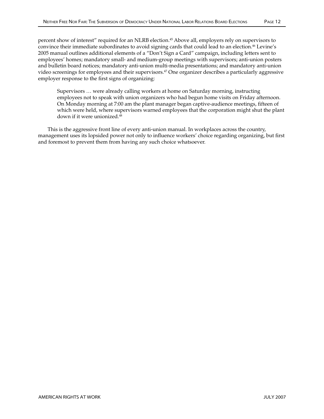percent show of interest" required for an NLRB election.<sup>45</sup> Above all, employers rely on supervisors to convince their immediate subordinates to avoid signing cards that could lead to an election.<sup>46</sup> Levine's 2005 manual outlines additional elements of a "Don't Sign a Card" campaign, including letters sent to employees' homes; mandatory small- and medium-group meetings with supervisors; anti-union posters and bulletin board notices; mandatory anti-union multi-media presentations; and mandatory anti-union video screenings for employees and their supervisors.<sup>47</sup> One organizer describes a particularly aggressive employer response to the first signs of organizing:

Supervisors … were already calling workers at home on Saturday morning, instructing employees not to speak with union organizers who had begun home visits on Friday afternoon. On Monday morning at 7:00 am the plant manager began captive-audience meetings, fifteen of which were held, where supervisors warned employees that the corporation might shut the plant down if it were unionized.<sup>48</sup>

This is the aggressive front line of every anti-union manual. In workplaces across the country, management uses its lopsided power not only to influence workers' choice regarding organizing, but first and foremost to prevent them from having any such choice whatsoever.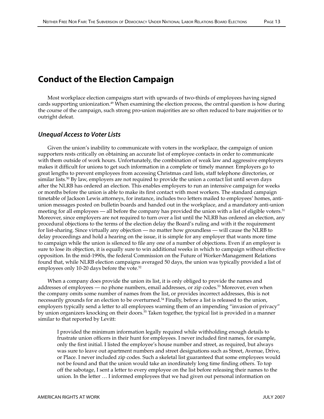# Conduct of the Election Campaign

Most workplace election campaigns start with upwards of two-thirds of employees having signed cards supporting unionization.<sup>49</sup> When examining the election process, the central question is how during the course of the campaign, such strong pro-union majorities are so often reduced to bare majorities or to outright defeat.

## Unequal Access to Voter Lists

Given the union's inability to communicate with voters in the workplace, the campaign of union supporters rests critically on obtaining an accurate list of employee contacts in order to communicate with them outside of work hours. Unfortunately, the combination of weak law and aggressive employers makes it difficult for unions to get such information in a complete or timely manner. Employers go to great lengths to prevent employees from accessing Christmas card lists, staff telephone directories, or similar lists.<sup>50</sup> By law, employers are not required to provide the union a contact list until seven days after the NLRB has ordered an election. This enables employers to run an intensive campaign for weeks or months before the union is able to make its first contact with most workers. The standard campaign timetable of Jackson Lewis attorneys, for instance, includes two letters mailed to employees' homes, antiunion messages posted on bulletin boards and handed out in the workplace, and a mandatory anti-union meeting for all employees — all before the company has provided the union with a list of eligible voters.51 Moreover, since employers are not required to turn over a list until the NLRB has ordered an election, any procedural objections to the terms of the election delay the Board's ruling and with it the requirement for list-sharing. Since virtually any objection — no matter how groundless — will cause the NLRB to delay proceedings and hold a hearing on the issue, it is simple for any employer that wants more time to campaign while the union is silenced to file any one of a number of objections. Even if an employer is sure to lose its objection, it is equally sure to win additional weeks in which to campaign without effective opposition. In the mid-1990s, the federal Commission on the Future of Worker-Management Relations found that, while NLRB election campaigns averaged 50 days, the union was typically provided a list of employees only 10-20 days before the vote.<sup>52</sup>

When a company does provide the union its list, it is only obliged to provide the names and addresses of employees — no phone numbers, email addresses, or zip codes.<sup>53</sup> Moreover, even when the company omits some number of names from the list, or provides incorrect addresses, this is not necessarily grounds for an election to be overturned.<sup>54</sup> Finally, before a list is released to the union, employers typically send a letter to all employees warning them of an impending "invasion of privacy" by union organizers knocking on their doors.<sup>55</sup> Taken together, the typical list is provided in a manner similar to that reported by Levitt:

I provided the minimum information legally required while withholding enough details to frustrate union officers in their hunt for employees. I never included first names, for example, only the first initial. I listed the employee's house number and street, as required, but always was sure to leave out apartment numbers and street designations such as Street, Avenue, Drive, or Place. I never included zip codes. Such a skeletal list guaranteed that some employees would not be found and that the union would take an inordinately long time finding others. To top off the sabotage, I sent a letter to every employee on the list before releasing their names to the union. In the letter … I informed employees that we had given out personal information on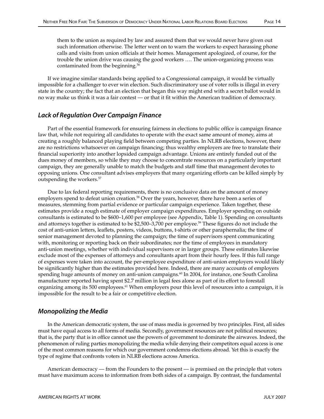them to the union as required by law and assured them that we would never have given out such information otherwise. The letter went on to warn the workers to expect harassing phone calls and visits from union officials at their homes. Management apologized, of course, for the trouble the union drive was causing the good workers …. The union-organizing process was contaminated from the beginning.<sup>56</sup>

If we imagine similar standards being applied to a Congressional campaign, it would be virtually impossible for a challenger to ever win election. Such discriminatory use of voter rolls is illegal in every state in the country; the fact that an election that began this way might end with a secret ballot would in no way make us think it was a fair contest — or that it fit within the American tradition of democracy.

## Lack of Regulation Over Campaign Finance

Part of the essential framework for ensuring fairness in elections to public office is campaign finance law that, while not requiring all candidates to operate with the exact same amount of money, aims at creating a roughly balanced playing field between competing parties. In NLRB elections, however, there are no restrictions whatsoever on campaign financing; thus wealthy employers are free to translate their financial superiority into another lopsided campaign advantage. Unions are entirely funded out of the dues money of members, so while they may choose to concentrate resources on a particularly important campaign, they are generally unable to match the budgets and staff time that management devotes to opposing unions. One consultant advises employers that many organizing efforts can be killed simply by outspending the workers.57

Due to lax federal reporting requirements, there is no conclusive data on the amount of money employers spend to defeat union creation.<sup>58</sup> Over the years, however, there have been a series of measures, stemming from partial evidence or particular campaign experience. Taken together, these estimates provide a rough estimate of employer campaign expenditures. Employer spending on outside consultants is estimated to be \$600–1,600 per employee (see Appendix, Table 1). Spending on consultants and attorneys together is estimated to be \$2,500-3,700 per employee.<sup>59</sup> These figures do not include the cost of anti-union letters, leaflets, posters, videos, buttons, t-shirts or other paraphernalia; the time of senior management devoted to planning the campaign; the time of supervisors spent communicating with, monitoring or reporting back on their subordinates; nor the time of employees in mandatory anti-union meetings, whether with individual supervisors or in larger groups. These estimates likewise exclude most of the expenses of attorneys and consultants apart from their hourly fees. If this full range of expenses were taken into account, the per-employee expenditure of anti-union employers would likely be significantly higher than the estimates provided here. Indeed, there are many accounts of employers spending huge amounts of money on anti-union campaigns.<sup>60</sup> In 2004, for instance, one South Carolina manufacturer reported having spent \$2.7 million in legal fees alone as part of its effort to forestall organizing among its 500 employees.<sup>61</sup> When employers pour this level of resources into a campaign, it is impossible for the result to be a fair or competitive election.

## Monopolizing the Media

In the American democratic system, the use of mass media is governed by two principles. First, all sides must have equal access to all forms of media. Secondly, government resources are not political resources; that is, the party that is in office cannot use the powers of government to dominate the airwaves. Indeed, the phenomenon of ruling parties monopolizing the media while denying their competitors equal access is one of the most common reasons for which our government condemns elections abroad. Yet this is exactly the type of regime that confronts voters in NLRB elections across America.

American democracy — from the Founders to the present — is premised on the principle that voters must have maximum access to information from both sides of a campaign. By contrast, the fundamental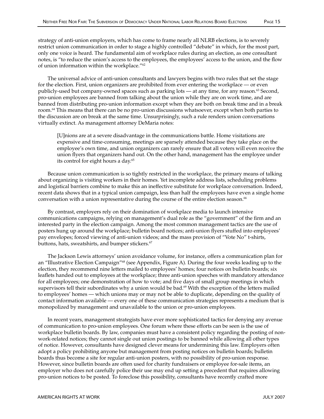strategy of anti-union employers, which has come to frame nearly all NLRB elections, is to severely restrict union communication in order to stage a highly controlled "debate" in which, for the most part, only one voice is heard. The fundamental aim of workplace rules during an election, as one consultant notes, is "to reduce the union's access to the employees, the employees' access to the union, and the flow of union information within the workplace."62

The universal advice of anti-union consultants and lawyers begins with two rules that set the stage for the election. First, union organizers are prohibited from ever entering the workplace — or even publicly-used but company-owned spaces such as parking lots — at any time, for any reason.<sup>63</sup> Second, pro-union employees are banned from talking about the union while they are on work time, and are banned from distributing pro-union information except when they are both on break time and in a break room.64 This means that there can be no pro-union discussions whatsoever, except when both parties to the discussion are on break at the same time. Unsurprisingly, such a rule renders union conversations virtually extinct. As management attorney DeMaria notes:

[U]nions are at a severe disadvantage in the communications battle. Home visitations are expensive and time-consuming, meetings are sparsely attended because they take place on the employee's own time, and union organizers can rarely ensure that all voters will even receive the union flyers that organizers hand out. On the other hand, management has the employee under its control for eight hours a day.<sup>65</sup>

Because union communication is so tightly restricted in the workplace, the primary means of talking about organizing is visiting workers in their homes. Yet incomplete address lists, scheduling problems and logistical barriers combine to make this an ineffective substitute for workplace conversation. Indeed, recent data shows that in a typical union campaign, less than half the employees have even a single home conversation with a union representative during the course of the entire election season.<sup>66</sup>

By contrast, employers rely on their domination of workplace media to launch intensive communications campaigns, relying on management's dual role as the "government" of the firm and an interested party in the election campaign. Among the most common management tactics are the use of posters hung up around the workplace; bulletin board notices; anti-union flyers stuffed into employees' pay envelopes; forced viewing of anti-union videos; and the mass provision of "Vote No" t-shirts, buttons, hats, sweatshirts, and bumper stickers.<sup>67</sup>

The Jackson Lewis attorneys' union avoidance volume, for instance, offers a communication plan for an "Illustrative Election Campaign"<sup>68</sup> (see Appendix, Figure A). During the four weeks leading up to the election, they recommend nine letters mailed to employees' homes; four notices on bulletin boards; six leaflets handed out to employees at the workplace; three anti-union speeches with mandatory attendance for all employees; one demonstration of how to vote; and five days of small group meetings in which supervisors tell their subordinates why a union would be bad.<sup>69</sup> With the exception of the letters mailed to employees' homes — which unions may or may not be able to duplicate, depending on the quality of contact information available — every one of these communication strategies represents a medium that is monopolized by management and unavailable to the union or pro-union employees.

In recent years, management strategists have ever more sophisticated tactics for denying any avenue of communication to pro-union employees. One forum where these efforts can be seen is the use of workplace bulletin boards. By law, companies must have a consistent policy regarding the posting of nonwork-related notices; they cannot single out union postings to be banned while allowing all other types of notice. However, consultants have designed clever means for undermining this law. Employers often adopt a policy prohibiting anyone but management from posting notices on bulletin boards; bulletin boards thus become a site for regular anti-union posters, with no possibility of pro-union response. However, since bulletin boards are often used for charity fundraisers or employee for-sale items, an employer who does not carefully police their use may end up setting a precedent that requires allowing pro-union notices to be posted. To foreclose this possibility, consultants have recently crafted more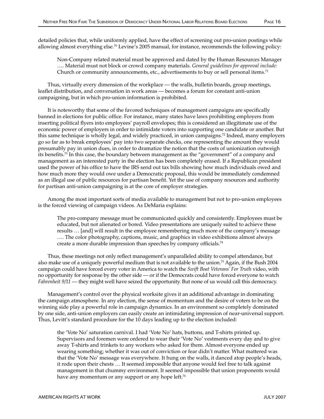detailed policies that, while uniformly applied, have the effect of screening out pro-union postings while allowing almost everything else.70 Levine's 2005 manual, for instance, recommends the following policy:

Non-Company related material must be approved and dated by the Human Resources Manager …. Material must not block or crowd company materials. *General guidelines for approval include:* Church or community announcements, etc., advertisements to buy or sell personal items.<sup>71</sup>

Thus, virtually every dimension of the workplace — the walls, bulletin boards, group meetings, leaflet distribution, and conversation in work areas — becomes a forum for constant anti-union campaigning, but in which pro-union information is prohibited.

It is noteworthy that some of the favored techniques of management campaigns are specifically banned in elections for public office. For instance, many states have laws prohibiting employers from inserting political flyers into employees' payroll envelopes; this is considered an illegitimate use of the economic power of employers in order to intimidate voters into supporting one candidate or another. But this same technique is wholly legal, and widely practiced, in union campaigns.72 Indeed, many employers go so far as to break employees' pay into two separate checks, one representing the amount they would presumably pay in union dues, in order to dramatize the notion that the costs of unionization outweigh its benefits.<sup>73</sup> In this case, the boundary between management as the "government" of a company and management as an interested party in the election has been completely erased. If a Republican president used the power of his office to have the IRS send out tax bills showing how much individuals owed and how much more they would owe under a Democratic proposal, this would be immediately condemned as an illegal use of public resources for partisan benefit. Yet the use of company resources and authority for partisan anti-union campaigning is at the core of employer strategies.

Among the most important sorts of media available to management but not to pro-union employees is the forced viewing of campaign videos. As DeMaria explains:

The pro-company message must be communicated quickly and consistently. Employees must be educated, but not alienated or bored. Video presentations are uniquely suited to achieve these results … [and] will result in the employee remembering much more of the company's message …. The color photography, captions, music, and graphics in video exhibitions almost always create a more durable impression than speeches by company officials.<sup>74</sup>

Thus, these meetings not only reflect management's unparalleled ability to compel attendance, but also make use of a uniquely powerful medium that is not available to the union.75 Again, if the Bush 2004 campaign could have forced every voter in America to watch the *Swift Boat Veterans' For Truth* video, with no opportunity for response by the other side — or if the Democrats could have forced everyone to watch *Fahrenheit 9/11* — they might well have seized the opportunity. But none of us would call this democracy.

Management's control over the physical worksite gives it an additional advantage in dominating the campaign atmosphere. In any election, the sense of momentum and the desire of voters to be on the winning side play a powerful role in campaign dynamics. In an environment so completely dominated by one side, anti-union employers can easily create an intimidating impression of near-universal support. Thus, Levitt's standard procedure for the 10 days leading up to the election included:

the 'Vote No' saturation carnival. I had 'Vote No' hats, buttons, and T-shirts printed up. Supervisors and foremen were ordered to wear their 'Vote No' vestments every day and to give away T-shirts and trinkets to any workers who asked for them. Almost everyone ended up wearing something; whether it was out of conviction or fear didn't matter. What mattered was that the 'Vote No' message was everywhere. It hung on the walls, it danced atop people's heads, it rode upon their chests … It seemed impossible that anyone would feel free to talk against management in that chummy environment. It seemed impossible that union proponents would have any momentum or any support or any hope left.<sup>76</sup>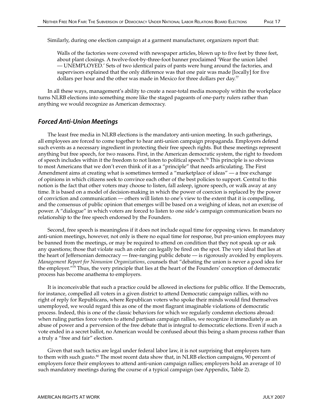Walls of the factories were covered with newspaper articles, blown up to five feet by three feet, about plant closings. A twelve-foot-by-three-foot banner proclaimed 'Wear the union label — UNEMPLOYED.' Sets of two identical pairs of pants were hung around the factories, and supervisors explained that the only difference was that one pair was made [locally] for five dollars per hour and the other was made in Mexico for three dollars per day.<sup>77</sup>

In all these ways, management's ability to create a near-total media monopoly within the workplace turns NLRB elections into something more like the staged pageants of one-party rulers rather than anything we would recognize as American democracy.

## Forced Anti-Union Meetings

The least free media in NLRB elections is the mandatory anti-union meeting. In such gatherings, all employees are forced to come together to hear anti-union campaign propaganda. Employers defend such events as a necessary ingredient in protecting their free speech rights. But these meetings represent anything but free speech, for two reasons. First, in the American democratic system, the right to freedom of speech includes within it the freedom to not listen to political speech.78 This principle is so obvious to most Americans that we don't even think of it as a "principle" that needs articulating. The First Amendment aims at creating what is sometimes termed a "marketplace of ideas" — a free exchange of opinions in which citizens seek to convince each other of the best policies to support. Central to this notion is the fact that other voters may choose to listen, fall asleep, ignore speech, or walk away at any time. It is based on a model of decision-making in which the power of coercion is replaced by the power of conviction and communication — others will listen to one's view to the extent that it is compelling, and the consensus of public opinion that emerges will be based on a weighing of ideas, not an exercise of power. A "dialogue" in which voters are forced to listen to one side's campaign communication bears no relationship to the free speech endorsed by the Founders.

Second, free speech is meaningless if it does not include equal time for opposing views. In mandatory anti-union meetings, however, not only is there no equal time for response, but pro-union employees may be banned from the meetings, or may be required to attend on condition that they not speak up or ask any questions; those that violate such an order can legally be fired on the spot. The very ideal that lies at the heart of Jeffersonian democracy — free-ranging public debate — is rigorously avoided by employers. *Management Report for Nonunion Organizations*, counsels that "debating the union is never a good idea for the employer."79 Thus, the very principle that lies at the heart of the Founders' conception of democratic process has become anathema to employers.

It is inconceivable that such a practice could be allowed in elections for public office. If the Democrats, for instance, compelled all voters in a given district to attend Democratic campaign rallies, with no right of reply for Republicans, where Republican voters who spoke their minds would find themselves unemployed, we would regard this as one of the most flagrant imaginable violations of democratic process. Indeed, this is one of the classic behaviors for which we regularly condemn elections abroad: when ruling parties force voters to attend partisan campaign rallies, we recognize it immediately as an abuse of power and a perversion of the free debate that is integral to democratic elections. Even if such a vote ended in a secret ballot, no American would be confused about this being a sham process rather than a truly a "free and fair" election.

Given that such tactics are legal under federal labor law, it is not surprising that employers turn to them with such gusto.<sup>80</sup> The most recent data show that, in NLRB election campaigns, 90 percent of employers force their employees to attend anti-union campaign rallies; employers hold an average of 10 such mandatory meetings during the course of a typical campaign (see Appendix, Table 2).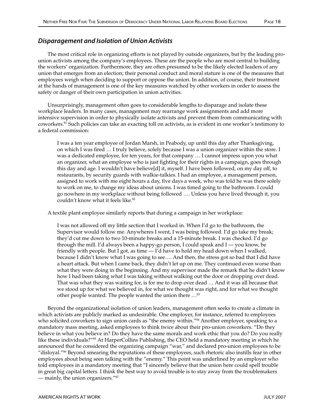## Disparagement and Isolation of Union Activists

The most critical role in organizing efforts is not played by outside organizers, but by the leading prounion activists among the company's employees. These are the people who are most central to building the workers' organization. Furthermore, they are often presumed to be the likely elected leaders of any union that emerges from an election; their personal conduct and moral stature is one of the measures that employees weigh when deciding to support or oppose the union. In addition, of course, their treatment at the hands of management is one of the key measures watched by other workers in order to assess the safety or danger of their own participation in union activities.

Unsurprisingly, management often goes to considerable lengths to disparage and isolate these workplace leaders. In many cases, management may rearrange work assignments and add more intensive supervision in order to physically isolate activists and prevent them from communicating with coworkers.81 Such policies can take an exacting toll on activists, as is evident in one worker's testimony to a federal commission:

I was a ten year employee of Jordan Marsh, in Peabody, up until this day after Thanksgiving, on which I was fired … I truly believe, solely because I was a union organizer within the store. I was a dedicated employee, for ten years, for that company … I cannot impress upon you what an organizer, what an employee who is just fighting for their rights in a campaign, goes through this day and age. I wouldn't have believe[d] it, myself. I have been followed, on my day off, to restaurants, by security guards with walkie-talkies. I had an employee, a management person, assigned to work with me eight hours a day, five days a week, who was told he was there solely to work on me, to change my ideas about unions. I was timed going to the bathroom. I could go nowhere in my workplace without being followed …. Unless you have lived through it, you couldn't know what it feels like.<sup>82</sup>

A textile plant employee similarly reports that during a campaign in her workplace:

I was not allowed off my little section that I worked in. When I'd go to the bathroom, the Supervisor would follow me. Anywheres I went, I was being followed. I'd go take my break; they'd cut me down to two 10-minute breaks and a 15-minute break. I was checked. I'd go through the mill. I'd always been a happy-go person, I could speak and I — you know, be friendly with people. But I got, as time — I'd have to hold my head down when I walked, because I didn't know what I was going to see…. And then, the stress got so bad that I did have a heart attack. But when I came back, they didn't let up on me. They continued even worse than what they were doing in the beginning. And my supervisor made the remark that he didn't know how I had been taking what I was taking without walking out the door or dropping over dead. That was what they was waiting for, is for me to drop over dead … And it was all because that we stood up for what we believed in, for what we thought was right, and for what we thought other people wanted. The people wanted the union there …83

Beyond the organizational isolation of union leaders, management often seeks to create a climate in which activists are publicly marked as undesirable. One employer, for instance, referred to employees who solicited coworkers to sign union cards as "the enemy within."<sup>84</sup> Another employer, speaking to a mandatory mass meeting, asked employees to think twice about their pro-union coworkers. "Do they believe in what you believe in? Do they have the same morals and work ethic that you do? Do you really like these individuals?"<sup>85</sup> At HarperCollins Publishing, the CEO held a mandatory meeting in which he announced that he considered the organizing campaign "war," and declared pro-union employees to be "disloyal."86 Beyond smearing the reputations of these employees, such rhetoric also instills fear in other employees about being seen talking with the "enemy." This point was underlined by an employer who told employees in a mandatory meeting that "I sincerely believe that the union here could spell trouble in great big capital letters. I think the best way to avoid trouble is to stay away from the troublemakers — mainly, the union organizers."87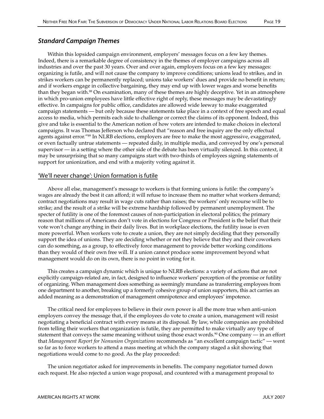## Standard Campaign Themes

Within this lopsided campaign environment, employers' messages focus on a few key themes. Indeed, there is a remarkable degree of consistency in the themes of employer campaigns across all industries and over the past 30 years. Over and over again, employers focus on a few key messages: organizing is futile, and will not cause the company to improve conditions; unions lead to strikes, and in strikes workers can be permanently replaced; unions take workers' dues and provide no benefit in return; and if workers engage in collective bargaining, they may end up with lower wages and worse benefits than they began with.<sup>88</sup> On examination, many of these themes are highly deceptive. Yet in an atmosphere in which pro-union employees have little effective right of reply, these messages may be devastatingly effective. In campaigns for public office, candidates are allowed wide leeway to make exaggerated campaign statements — but only because these statements take place in a context of free speech and equal access to media, which permits each side to challenge or correct the claims of its opponent. Indeed, this give and take is essential to the American notion of how voters are intended to make choices in electoral campaigns. It was Thomas Jefferson who declared that "reason and free inquiry are the only effectual agents against error."<sup>89</sup> In NLRB elections, employers are free to make the most aggressive, exaggerated, or even factually untrue statements — repeated daily, in multiple media, and conveyed by one's personal supervisor — in a setting where the other side of the debate has been virtually silenced. In this context, it may be unsurprising that so many campaigns start with two-thirds of employees signing statements of support for unionization, and end with a majority voting against it.

## 'We'll never change': Union formation is futile

Above all else, management's message to workers is that forming unions is futile: the company's wages are already the best it can afford; it will refuse to increase them no matter what workers demand; contract negotiations may result in wage cuts rather than raises; the workers' only recourse will be to strike; and the result of a strike will be extreme hardship followed by permanent unemployment. The specter of futility is one of the foremost causes of non-participation in electoral politics; the primary reason that millions of Americans don't vote in elections for Congress or President is the belief that their vote won't change anything in their daily lives. But in workplace elections, the futility issue is even more powerful. When workers vote to create a union, they are not simply deciding that they personally support the idea of unions. They are deciding whether or not they believe that they and their coworkers can do something, as a group, to effectively force management to provide better working conditions than they would of their own free will. If a union cannot produce some improvement beyond what management would do on its own, there is no point in voting for it.

This creates a campaign dynamic which is unique to NLRB elections: a variety of actions that are not explicitly campaign-related are, in fact, designed to influence workers' perception of the promise or futility of organizing. When management does something as seemingly mundane as transferring employees from one department to another, breaking up a formerly cohesive group of union supporters, this act carries an added meaning as a demonstration of management omnipotence and employees' impotence.

The critical need for employees to believe in their own power is all the more true when anti-union employers convey the message that, if the employees do vote to create a union, management will resist negotiating a beneficial contract with every means at its disposal. By law, while companies are prohibited from telling their workers that organization is futile, they are permitted to make virtually any type of statement that conveys the same meaning without using those exact words.<sup>90</sup> One company — in an effort that *Management Report for Nonunion Organizations* recommends as "an excellent campaign tactic" — went so far as to force workers to attend a mass meeting at which the company staged a skit showing that negotiations would come to no good. As the play proceeded:

The union negotiator asked for improvements in benefits. The company negotiator turned down each request. He also rejected a union wage proposal, and countered with a management proposal to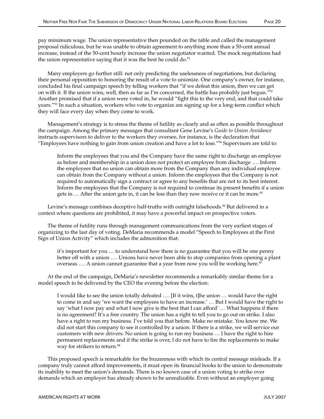pay minimum wage. The union representative then pounded on the table and called the management proposal ridiculous, but he was unable to obtain agreement to anything more than a 50-cent annual increase, instead of the 50-cent hourly increase the union negotiator wanted. The mock negotiations had the union representative saying that it was the best he could do. $91$ 

Many employers go further still: not only predicting the uselessness of negotiations, but declaring their personal opposition to honoring the result of a vote to unionize. One company's owner, for instance, concluded his final campaign speech by telling workers that "if we defeat this union, then we can get on with it. If the union wins, well, then as far as I'm concerned, the battle has probably just begun."<sup>92</sup> Another promised that if a union were voted in, he would "fight this to the very end, and that could take years."93 In such a situation, workers who vote to organize are signing up for a long-term conflict which they will face every day when they come to work.

Management's strategy is to stress the theme of futility as clearly and as often as possible throughout the campaign. Among the primary messages that consultant Gene Levine's *Guide to Union Avoidance* instructs supervisors to deliver to the workers they oversee, for instance, is the declaration that "Employees have nothing to gain from union creation and have a lot to lose."94 Supervisors are told to:

Inform the employees that you and the Company have the same right to discharge an employee as before and membership in a union does not protect an employee from discharge …. Inform the employees that no union can obtain more from the Company than any individual employee can obtain from the Company without a union. Inform the employees that the Company is not required to automatically sign a contract or agree to any benefits that are not to its best interest. Inform the employees that the Company is not required to continue its present benefits if a union gets in  $\ldots$  After the union gets in, it can be less than they now receive or it can be more.<sup>95</sup>

Levine's message combines deceptive half-truths with outright falsehoods.<sup>96</sup> But delivered in a context where questions are prohibited, it may have a powerful impact on prospective voters.

The theme of futility runs through management communications from the very earliest stages of organizing to the last day of voting. DeMaria recommends a model "Speech to Employees at the First Sign of Union Activity" which includes the admonition that:

it's important for you … to understand how there is no guarantee that you will be one penny better off with a union …. Unions have never been able to stop companies from opening a plant overseas .... A union cannot guarantee that a year from now you will be working here.<sup>97</sup>

At the end of the campaign, DeMaria's newsletter recommends a remarkably similar theme for a model speech to be delivered by the CEO the evening before the election:

I would like to see the union totally defeated …. [If it wins, t]he union … would have the right to come in and say 'we want the employees to have an increase.' … But I would have the right to say 'what I now pay and what I now give is the best that I can afford' … What happens if there is no agreement? It's a free country. The union has a right to tell you to go out on strike. I also have a right to run my business. I've told you that before. Make no mistake. You know me. We did not start this company to see it controlled by a union. If there is a strike, we will service our customers with new drivers. No union is going to run my business … I have the right to hire permanent replacements and if the strike is over, I do not have to fire the replacements to make way for strikers to return.<sup>98</sup>

This proposed speech is remarkable for the brazenness with which its central message misleads. If a company truly cannot afford improvements, it must open its financial books to the union to demonstrate its inability to meet the union's demands. There is no known case of a union voting to strike over demands which an employer has already shown to be unrealizable. Even without an employer going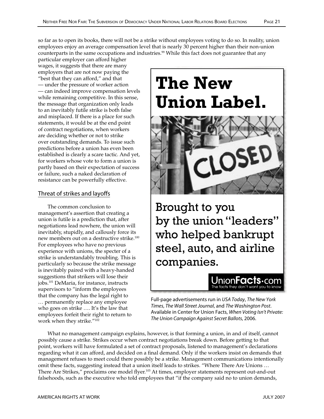counterparts in the same occupations and industries.<sup>99</sup> While this fact does not guarantee that any particular employer can afford higher wages, it suggests that there are many employers that are not now paying the "best that they can afford," and that — under the pressure of worker action — can indeed improve compensation levels while remaining competitive. In this sense, the message that organization only leads to an inevitably futile strike is both false and misplaced. If there is a place for such statements, it would be at the end point of contract negotiations, when workers are deciding whether or not to strike over outstanding demands. To issue such predictions before a union has even been established is clearly a scare tactic. And yet, for workers whose vote to form a union is partly based on their expectation of success or failure, such a naked declaration of resistance can be powerfully effective.

## Threat of strikes and layoffs

The common conclusion to management's assertion that creating a union is futile is a prediction that, after negotiations lead nowhere, the union will inevitably, stupidly, and callously force its new members out on a destructive strike.100 For employees who have no previous experience with unions, the specter of a strike is understandably troubling. This is particularly so because the strike message is inevitably paired with a heavy-handed suggestions that strikers will lose their jobs.101 DeMaria, for instance, instructs supervisors to "inform the employees that the company has the legal right to … permanently replace any employee who goes on strike …. It's the law that employees forfeit their right to return to work when they strike."102

# **The New Union Label.**



Brought to you by the union "leaders" who helped bankrupt steel, auto, and airline companies.

> Jnion**Facts**•com The facts they don't want you to k

**Full-page advertisements run in** *USA Today, The New York***<br>Times, The Wall Street Journal, and The Washington Post** Times, The Wall Street Journal, and The Washington Post. Available in Center for Union Facts, When Voting Isn't Private: The Union Campaign Against Secret Ballots, 2006.

What no management campaign explains, however, is that forming a union, in and of itself, cannot possibly cause a strike. Strikes occur when contract negotiations break down. Before getting to that point, workers will have formulated a set of contract proposals, listened to management's declarations regarding what it can afford, and decided on a final demand. Only if the workers insist on demands that management refuses to meet could there possibly be a strike. Management communications intentionally omit these facts, suggesting instead that a union itself leads to strikes. "Where There Are Unions … There Are Strikes," proclaims one model flyer.<sup>103</sup> At times, employer statements represent out-and-out falsehoods, such as the executive who told employees that "if the company said no to union demands,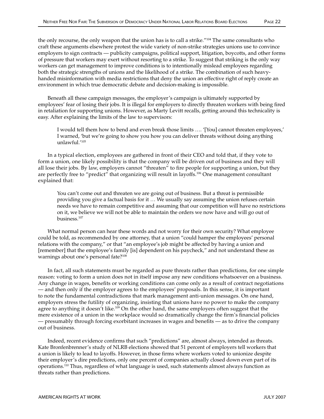the only recourse, the only weapon that the union has is to call a strike."<sup>104</sup> The same consultants who craft these arguments elsewhere protest the wide variety of non-strike strategies unions use to convince employers to sign contracts — publicity campaigns, political support, litigation, boycotts, and other forms of pressure that workers may exert without resorting to a strike. To suggest that striking is the only way workers can get management to improve conditions is to intentionally mislead employees regarding both the strategic strengths of unions and the likelihood of a strike. The combination of such heavyhanded misinformation with media restrictions that deny the union an effective right of reply create an environment in which true democratic debate and decision-making is impossible.

Beneath all these campaign messages, the employer's campaign is ultimately supported by employees' fear of losing their jobs. It is illegal for employers to directly threaten workers with being fired in retaliation for supporting unions. However, as Marty Levitt recalls, getting around this technicality is easy. After explaining the limits of the law to supervisors:

I would tell them how to bend and even break those limits …. '[You] cannot threaten employees,' I warned, 'but we're going to show you how you can deliver threats without doing anything unlawful.'105

In a typical election, employees are gathered in front of their CEO and told that, if they vote to form a union, one likely possibility is that the company will be driven out of business and they will all lose their jobs. By law, employers cannot "threaten" to fire people for supporting a union, but they are perfectly free to "predict" that organizing will result in layoffs.<sup>106</sup> One management consultant explained that:

You can't come out and threaten we are going out of business. But a threat is permissible providing you give a factual basis for it … We usually say assuming the union refuses certain needs we have to remain competitive and assuming that our competition will have no restrictions on it, we believe we will not be able to maintain the orders we now have and will go out of business.107

What normal person can hear these words and not worry for their own security? What employee could be told, as recommended by one attorney, that a union "could hamper the employees' personal relations with the company," or that "an employee's job might be affected by having a union and [remember] that the employee's family [is] dependent on his paycheck," and not understand these as warnings about one's personal fate?<sup>108</sup>

In fact, all such statements must be regarded as pure threats rather than predictions, for one simple reason: voting to form a union does not in itself impose any new conditions whatsoever on a business. Any change in wages, benefits or working conditions can come only as a result of contract negotiations — and then only if the employer agrees to the employees' proposals. In this sense, it is important to note the fundamental contradictions that mark management anti-union messages. On one hand, employers stress the futility of organizing, insisting that unions have no power to make the company agree to anything it doesn't like.<sup>109</sup> On the other hand, the same employers often suggest that the mere existence of a union in the workplace would so dramatically change the firm's financial policies — presumably through forcing exorbitant increases in wages and benefits — as to drive the company out of business.

Indeed, recent evidence confirms that such "predictions" are, almost always, intended as threats. Kate Bronfenbrenner's study of NLRB elections showed that 51 percent of employers tell workers that a union is likely to lead to layoffs. However, in those firms where workers voted to unionize despite their employer's dire predictions, only one percent of companies actually closed down even part of its operations.110 Thus, regardless of what language is used, such statements almost always function as threats rather than predictions.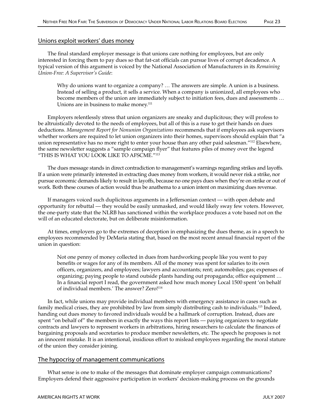### Unions exploit workers' dues money

The final standard employer message is that unions care nothing for employees, but are only interested in forcing them to pay dues so that fat-cat officials can pursue lives of corrupt decadence. A typical version of this argument is voiced by the National Association of Manufacturers in its *Remaining Union-Free: A Supervisor's Guide*:

Why do unions want to organize a company? … The answers are simple. A union is a business. Instead of selling a product, it sells a service. When a company is unionized, all employees who become members of the union are immediately subject to initiation fees, dues and assessments … Unions are in business to make money.<sup>111</sup>

Employers relentlessly stress that union organizers are sneaky and duplicitous; they will profess to be altruistically devoted to the needs of employees, but all of this is a ruse to get their hands on dues deductions. *Management Report for Nonunion Organizations* recommends that if employees ask supervisors whether workers are required to let union organizers into their homes, supervisors should explain that "a union representative has no more right to enter your house than any other paid salesman."112 Elsewhere, the same newsletter suggests a "sample campaign flyer" that features piles of money over the legend "THIS IS WHAT YOU LOOK LIKE TO AFSCME."113

The dues message stands in direct contradiction to management's warnings regarding strikes and layoffs. If a union were primarily interested in extracting dues money from workers, it would never risk a strike, nor pursue economic demands likely to result in layoffs, because no one pays dues when they're on strike or out of work. Both these courses of action would thus be anathema to a union intent on maximizing dues revenue.

If managers voiced such duplicitous arguments in a Jeffersonian context — with open debate and opportunity for rebuttal — they would be easily unmasked, and would likely sway few voters. However, the one-party state that the NLRB has sanctioned within the workplace produces a vote based not on the will of an educated electorate, but on deliberate misinformation.

At times, employers go to the extremes of deception in emphasizing the dues theme, as in a speech to employees recommended by DeMaria stating that, based on the most recent annual financial report of the union in question:

Not one penny of money collected in dues from hardworking people like you went to pay benefits or wages for any of its members. All of the money was spent for salaries to its own officers, organizers, and employees; lawyers and accountants; rent; automobiles; gas; expenses of organizing; paying people to stand outside plants handing out propaganda; office equipment … In a financial report I read, the government asked how much money Local 1500 spent 'on behalf of individual members.' The answer? Zero!<sup>114</sup>

In fact, while unions may provide individual members with emergency assistance in cases such as family medical crises, they are prohibited by law from simply distributing cash to individuals.115 Indeed, handing out dues money to favored individuals would be a hallmark of corruption. Instead, dues are spent "on behalf of" the members in exactly the ways this report lists — paying organizers to negotiate contracts and lawyers to represent workers in arbitrations, hiring researchers to calculate the finances of bargaining proposals and secretaries to produce member newsletters, etc. The speech he proposes is not an innocent mistake. It is an intentional, insidious effort to mislead employees regarding the moral stature of the union they consider joining.

## The hypocrisy of management communications

What sense is one to make of the messages that dominate employer campaign communications? Employers defend their aggressive participation in workers' decision-making process on the grounds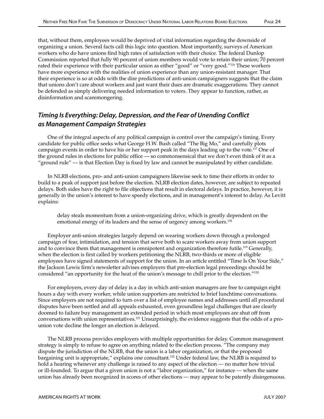that, without them, employees would be deprived of vital information regarding the downside of organizing a union. Several facts call this logic into question. Most importantly, surveys of American workers who do have unions find high rates of satisfaction with their choice. The federal Dunlop Commission reported that fully 90 percent of union members would vote to retain their union; 70 percent rated their experience with their particular union as either "good" or "very good."116 These workers have more experience with the realities of union experience than any union-resistant manager. That their experience is so at odds with the dire predictions of anti-union campaigners suggests that the claim that unions don't care about workers and just want their dues are dramatic exaggerations. They cannot be defended as simply delivering needed information to voters. They appear to function, rather, as disinformation and scaremongering.

## Timing Is Everything: Delay, Depression, and the Fear of Unending Conflict as Management Campaign Strategies

One of the integral aspects of any political campaign is control over the campaign's timing. Every candidate for public office seeks what George H.W. Bush called "The Big Mo," and carefully plots campaign events in order to have his or her support peak in the days leading up to the vote.117 One of the ground rules in elections for public office — so commonsensical that we don't even think of it as a "ground rule" — is that Election Day is fixed by law and cannot be manipulated by either candidate.

In NLRB elections, pro- and anti-union campaigners likewise seek to time their efforts in order to build to a peak of support just before the election. NLRB election dates, however, are subject to repeated delays. Both sides have the right to file objections that result in electoral delays. In practice, however, it is generally in the union's interest to have speedy elections, and in management's interest to delay. As Levitt explains:

delay steals momentum from a union-organizing drive, which is greatly dependent on the emotional energy of its leaders and the sense of urgency among workers.<sup>118</sup>

Employer anti-union strategies largely depend on wearing workers down through a prolonged campaign of fear, intimidation, and tension that serve both to scare workers away from union support and to convince them that management is omnipotent and organization therefore futile.<sup>119</sup> Generally, when the election is first called by workers petitioning the NLRB, two-thirds or more of eligible employees have signed statements of support for the union. In an article entitled "Time Is On Your Side," the Jackson Lewis firm's newsletter advises employers that pre-election legal proceedings should be considered "an opportunity for the heat of the union's message to chill prior to the election."120

For employers, every day of delay is a day in which anti-union managers are free to campaign eight hours a day with every worker, while union supporters are restricted to brief lunchtime conversations. Since employers are not required to turn over a list of employee names and addresses until all procedural disputes have been settled and all appeals exhausted, even groundless legal challenges that are clearly doomed to failure buy management an extended period in which most employees are shut off from conversations with union representatives.121 Unsurprisingly, the evidence suggests that the odds of a prounion vote decline the longer an election is delayed.

The NLRB process provides employers with multiple opportunities for delay. Common management strategy is simply to refuse to agree on anything related to the election process. "The company may dispute the jurisdiction of the NLRB, that the union is a labor organization, or that the proposed bargaining unit is appropriate," explains one consultant.<sup>122</sup> Under federal law, the NLRB is required to hold a hearing whenever any challenge is raised to any aspect of the election — no matter how trivial or ill-founded. To argue that a given union is not a "labor organization," for instance — when the same union has already been recognized in scores of other elections — may appear to be patently disingenuous.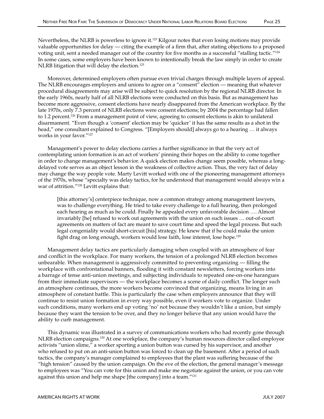Moreover, determined employers often pursue even trivial charges through multiple layers of appeal. The NLRB encourages employers and unions to agree on a "consent" election — meaning that whatever procedural disagreements may arise will be subject to quick resolution by the regional NLRB director. In the early 1960s, nearly half of all NLRB elections were conducted on this basis. But as management has become more aggressive, consent elections have nearly disappeared from the American workplace. By the late 1970s, only 7.3 percent of NLRB elections were consent elections; by 2004 the percentage had fallen to 1.2 percent.<sup>126</sup> From a management point of view, agreeing to consent elections is akin to unilateral disarmament. "Even though a 'consent' election may be 'quicker' it has the same results as a shot in the head," one consultant explained to Congress. "[Employers should] always go to a hearing ... it always works in your favor."127

Management's power to delay elections carries a further significance in that the very act of contemplating union formation is an act of workers' pinning their hopes on the ability to come together in order to change management's behavior. A quick election makes change seem possible, whereas a longdelayed vote serves as an object lesson in the weakness of collective action. Thus, the very fact of delay may change the way people vote. Marty Levitt worked with one of the pioneering management attorneys of the 1970s, whose "specialty was delay tactics, for he understood that management would always win a war of attrition."128 Levitt explains that:

[this attorney's] centerpiece technique, now a common strategy among management lawyers, was to challenge everything. He tried to take every challenge to a full hearing, then prolonged each hearing as much as he could. Finally he appealed every unfavorable decision …. Almost invariably [he] refused to work out agreements with the union on such issues … out-of-court agreements on matters of fact are meant to save court time and speed the legal process. But such legal congeniality would short-circuit [his] strategy. He knew that if he could make the union fight drag on long enough, workers would lose faith, lose interest, lose hope.129

Management delay tactics are particularly damaging when coupled with an atmosphere of fear and conflict in the workplace. For many workers, the tension of a prolonged NLRB election becomes unbearable. When management is aggressively committed to preventing organizing — filling the workplace with confrontational banners, flooding it with constant newsletters, forcing workers into a barrage of tense anti-union meetings, and subjecting individuals to repeated one-on-one harangues from their immediate supervisors — the workplace becomes a scene of daily conflict. The longer such an atmosphere continues, the more workers become convinced that organizing, means living in an atmosphere of constant battle. This is particularly the case when employers announce that they will continue to resist union formation in every way possible, even if workers vote to organize. Under such conditions, many workers end up voting 'no' not because they wouldn't like a union, but simply because they want the tension to be over, and they no longer believe that any union would have the ability to curb management.

This dynamic was illustrated in a survey of communications workers who had recently gone through NLRB election campaigns.<sup>130</sup> At one workplace, the company's human resources director called employee activists "union slime," a worker sporting a union button was cursed by his supervisor, and another who refused to put on an anti-union button was forced to clean up the basement. After a period of such tactics, the company's manager complained to employees that the plant was suffering because of the "high tension" caused by the union campaign. On the eve of the election, the general manager's message to employees was "You can vote for this union and make me negotiate against the union, or you can vote against this union and help me shape [the company] into a team."131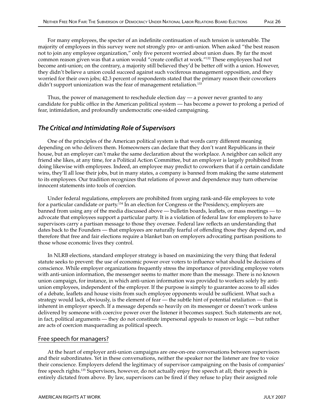For many employees, the specter of an indefinite continuation of such tension is untenable. The majority of employees in this survey were not strongly pro- or anti-union. When asked "the best reason not to join any employee organization," only five percent worried about union dues. By far the most common reason given was that a union would "create conflict at work."132 These employees had not become anti-union; on the contrary, a majority still believed they'd be better off with a union. However, they didn't believe a union could succeed against such vociferous management opposition, and they worried for their own jobs; 42.3 percent of respondents stated that the primary reason their coworkers didn't support unionization was the fear of management retaliation.<sup>133</sup>

Thus, the power of management to reschedule election day — a power never granted to any candidate for public office in the American political system — has become a power to prolong a period of fear, intimidation, and profoundly undemocratic one-sided campaigning.

## The Critical and Intimidating Role of Supervisors

One of the principles of the American political system is that words carry different meaning depending on who delivers them. Homeowners can declare that they don't want Republicans in their house, but an employer can't make the same declaration about the workplace. A neighbor can solicit any friend she likes, at any time, for a Political Action Committee, but an employer is largely prohibited from doing likewise with employees. Indeed, an employee may predict to coworkers that if a certain candidate wins, they'll all lose their jobs, but in many states, a company is banned from making the same statement to its employees. Our tradition recognizes that relations of power and dependence may turn otherwise innocent statements into tools of coercion.

Under federal regulations, employers are prohibited from urging rank-and-file employees to vote for a particular candidate or party.134 In an election for Congress or the Presidency, employers are banned from using any of the media discussed above — bulletin boards, leaflets, or mass meetings — to advocate that employees support a particular party. It is a violation of federal law for employers to have supervisors carry a partisan message to those they oversee. Federal law reflects an understanding that dates back to the Founders — that employees are naturally fearful of offending those they depend on, and therefore that free and fair elections require a blanket ban on employers advocating partisan positions to those whose economic lives they control.

In NLRB elections, standard employer strategy is based on maximizing the very thing that federal statute seeks to prevent: the use of economic power over voters to influence what should be decisions of conscience. While employer organizations frequently stress the importance of providing employee voters with anti-union information, the messenger seems to matter more than the message. There is no known union campaign, for instance, in which anti-union information was provided to workers solely by antiunion employees, independent of the employer. If the purpose is simply to guarantee access to all sides of a debate, leaflets and house visits from such employee opponents would be sufficient. What such a strategy would lack, obviously, is the element of fear — the subtle hint of potential retaliation — that is inherent in employer speech. If a message depends so heavily on its messenger or doesn't work unless delivered by someone with coercive power over the listener it becomes suspect. Such statements are not, in fact, political arguments — they do not constitute impersonal appeals to reason or logic — but rather are acts of coercion masquerading as political speech.

#### Free speech for managers?

At the heart of employer anti-union campaigns are one-on-one conversations between supervisors and their subordinates. Yet in these conversations, neither the speaker nor the listener are free to voice their conscience. Employers defend the legitimacy of supervisor campaigning on the basis of companies' free speech rights.135 Supervisors, however, do not actually enjoy free speech at all; their speech is entirely dictated from above. By law, supervisors can be fired if they refuse to play their assigned role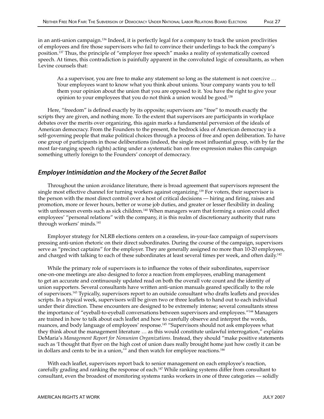in an anti-union campaign.136 Indeed, it is perfectly legal for a company to track the union proclivities of employees and fire those supervisors who fail to convince their underlings to back the company's position.137 Thus, the principle of "employer free speech" masks a reality of systematically coerced speech. At times, this contradiction is painfully apparent in the convoluted logic of consultants, as when Levine counsels that:

As a supervisor, you are free to make any statement so long as the statement is not coercive … Your employees want to know what you think about unions. Your company wants you to tell them your opinion about the union that you are opposed to it. You have the right to give your opinion to your employees that you do not think a union would be good.138

Here, "freedom" is defined exactly by its opposite; supervisors are "free" to mouth exactly the scripts they are given, and nothing more. To the extent that supervisors are participants in workplace debates over the merits over organizing, this again marks a fundamental perversion of the ideals of American democracy. From the Founders to the present, the bedrock idea of American democracy is a self-governing people that make political choices through a process of free and open deliberation. To have one group of participants in those deliberations (indeed, the single most influential group, with by far the most far-ranging speech rights) acting under a systematic ban on free expression makes this campaign something utterly foreign to the Founders' concept of democracy.

## Employer Intimidation and the Mockery of the Secret Ballot

Throughout the union avoidance literature, there is broad agreement that supervisors represent the single most effective channel for turning workers against organizing.<sup>139</sup> For voters, their supervisor is the person with the most direct control over a host of critical decisions — hiring and firing, raises and promotion, more or fewer hours, better or worse job duties, and greater or lesser flexibility in dealing with unforeseen events such as sick children.<sup>140</sup> When managers warn that forming a union could affect employees' "personal relations" with the company, it is this realm of discretionary authority that runs through workers' minds.141

Employer strategy for NLRB elections centers on a ceaseless, in-your-face campaign of supervisors pressing anti-union rhetoric on their direct subordinates. During the course of the campaign, supervisors serve as "precinct captains" for the employer. They are generally assigned no more than 10-20 employees, and charged with talking to each of these subordinates at least several times per week, and often daily.<sup>142</sup>

While the primary role of supervisors is to influence the votes of their subordinates, supervisor one-on-one meetings are also designed to force a reaction from employees, enabling management to get an accurate and continuously updated read on both the overall vote count and the identity of union supporters. Several consultants have written anti-union manuals geared specifically to the role of supervisors.143 Typically, supervisors report to an outside consultant who drafts leaflets and provides scripts. In a typical week, supervisors will be given two or three leaflets to hand out to each individual under their direction. These encounters are designed to be extremely intense; several consultants stress the importance of "eyeball-to-eyeball conversations between supervisors and employees."144 Managers are trained in how to talk about each leaflet and how to carefully observe and interpret the words, nuances, and body language of employees' response.145 "Supervisors should not ask employees what they think about the management literature … as this would constitute unlawful interrogation," explains DeMaria's *Management Report for Nonunion Organizations*. Instead, they should "make positive statements such as 'I thought that flyer on the high cost of union dues really brought home just how costly it can be in dollars and cents to be in a union,"" and then watch for employee reactions.<sup>146</sup>

With each leaflet, supervisors report back to senior management on each employee's reaction, carefully grading and ranking the response of each.<sup>147</sup> While ranking systems differ from consultant to consultant, even the broadest of monitoring systems ranks workers in one of three categories — solidly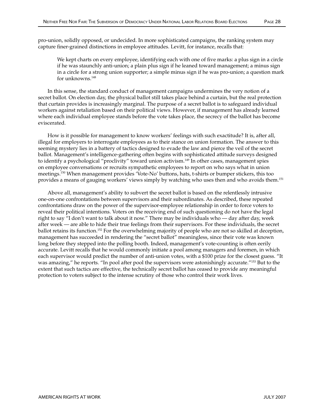pro-union, solidly opposed, or undecided. In more sophisticated campaigns, the ranking system may capture finer-grained distinctions in employee attitudes. Levitt, for instance, recalls that:

We kept charts on every employee, identifying each with one of five marks: a plus sign in a circle if he was staunchly anti-union; a plain plus sign if he leaned toward management; a minus sign in a circle for a strong union supporter; a simple minus sign if he was pro-union; a question mark for unknowns.148

In this sense, the standard conduct of management campaigns undermines the very notion of a secret ballot. On election day, the physical ballot still takes place behind a curtain, but the real protection that curtain provides is increasingly marginal. The purpose of a secret ballot is to safeguard individual workers against retaliation based on their political views. However, if management has already learned where each individual employee stands before the vote takes place, the secrecy of the ballot has become eviscerated.

How is it possible for management to know workers' feelings with such exactitude? It is, after all, illegal for employers to interrogate employees as to their stance on union formation. The answer to this seeming mystery lies in a battery of tactics designed to evade the law and pierce the veil of the secret ballot. Management's intelligence-gathering often begins with sophisticated attitude surveys designed to identify a psychological "proclivity" toward union activism.<sup>149</sup> In other cases, management spies on employee conversations or recruits sympathetic employees to report on who says what in union meetings.150 When management provides 'Vote-No' buttons, hats, t-shirts or bumper stickers, this too provides a means of gauging workers' views simply by watching who uses then and who avoids them.151

Above all, management's ability to subvert the secret ballot is based on the relentlessly intrusive one-on-one confrontations between supervisors and their subordinates. As described, these repeated confrontations draw on the power of the supervisor-employee relationship in order to force voters to reveal their political intentions. Voters on the receiving end of such questioning do not have the legal right to say "I don't want to talk about it now." There may be individuals who — day after day, week after week — are able to hide their true feelings from their supervisors. For these individuals, the secret ballot retains its function.152 For the overwhelming majority of people who are not so skilled at deception, management has succeeded in rendering the "secret ballot" meaningless, since their vote was known long before they stepped into the polling booth. Indeed, management's vote-counting is often eerily accurate. Levitt recalls that he would commonly initiate a pool among managers and foremen, in which each supervisor would predict the number of anti-union votes, with a \$100 prize for the closest guess. "It was amazing," he reports. "In pool after pool the supervisors were astonishingly accurate."<sup>153</sup> But to the extent that such tactics are effective, the technically secret ballot has ceased to provide any meaningful protection to voters subject to the intense scrutiny of those who control their work lives.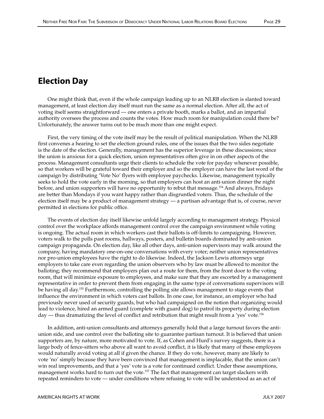# Election Day

One might think that, even if the whole campaign leading up to an NLRB election is slanted toward management, at least election day itself must run the same as a normal election. After all, the act of voting itself seems straightforward — one enters a private booth, marks a ballot, and an impartial authority oversees the process and counts the votes. How much room for manipulation could there be? Unfortunately, the answer turns out to be much more than one might expect.

First, the very timing of the vote itself may be the result of political manipulation. When the NLRB first convenes a hearing to set the election ground rules, one of the issues that the two sides negotiate is the date of the election. Generally, management has the superior leverage in these discussions; since the union is anxious for a quick election, union representatives often give in on other aspects of the process. Management consultants urge their clients to schedule the vote for payday whenever possible, so that workers will be grateful toward their employer and so the employer can have the last word of the campaign by distributing 'Vote No' flyers with employee paychecks. Likewise, management typically seeks to hold the vote early in the morning, so that employers can host an anti-union dinner the night before, and union supporters will have no opportunity to rebut that message.154 And always, Fridays are better than Mondays if you want happy rather than disgruntled voters. Thus, the schedule of the election itself may be a product of management strategy — a partisan advantage that is, of course, never permitted in elections for public office.

The events of election day itself likewise unfold largely according to management strategy. Physical control over the workplace affords management control over the campaign environment while voting is ongoing. The actual room in which workers cast their ballots is off-limits to campaigning. However, voters walk to the polls past rooms, hallways, posters, and bulletin boards dominated by anti-union campaign propaganda. On election day, like all other days, anti-union supervisors may walk around the company, having mandatory one-on-one conversations with every voter; neither union representatives nor pro-union employees have the right to do likewise. Indeed, the Jackson Lewis attorneys urge employers to take care even regarding the union observers who by law must be allowed to monitor the balloting; they recommend that employers plan out a route for them, from the front door to the voting room, that will minimize exposure to employees, and make sure that they are escorted by a management representative in order to prevent them from engaging in the same type of conversations supervisors will be having all day.155 Furthermore, controlling the polling site allows management to stage events that influence the environment in which voters cast ballots. In one case, for instance, an employer who had previously never used of security guards, but who had campaigned on the notion that organizing would lead to violence, hired an armed guard (complete with guard dog) to patrol its property during election day — thus dramatizing the level of conflict and retribution that might result from a 'yes' vote.<sup>156</sup>

In addition, anti-union consultants and attorneys generally hold that a large turnout favors the antiunion side, and use control over the balloting site to guarantee partisan turnout. It is believed that union supporters are, by nature, more motivated to vote. If, as Cohen and Hurd's survey suggests, there is a large body of fence-sitters who above all want to avoid conflict, it is likely that many of these employees would naturally avoid voting at all if given the chance. If they do vote, however, many are likely to vote 'no' simply because they have been convinced that management is implacable, that the union can't win real improvements, and that a 'yes' vote is a vote for continued conflict. Under these assumptions, management works hard to turn out the vote.<sup>157</sup> The fact that management can target slackers with repeated reminders to vote — under conditions where refusing to vote will be understood as an act of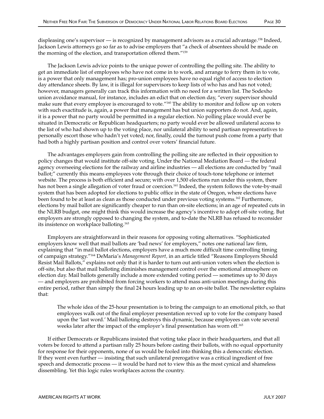The Jackson Lewis advice points to the unique power of controlling the polling site. The ability to get an immediate list of employees who have not come in to work, and arrange to ferry them in to vote, is a power that only management has; pro-union employees have no equal right of access to election day attendance sheets. By law, it is illegal for supervisors to keep lists of who has and has not voted; however, managers generally can track this information with no need for a written list. The Sodexho union avoidance manual, for instance, includes an edict that on election day, "every supervisor should make sure that every employee is encouraged to vote."160 The ability to monitor and follow up on voters with such exactitude is, again, a power that management has but union supporters do not. And, again, it is a power that no party would be permitted in a regular election. No polling place would ever be situated in Democratic or Republican headquarters; no party would ever be allowed unilateral access to the list of who had shown up to the voting place, nor unilateral ability to send partisan representatives to personally escort those who hadn't yet voted; nor, finally, could the turnout push come from a party that had both a highly partisan position and control over voters' financial future.

The advantages employers gain from controlling the polling site are reflected in their opposition to policy changes that would institute off-site voting. Under the National Mediation Board — the federal agency overseeing elections for the railway and airline industries — all elections are conducted by "mail ballot;" currently this means employees vote through their choice of touch-tone telephone or internet website. The process is both efficient and secure; with over 1,500 elections run under this system, there has not been a single allegation of voter fraud or coercion.<sup>161</sup> Indeed, the system follows the vote-by-mail system that has been adopted for elections to public office in the state of Oregon, where elections have been found to be at least as clean as those conducted under previous voting systems.162 Furthermore, elections by mail ballot are significantly cheaper to run than on-site elections; in an age of repeated cuts in the NLRB budget, one might think this would increase the agency's incentive to adopt off-site voting. But employers are strongly opposed to changing the system, and to-date the NLRB has refused to reconsider its insistence on workplace balloting.163

Employers are straightforward in their reasons for opposing voting alternatives. "Sophisticated employers know well that mail ballots are 'bad news' for employers," notes one national law firm, explaining that "in mail ballot elections, employers have a much more difficult time controlling timing of campaign strategy."164 DeMaria's *Management Report,* in an article titled "Reasons Employers Should Resist Mail Ballots," explains not only that it is harder to turn out anti-union voters when the election is off-site, but also that mail balloting diminishes management control over the emotional atmosphere on election day. Mail ballots generally include a more extended voting period — sometimes up to 30 days — and employers are prohibited from forcing workers to attend mass anti-union meetings during this entire period, rather than simply the final 24 hours leading up to an on-site ballot. The newsletter explains that:

The whole idea of the 25-hour presentation is to bring the campaign to an emotional pitch, so that employees walk out of the final employer presentation revved up to vote for the company based upon the 'last word.' Mail balloting destroys this dynamic, because employees can vote several weeks later after the impact of the employer's final presentation has worn off.165

If either Democrats or Republicans insisted that voting take place in their headquarters, and that all voters be forced to attend a partisan rally 25 hours before casting their ballots, with no equal opportunity for response for their opponents, none of us would be fooled into thinking this a democratic election. If they went even further — insisting that such unilateral prerogative was a critical ingredient of free speech and democratic process — it would be hard not to view this as the most cynical and shameless dissembling. Yet this logic rules workplaces across the country.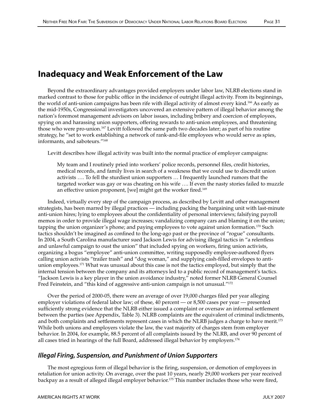# Inadequacy and Weak Enforcement of the Law

Beyond the extraordinary advantages provided employers under labor law, NLRB elections stand in marked contrast to those for public office in the incidence of outright illegal activity. From its beginnings, the world of anti-union campaigns has been rife with illegal activity of almost every kind.<sup>166</sup> As early as the mid-1950s, Congressional investigators uncovered an extensive pattern of illegal behavior among the nation's foremost management advisors on labor issues, including bribery and coercion of employees, spying on and harassing union supporters, offering rewards to anti-union employees, and threatening those who were pro-union.<sup>167</sup> Levitt followed the same path two decades later; as part of his routine strategy, he "set to work establishing a network of rank-and-file employees who would serve as spies, informants, and saboteurs."168

Levitt describes how illegal activity was built into the normal practice of employer campaigns:

My team and I routinely pried into workers' police records, personnel files, credit histories, medical records, and family lives in search of a weakness that we could use to discredit union activists …. To fell the sturdiest union supporters … I frequently launched rumors that the targeted worker was gay or was cheating on his wife …. If even the nasty stories failed to muzzle an effective union proponent, [we] might get the worker fired.<sup>169</sup>

Indeed, virtually every step of the campaign process, as described by Levitt and other management strategists, has been marred by illegal practices — including packing the bargaining unit with last-minute anti-union hires; lying to employees about the confidentiality of personal interviews; falsifying payroll memos in order to provide illegal wage increases; vandalizing company cars and blaming it on the union; tapping the union organizer's phone; and paying employees to vote against union formation.<sup>170</sup> Such tactics shouldn't be imagined as confined to the long-ago past or the province of "rogue" consultants. In 2004, a South Carolina manufacturer sued Jackson Lewis for advising illegal tactics in "a relentless and unlawful campaign to oust the union" that included spying on workers, firing union activists, organizing a bogus "employee" anti-union committee, writing supposedly employee-authored flyers calling union activists "trailer trash" and "dog woman," and supplying cash-filled envelopes to antiunion employees.<sup>171</sup> What was unusual about this case is not the tactics employed, but simply that the internal tension between the company and its attorneys led to a public record of management's tactics. "Jackson Lewis is a key player in the union avoidance industry," noted former NLRB General Counsel Fred Feinstein, and "this kind of aggressive anti-union campaign is not unusual."172

Over the period of 2000-05, there were an average of over 19,000 charges filed per year alleging employer violations of federal labor law; of these, 40 percent — or 8,500 cases per year — presented sufficiently strong evidence that the NLRB either issued a complaint or oversaw an informal settlement between the parties (see Appendix, Table 3). NLRB complaints are the equivalent of criminal indictments, and both complaints and settlements represent cases in which the NLRB judges a charge to have merit.<sup>173</sup> While both unions and employers violate the law, the vast majority of charges stem from employer behavior. In 2004, for example, 88.5 percent of all complaints issued by the NLRB, and over 90 percent of all cases tried in hearings of the full Board, addressed illegal behavior by employers.174

#### Illegal Firing, Suspension, and Punishment of Union Supporters

The most egregious form of illegal behavior is the firing, suspension, or demotion of employees in retaliation for union activity. On average, over the past 10 years, nearly 29,000 workers per year received backpay as a result of alleged illegal employer behavior.<sup>175</sup> This number includes those who were fired,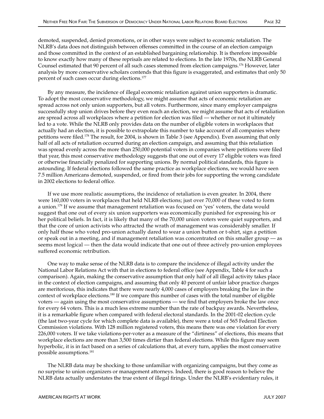demoted, suspended, denied promotions, or in other ways were subject to economic retaliation. The NLRB's data does not distinguish between offenses committed in the course of an election campaign and those committed in the context of an established bargaining relationship. It is therefore impossible to know exactly how many of these reprisals are related to elections. In the late 1970s, the NLRB General Counsel estimated that 90 percent of all such cases stemmed from election campaigns.176 However, later analysis by more conservative scholars contends that this figure is exaggerated, and estimates that only 50 percent of such cases occur during elections.<sup>177</sup>

By any measure, the incidence of illegal economic retaliation against union supporters is dramatic. To adopt the most conservative methodology, we might assume that acts of economic retaliation are spread across not only union supporters, but all voters. Furthermore, since many employer campaigns successfully stop union drives before they even reach an election, we might assume that acts of retaliation are spread across all workplaces where a petition for election was filed — whether or not it ultimately led to a vote. While the NLRB only provides data on the number of eligible voters in workplaces that actually had an election, it is possible to extrapolate this number to take account of all companies where petitions were filed.178 The result, for 2004, is shown in Table 3 (see Appendix). Even assuming that only half of all acts of retaliation occurred during an election campaign, and assuming that this retaliation was spread evenly across the more than 250,000 potential voters in companies where petitions were filed that year, this most conservative methodology suggests that one out of every 17 eligible voters was fired or otherwise financially penalized for supporting unions. By normal political standards, this figure is astounding. If federal elections followed the same practice as workplace elections, we would have seen 7.5 million Americans demoted, suspended, or fired from their jobs for supporting the wrong candidate in 2002 elections to federal office.

If we use more realistic assumptions, the incidence of retaliation is even greater. In 2004, there were 160,000 voters in workplaces that held NLRB elections; just over 70,000 of these voted to form a union.179 If we assume that management retaliation was focused on 'yes' voters, the data would suggest that one out of every six union supporters was economically punished for expressing his or her political beliefs. In fact, it is likely that many of the 70,000 union voters were quiet supporters, and that the core of union activists who attracted the wrath of management was considerably smaller. If only half those who voted pro-union actually dared to wear a union button or t-shirt, sign a petition or speak out in a meeting, and if management retaliation was concentrated on this smaller group — as seems most logical — then the data would indicate that one out of three actively pro-union employees suffered economic retribution.

One way to make sense of the NLRB data is to compare the incidence of illegal activity under the National Labor Relations Act with that in elections to federal office (see Appendix, Table 4 for such a comparison). Again, making the conservative assumption that only half of all illegal activity takes place in the context of election campaigns, and assuming that only 40 percent of unfair labor practice charges are meritorious, this indicates that there were nearly 4,000 cases of employers breaking the law in the context of workplace elections.180 If we compare this number of cases with the total number of eligible voters — again using the most conservative assumptions — we find that employers broke the law once for every 64 voters. This is a much less extreme number than the rate of backpay awards. Nevertheless, it is a remarkable figure when compared with federal electoral standards. In the 2001-02 election cycle (the last two-year cycle for which complete data is available), there were a total of 565 Federal Election Commission violations. With 128 million registered voters, this means there was one violation for every 226,000 voters. If we take violations-per-voter as a measure of the "dirtiness" of elections, this means that workplace elections are more than 3,500 times dirtier than federal elections. While this figure may seem hyperbolic, it is in fact based on a series of calculations that, at every turn, applies the most conservative possible assumptions.181

The NLRB data may be shocking to those unfamiliar with organizing campaigns, but they come as no surprise to union organizers or management attorneys. Indeed, there is good reason to believe the NLRB data actually understates the true extent of illegal firings. Under the NLRB's evidentiary rules, it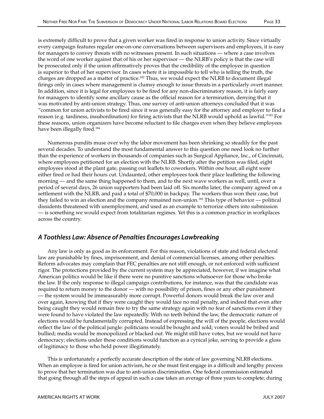is extremely difficult to prove that a given worker was fired in response to union activity. Since virtually every campaign features regular one-on-one conversations between supervisors and employees, it is easy for managers to convey threats with no witnesses present. In such situations — where a case involves the word of one worker against that of his or her supervisor — the NLRB's policy is that the case will be prosecuted only if the union affirmatively proves that the credibility of the employee in question is superior to that of her supervisor. In cases where it is impossible to tell who is telling the truth, the charges are dropped as a matter of practice.<sup>182</sup> Thus, we would expect the NLRB to document illegal firings only in cases where management is clumsy enough to issue threats in a particularly overt manner. In addition, since it is legal for employees to be fired for any non-discriminatory reason, it is fairly easy for managers to identify some ancillary cause as the official reason for a termination, denying that it was motivated by anti-union strategy. Thus, one survey of anti-union attorneys concluded that it was "common for union activists to be fired since it was generally easy for the attorney and employer to find a reason (e.g. tardiness, insubordination) for firing activists that the NLRB would uphold as lawful."183 For these reasons, union organizers have become reluctant to file charges even when they believe employees have been illegally fired.<sup>184</sup>

Numerous pundits muse over why the labor movement has been shrinking so steadily for the past several decades. To understand the most fundamental answer to this question one need look no further than the experience of workers in thousands of companies such as Surgical Appliance, Inc., of Cincinnati, where employees petitioned for an election with the NLRB. Shortly after the petition was filed, eight employees stood at the plant gate, passing out leaflets to coworkers. Within one hour, all eight were either fired or had their hours cut. Undaunted, other employees took their place leafleting the following morning — and the same thing happened to them, and to the next wave workers as well, until, over a period of several days, 26 union supporters had been laid off. Six months later, the company agreed on a settlement with the NLRB, and paid a total of \$70,000 in backpay. The workers thus won their case, but they failed to win an election and the company remained non-union.<sup>185</sup> This type of behavior — political dissidents threatened with unemployment, and used as an example to terrorize others into submission — is something we would expect from totalitarian regimes. Yet this is a common practice in workplaces across the country.

### A Toothless Law: Absence of Penalties Encourages Lawbreaking

Any law is only as good as its enforcement. For this reason, violations of state and federal electoral law are punishable by fines, imprisonment, and denial of commercial licenses, among other penalties. Reform advocates may complain that FEC penalties are not stiff enough, or not enforced with sufficient rigor. The protections provided by the current system may be appreciated, however, if we imagine what American politics would be like if there were no punitive sanctions whatsoever for those who broke the law. If the only response to illegal campaign contributions, for instance, was that the candidate was required to return money to the donor — with no possibility of prison, fines or any other punishment — the system would be immeasurably more corrupt. Powerful donors would break the law over and over again, knowing that if they were caught they would face no real penalty, and indeed that even after being caught they would remain free to try the same strategy again with no fear of sanctions even if they were found to have violated the law repeatedly. With no teeth behind the law, the democratic nature of elections would be fundamentally corrupted. Instead of expressing the will of the people, elections would reflect the law of the political jungle: politicians would be bought and sold; voters would be bribed and bullied; media would be monopolized or blacked out. We might still have votes, but we would not have democracy; elections under these conditions would function as a cynical joke, serving to provide a gloss of legitimacy to those who held power illegitimately.

This is unfortunately a perfectly accurate description of the state of law governing NLRB elections. When an employee is fired for union activism, he or she must first engage in a difficult and lengthy process to prove that her termination was due to anti-union discrimination. One federal commission estimated that going through all the steps of appeal in such a case takes an average of three years to complete; during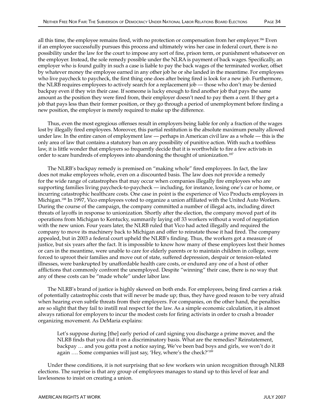all this time, the employee remains fired, with no protection or compensation from her employer.<sup>186</sup> Even if an employee successfully pursues this process and ultimately wins her case in federal court, there is no possibility under the law for the court to impose any sort of fine, prison term, or punishment whatsoever on the employer. Instead, the sole remedy possible under the NLRA is payment of back wages. Specifically, an employer who is found guilty in such a case is liable to pay the back wages of the terminated worker, offset by whatever money the employee earned in any other job he or she landed in the meantime. For employees who live paycheck to paycheck, the first thing one does after being fired is look for a new job. Furthermore, the NLRB requires employees to actively search for a replacement job — those who don't may be denied backpay even if they win their case. If someone is lucky enough to find another job that pays the same amount as the position they were fired from, their employer doesn't need to pay them a cent. If they get a job that pays less than their former position, or they go through a period of unemployment before finding a new position, the employer is merely required to make up the difference.

Thus, even the most egregious offenses result in employers being liable for only a fraction of the wages lost by illegally fired employees. Moreover, this partial restitution is the absolute maximum penalty allowed under law. In the entire canon of employment law — perhaps in American civil law as a whole — this is the only area of law that contains a statutory ban on any possibility of punitive action. With such a toothless law, it is little wonder that employers so frequently decide that it is worthwhile to fire a few activists in order to scare hundreds of employees into abandoning the thought of unionization.187

The NLRB's backpay remedy is premised on "making whole" fired employees. In fact, the law does not make employees whole, even on a discounted basis. The law does not provide a remedy for the wide range of catastrophes that may occur when companies illegally fire employees who are supporting families living paycheck-to-paycheck — including, for instance, losing one's car or home, or incurring catastrophic healthcare costs. One case in point is the experience of Vico Products employees in Michigan.188 In 1997, Vico employees voted to organize a union affiliated with the United Auto Workers. During the course of the campaign, the company committed a number of illegal acts, including direct threats of layoffs in response to unionization. Shortly after the election, the company moved part of its operations from Michigan to Kentucky, summarily laying off 33 workers without a word of negotiation with the new union. Four years later, the NLRB ruled that Vico had acted illegally and required the company to move its machinery back to Michigan and offer to reinstate those it had fired. The company appealed, but in 2003 a federal court upheld the NLRB's finding. Thus, the workers got a measure of justice, but six years after the fact. It is impossible to know how many of these employees lost their homes or cars in the meantime, were unable to care for elderly parents or to maintain children in college, were forced to uproot their families and move out of state, suffered depression, despair or tension-related illnesses, were bankrupted by unaffordable health care costs, or endured any one of a host of other afflictions that commonly confront the unemployed. Despite "winning" their case, there is no way that any of these costs can be "made whole" under labor law.

The NLRB's brand of justice is highly skewed on both ends. For employees, being fired carries a risk of potentially catastrophic costs that will never be made up; thus, they have good reason to be very afraid when hearing even subtle threats from their employers. For companies, on the other hand, the penalties are so slight that they fail to instill real respect for the law. As a simple economic calculation, it is almost always rational for employers to incur the modest costs for firing activists in order to crush a broader organizing movement. As DeMaria explains:

Let's suppose during [the] early period of card signing you discharge a prime mover, and the NLRB finds that you did it on a discriminatory basis. What are the remedies? Reinstatement, backpay … and you gotta post a notice saying, We've been bad boys and girls, we won't do it again .... Some companies will just say, 'Hey, where's the check?'<sup>189</sup>

Under these conditions, it is not surprising that so few workers win union recognition through NLRB elections. The surprise is that any group of employees manages to stand up to this level of fear and lawlessness to insist on creating a union.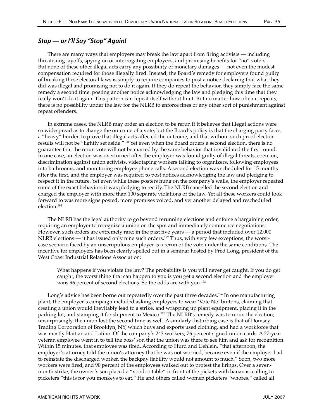### Stop — or I'll Say "Stop" Again!

There are many ways that employers may break the law apart from firing activists — including threatening layoffs, spying on or interrogating employees, and promising benefits for "no" voters. But none of these other illegal acts carry any possibility of monetary damages — not even the modest compensation required for those illegally fired. Instead, the Board's remedy for employers found guilty of breaking these electoral laws is simply to require companies to post a notice declaring that what they did was illegal and promising not to do it again. If they do repeat the behavior, they simply face the same remedy a second time: posting another notice acknowledging the law and pledging this time that they really won't do it again. This pattern can repeat itself without limit. But no matter how often it repeats, there is no possibility under the law for the NLRB to enforce fines or any other sort of punishment against repeat offenders.

In extreme cases, the NLRB may order an election to be rerun if it believes that illegal actions were so widespread as to change the outcome of a vote; but the Board's policy is that the charging party faces a "heavy" burden to prove that illegal acts affected the outcome, and that without such proof election results will not be "lightly set aside."190 Yet even when the Board orders a second election, there is no guarantee that the rerun vote will not be marred by the same behavior that invalidated the first round. In one case, an election was overturned after the employer was found guilty of illegal threats, coercion, discrimination against union activists, videotaping workers talking to organizers, following employees into bathrooms, and monitoring employee phone calls. A second election was scheduled for 15 months after the first, and the employer was required to post notices acknowledging the law and pledging to respect it in the future. Yet even while these posters hung on the company's walls, the employer repeated some of the exact behaviors it was pledging to rectify. The NLRB cancelled the second election and charged the employer with more than 100 separate violations of the law. Yet all these workers could look forward to was more signs posted, more promises voiced, and yet another delayed and rescheduled election.191

The NLRB has the legal authority to go beyond rerunning elections and enforce a bargaining order, requiring an employer to recognize a union on the spot and immediately commence negotiations. However, such orders are extremely rare; in the past five years — a period that included over 12,000 NLRB elections — it has issued only nine such orders.<sup>192</sup> Thus, with very few exceptions, the worstcase scenario faced by an unscrupulous employer is a rerun of the vote under the same conditions. The incentive for employers has been clearly spelled out in a seminar hosted by Fred Long, president of the West Coast Industrial Relations Association:

What happens if you violate the law? The probability is you will never get caught. If you do get caught, the worst thing that can happen to you is you get a second election and the employer wins 96 percent of second elections. So the odds are with you.<sup>193</sup>

Long's advice has been borne out repeatedly over the past three decades.<sup>194</sup> In one manufacturing plant, the employer's campaign included asking employees to wear 'Vote No' buttons, claiming that creating a union would inevitably lead to a strike, and wrapping up plant equipment, placing it in the parking lot, and stamping it for shipment to Mexico.<sup>195</sup> The NLRB's remedy was to rerun the election; unsurprisingly, the union lost the second time as well. A similarly disturbing case is that of Domsey Trading Corporation of Brooklyn, NY, which buys and exports used clothing, and had a workforce that was mostly Haitian and Latino. Of the company's 243 workers, 76 percent signed union cards. A 27-year veteran employee went in to tell the boss' son that the union was there to see him and ask for recognition. Within 15 minutes, that employee was fired. According to Hurd and Uehlein, "that afternoon, the employer's attorney told the union's attorney that he was not worried, because even if the employer had to reinstate the discharged worker, the backpay liability would not amount to much." Soon, two more workers were fired, and 90 percent of the employees walked out to protest the firings. Over a sevenmonth strike, the owner's son placed a "voodoo table" in front of the pickets with bananas, calling to picketers "this is for you monkeys to eat." He and others called women picketers "whores," called all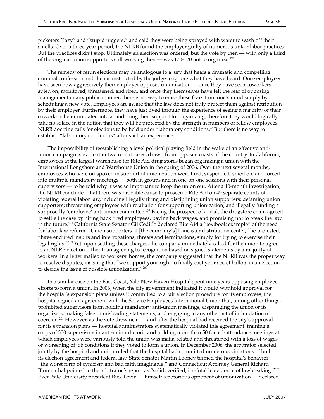picketers "lazy" and "stupid niggers," and said they were being sprayed with water to wash off their smells. Over a three-year period, the NLRB found the employer guilty of numerous unfair labor practices. But the practices didn't stop. Ultimately an election was ordered, but the vote by then — with only a third of the original union supporters still working then — was 170-120 not to organize.196

The remedy of rerun elections may be analogous to a jury that hears a dramatic and compelling criminal confession and then is instructed by the judge to ignore what they have heard. Once employees have seen how aggressively their employer opposes unionization — once they have seen coworkers spied on, monitored, threatened, and fired, and once they themselves have felt the fear of opposing management in any public manner, there is no way to erase these fears from one's mind simply by scheduling a new vote. Employees are aware that the law does not truly protect them against retribution by their employer. Furthermore, they have just lived through the experience of seeing a majority of their coworkers be intimidated into abandoning their support for organizing; therefore they would logically take no solace in the notion that they will be protected by the strength in numbers of fellow employees. NLRB doctrine calls for elections to be held under "laboratory conditions." But there is no way to establish "laboratory conditions" after such an experience.

The impossibility of reestablishing a level political playing field in the wake of an effective antiunion campaign is evident in two recent cases, drawn from opposite coasts of the country. In California, employees at the largest warehouse for Rite Aid drug stores began organizing a union with the International Longshore and Warehouse Union in the spring of 2006. Over the next several months, employees who were outspoken in support of unionization were fired, suspended, spied on, and forced into multiple mandatory meetings — both in groups and in one-on-one sessions with their personal supervisors — to be told why it was so important to keep the union out. After a 10-month investigation, the NLRB concluded that there was probable cause to prosecute Rite Aid on 49 separate counts of violating federal labor law, including illegally firing and disciplining union supporters; defaming union supporters; threatening employees with retaliation for supporting unionization; and illegally funding a supposedly 'employee' anti-union committee.<sup>197</sup> Facing the prospect of a trial, the drugstore chain agreed to settle the case by hiring back fired employees, paying back wages, and promising not to break the law in the future.198 California State Senator Gil Cedillo declared Rite Aid a "textbook example" of the need for labor law reform. "Union supporters at [the company's] Lancaster distribution center," he protested, "have endured insults and interrogations, threats and terminations, simply for trying to exercise their legal rights."<sup>199</sup> Yet, upon settling these charges, the company immediately called for the union to agree to an NLRB election rather than agreeing to recognition based on signed statements by a majority of workers. In a letter mailed to workers' homes, the company suggested that the NLRB was the proper way to resolve disputes, insisting that "we support your right to finally cast your secret ballots in an election to decide the issue of possible unionization."200

In a similar case on the East Coast, Yale-New Haven Hospital spent nine years opposing employee efforts to form a union. In 2006, when the city government indicated it would withhold approval for the hospital's expansion plans unless it committed to a fair election procedure for its employees, the hospital signed an agreement with the Service Employees International Union that, among other things, prohibited supervisors from holding mandatory anti-union meetings, disparaging the union or its organizers, making false or misleading statements, and engaging in any other act of intimidation or coercion.201 However, as the vote drew near — and after the hospital had received the city's approval for its expansion plans — hospital administrators systematically violated this agreement, training a corps of 300 supervisors in anti-union rhetoric and holding more than 50 forced-attendance meetings at which employees were variously told the union was mafia-related and threatened with a loss of wages or worsening of job conditions if they voted to form a union. In December 2006, the arbitrator selected jointly by the hospital and union ruled that the hospital had committed numerous violations of both its election agreement and federal law. State Senator Martin Looney termed the hospital's behavior "the worst form of cynicism and bad faith imaginable," and Connecticut Attorney General Richard Blumenthal pointed to the arbitrator's report as "solid, verified, irrefutable evidence of lawbreaking."202 Even Yale University president Rick Levin — himself a notorious opponent of unionization — declared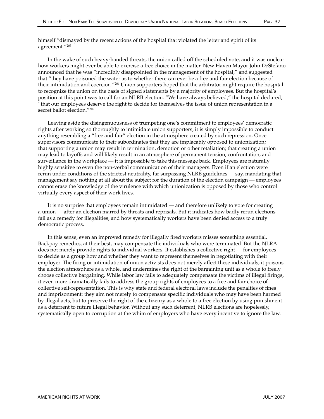In the wake of such heavy-handed threats, the union called off the scheduled vote, and it was unclear how workers might ever be able to exercise a free choice in the matter. New Haven Mayor John DeStefano announced that he was "incredibly disappointed in the management of the hospital," and suggested that "they have poisoned the water as to whether there can ever be a free and fair election because of their intimidation and coercion."204 Union supporters hoped that the arbitrator might require the hospital to recognize the union on the basis of signed statements by a majority of employees. But the hospital's position at this point was to call for an NLRB election. "We have always believed," the hospital declared, "that our employees deserve the right to decide for themselves the issue of union representation in a secret ballot election."205

Leaving aside the disingenuousness of trumpeting one's commitment to employees' democratic rights after working so thoroughly to intimidate union supporters, it is simply impossible to conduct anything resembling a "free and fair" election in the atmosphere created by such repression. Once supervisors communicate to their subordinates that they are implacably opposed to unionization; that supporting a union may result in termination, demotion or other retaliation; that creating a union may lead to layoffs and will likely result in an atmosphere of permanent tension, confrontation, and surveillance in the workplace — it is impossible to take this message back. Employees are naturally highly sensitive to even the non-verbal communication of their managers. Even if an election were rerun under conditions of the strictest neutrality, far surpassing NLRB guidelines — say, mandating that management say nothing at all about the subject for the duration of the election campaign — employees cannot erase the knowledge of the virulence with which unionization is opposed by those who control virtually every aspect of their work lives.

It is no surprise that employees remain intimidated — and therefore unlikely to vote for creating a union — after an election marred by threats and reprisals. But it indicates how badly rerun elections fail as a remedy for illegalities, and how systematically workers have been denied access to a truly democratic process.

In this sense, even an improved remedy for illegally fired workers misses something essential. Backpay remedies, at their best, may compensate the individuals who were terminated. But the NLRA does not merely provide rights to individual workers. It establishes a collective right — for employees to decide as a group how and whether they want to represent themselves in negotiating with their employer. The firing or intimidation of union activists does not merely affect these individuals; it poisons the election atmosphere as a whole, and undermines the right of the bargaining unit as a whole to freely choose collective bargaining. While labor law fails to adequately compensate the victims of illegal firings, it even more dramatically fails to address the group rights of employees to a free and fair choice of collective self-representation. This is why state and federal electoral laws include the penalties of fines and imprisonment: they aim not merely to compensate specific individuals who may have been harmed by illegal acts, but to preserve the right of the citizenry as a whole to a free election by using punishment as a deterrent to future illegal behavior. Without any such deterrent, NLRB elections are hopelessly, systematically open to corruption at the whim of employers who have every incentive to ignore the law.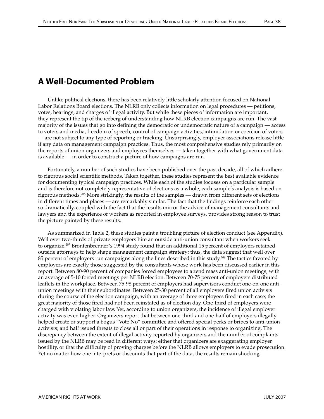# A Well-Documented Problem

Unlike political elections, there has been relatively little scholarly attention focused on National Labor Relations Board elections. The NLRB only collects information on legal procedures — petitions, votes, hearings, and charges of illegal activity. But while these pieces of information are important, they represent the tip of the iceberg of understanding how NLRB election campaigns are run. The vast majority of the issues that go into defining the democratic or undemocratic nature of a campaign — access to voters and media, freedom of speech, control of campaign activities, intimidation or coercion of voters — are not subject to any type of reporting or tracking. Unsurprisingly, employer associations release little if any data on management campaign practices. Thus, the most comprehensive studies rely primarily on the reports of union organizers and employees themselves — taken together with what government data is available — in order to construct a picture of how campaigns are run.

Fortunately, a number of such studies have been published over the past decade, all of which adhere to rigorous social scientific methods. Taken together, these studies represent the best available evidence for documenting typical campaign practices. While each of the studies focuses on a particular sample and is therefore not completely representative of elections as a whole, each sample's analysis is based on rigorous methods.206 More strikingly, the results of the samples — drawn from different sets of elections in different times and places — are remarkably similar. The fact that the findings reinforce each other so dramatically, coupled with the fact that the results mirror the advice of management consultants and lawyers and the experience of workers as reported in employee surveys, provides strong reason to trust the picture painted by these results.

As summarized in Table 2, these studies paint a troubling picture of election conduct (see Appendix). Well over two-thirds of private employers hire an outside anti-union consultant when workers seek to organize.<sup>207</sup> Bronfenbrenner's 1994 study found that an additional 15 percent of employers retained outside attorneys to help shape management campaign strategy; thus, the data suggest that well over 85 percent of employers run campaigns along the lines described in this study.<sup>208</sup> The tactics favored by employers are exactly those suggested by the consultants whose work has been discussed earlier in this report. Between 80-90 percent of companies forced employees to attend mass anti-union meetings, with an average of 5-10 forced meetings per NLRB election. Between 70-75 percent of employers distributed leaflets in the workplace. Between 75-98 percent of employers had supervisors conduct one-on-one antiunion meetings with their subordinates. Between 25-30 percent of all employers fired union activists during the course of the election campaign, with an average of three employees fired in each case; the great majority of those fired had not been reinstated as of election day. One-third of employers were charged with violating labor law. Yet, according to union organizers, the incidence of illegal employer activity was even higher. Organizers report that between one-third and one-half of employers illegally helped create or support a bogus "Vote No" committee and offered special perks or bribes to anti-union activists; and half issued threats to close all or part of their operations in response to organizing. The discrepancy between the extent of illegal activity reported by organizers and the number of complaints issued by the NLRB may be read in different ways: either that organizers are exaggerating employer hostility, or that the difficulty of proving charges before the NLRB allows employers to evade prosecution. Yet no matter how one interprets or discounts that part of the data, the results remain shocking.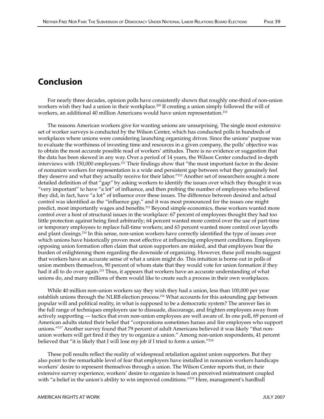## Conclusion

For nearly three decades, opinion polls have consistently shown that roughly one-third of non-union workers wish they had a union in their workplace.<sup>209</sup> If creating a union simply followed the will of workers, an additional 40 million Americans would have union representation.<sup>210</sup>

The reasons American workers give for wanting unions are unsurprising. The single most extensive set of worker surveys is conducted by the Wilson Center, which has conducted polls in hundreds of workplaces where unions were considering launching organizing drives. Since the unions' purpose was to evaluate the worthiness of investing time and resources in a given company, the polls' objective was to obtain the most accurate possible read of workers' attitudes. There is no evidence or suggestion that the data has been skewed in any way. Over a period of 14 years, the Wilson Center conducted in-depth interviews with 150,000 employees.<sup>211</sup> Their findings show that "the most important factor in the desire of nonunion workers for representation is a wide and persistent gap between what they genuinely feel they deserve and what they actually receive for their labor."<sup>212</sup> Another set of researchers sought a more detailed definition of that "gap" by asking workers to identify the issues over which they thought it was "very important" to have "a lot" of influence, and then probing the number of employees who believed they did, in fact, have "a lot" of influence over these issues. The difference between desired and actual control was identified as the "influence gap," and it was most pronounced for the issues one might predict, most importantly wages and benefits.<sup>213</sup> Beyond simple economics, these workers wanted more control over a host of structural issues in the workplace: 67 percent of employees thought they had too little protection against being fired arbitrarily; 64 percent wanted more control over the use of part-time or temporary employees to replace full-time workers; and 63 percent wanted more control over layoffs and plant closings.214 In this sense, non-union workers have correctly identified the type of issues over which unions have historically proven most effective at influencing employment conditions. Employers opposing union formation often claim that union supporters are misled, and that employers bear the burden of enlightening them regarding the downside of organizing. However, these poll results suggest that workers have an accurate sense of what a union might do. This intuition is borne out in polls of union members themselves, 90 percent of whom state that they would vote for union formation if they had it all to do over again.215 Thus, it appears that workers have an accurate understanding of what unions do, and many millions of them would like to create such a process in their own workplaces.

While 40 million non-union workers say they wish they had a union, less than 100,000 per year establish unions through the NLRB election process.<sup>216</sup> What accounts for this astounding gap between popular will and political reality, in what is supposed to be a democratic system? The answer lies in the full range of techniques employers use to dissuade, discourage, and frighten employees away from actively supporting — tactics that even non-union employees are well aware of. In one poll, 69 percent of American adults stated their belief that "corporations sometimes harass and fire employees who support unions."217 Another survey found that 79 percent of adult Americans believed it was likely "that nonunion workers will get fired if they try to organize a union." Among non-union respondents, 41 percent believed that "it is likely that I will lose my job if I tried to form a union."<sup>218</sup>

These poll results reflect the reality of widespread retaliation against union supporters. But they also point to the remarkable level of fear that employers have installed in nonunion workers handicaps workers' desire to represent themselves through a union. The Wilson Center reports that, in their extensive survey experience, workers' desire to organize is based on perceived mistreatment coupled with "a belief in the union's ability to win improved conditions."<sup>219</sup> Here, management's hardball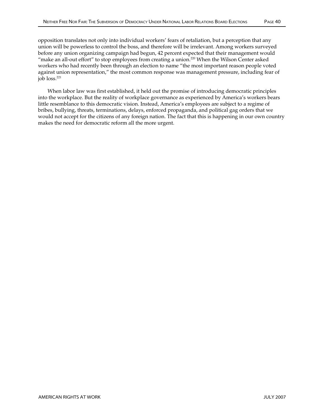opposition translates not only into individual workers' fears of retaliation, but a perception that any union will be powerless to control the boss, and therefore will be irrelevant. Among workers surveyed before any union organizing campaign had begun, 42 percent expected that their management would "make an all-out effort" to stop employees from creating a union.220 When the Wilson Center asked workers who had recently been through an election to name "the most important reason people voted against union representation," the most common response was management pressure, including fear of job loss.221

When labor law was first established, it held out the promise of introducing democratic principles into the workplace. But the reality of workplace governance as experienced by America's workers bears little resemblance to this democratic vision. Instead, America's employees are subject to a regime of bribes, bullying, threats, terminations, delays, enforced propaganda, and political gag orders that we would not accept for the citizens of any foreign nation. The fact that this is happening in our own country makes the need for democratic reform all the more urgent.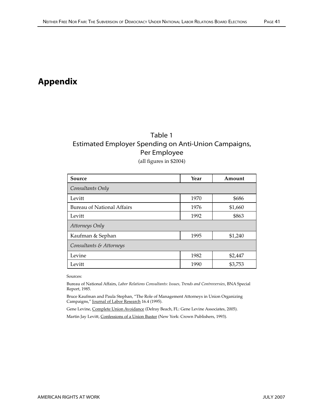# Appendix

## Table 1 Estimated Employer Spending on Anti-Union Campaigns, Per Employee

(all figures in \$2004)

| Source                            | Year | Amount  |  |  |
|-----------------------------------|------|---------|--|--|
| Consultants Only                  |      |         |  |  |
| Levitt                            | 1970 | \$686   |  |  |
| <b>Bureau of National Affairs</b> | 1976 | \$1,660 |  |  |
| Levitt                            | 1992 | \$863   |  |  |
| Attorneys Only                    |      |         |  |  |
| Kaufman & Sephan                  | 1995 | \$1,240 |  |  |
| Consultants & Attorneys           |      |         |  |  |
| Levine                            | 1982 | \$2,447 |  |  |
| Levitt                            | 1990 | \$3,753 |  |  |

Sources:

Bureau of National Affairs, *Labor Relations Consultants: Issues, Trends and Controversies*, BNA Special Report, 1985.

Bruce Kaufman and Paula Stephan, "The Role of Management Attorneys in Union Organizing Campaigns," Journal of Labor Research 16.4 (1995).

Gene Levine, Complete Union Avoidance (Delray Beach, FL: Gene Levine Associates, 2005).

Martin Jay Levitt, Confessions of a Union Buster (New York: Crown Publishers, 1993).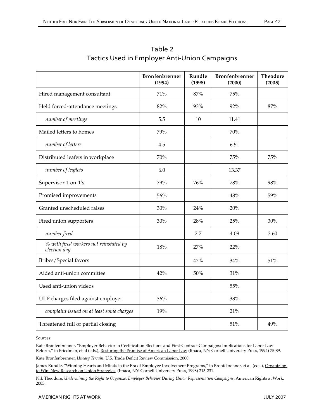|                                                        | <b>Bronfenbrenner</b><br>(1994) | Rundle<br>(1998) | <b>Bronfenbrenner</b><br>(2000) | <b>Theodore</b><br>(2005) |
|--------------------------------------------------------|---------------------------------|------------------|---------------------------------|---------------------------|
| Hired management consultant                            | 71%                             | 87%              | 75%                             |                           |
| Held forced-attendance meetings                        | 82%                             | 93%              | 92%                             | 87%                       |
| number of meetings                                     | 5.5                             | 10               | 11.41                           |                           |
| Mailed letters to homes                                | 79%                             |                  | 70%                             |                           |
| number of letters                                      | 4.5                             |                  | 6.51                            |                           |
| Distributed leafets in workplace                       | 70%                             |                  | 75%                             | 75%                       |
| number of leaflets                                     | 6.0                             |                  | 13.37                           |                           |
| Supervisor 1-on-1's                                    | 79%                             | 76%              | 78%                             | 98%                       |
| Promised improvements                                  | 56%                             |                  | 48%                             | 59%                       |
| Granted unscheduled raises                             | 30%                             | 24%              | 20%                             |                           |
| Fired union supporters                                 | 30%                             | 28%              | 25%                             | 30%                       |
| number fired                                           |                                 | 2.7              | 4.09                            | 3.60                      |
| % with fired workers not reinstated by<br>election day | 18%                             | 27%              | 22%                             |                           |
| Bribes/Special favors                                  |                                 | 42%              | 34%                             | 51%                       |
| Aided anti-union committee                             | 42%                             | 50%              | 31%                             |                           |
| Used anti-union videos                                 |                                 |                  | 55%                             |                           |
| ULP charges filed against employer                     | 36%                             |                  | 33%                             |                           |
| complaint issued on at least some charges              | 19%                             |                  | 21%                             |                           |
| Threatened full or partial closing                     |                                 |                  | 51%                             | 49%                       |

## Table 2 Tactics Used in Employer Anti-Union Campaigns

Sources:

Kate Bronfenbrenner, "Employer Behavior in Certification Elections and First-Contract Campaigns: Implications for Labor Law Reform," in Friedman, et al (eds.), Restoring the Promise of American Labor Law (Ithaca, NY: Cornell University Press, 1994) 75-89.

Kate Bronfenbrenner, *Uneasy Terrain*, U.S. Trade Deficit Review Commission, 2000.

James Rundle, "Winning Hearts and Minds in the Era of Employee Involvement Programs," in Bronfebrenner, et al. (eds.), Organizing to Win: New Research on Union Strategies, (Ithaca, NY: Cornell University Press, 1998) 213-231.

Nik Theodore, *Undermining the Right to Organize: Employer Behavior During Union Representation Campaigns*, American Rights at Work, 2005.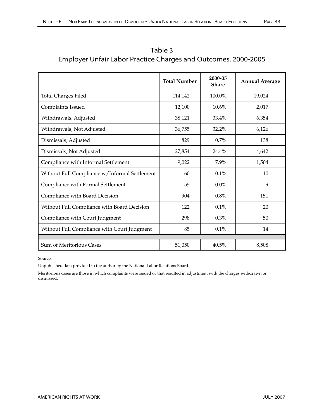|                                               | <b>Total Number</b> | 2000-05<br><b>Share</b> | <b>Annual Average</b> |
|-----------------------------------------------|---------------------|-------------------------|-----------------------|
| <b>Total Charges Filed</b>                    | 114,142             | 100.0%                  | 19,024                |
| Complaints Issued                             | 12,100              | 10.6%                   | 2,017                 |
| Withdrawals, Adjusted                         | 38,121              | 33.4%                   | 6,354                 |
| Withdrawals, Not Adjusted                     | 36,755              | 32.2%                   | 6,126                 |
| Dismissals, Adjusted                          | 829                 | 0.7%                    | 138                   |
| Dismissals, Not Adjusted                      | 27,854              | 24.4%                   | 4,642                 |
| Compliance with Informal Settlement           | 9,022               | 7.9%                    | 1,504                 |
| Without Full Compliance w/Informal Settlement | 60                  | 0.1%                    | 10                    |
| Compliance with Formal Settlement             | 55                  | $0.0\%$                 | 9                     |
| Compliance with Board Decision                | 904                 | 0.8%                    | 151                   |
| Without Full Compliance with Board Decision   | 122                 | 0.1%                    | 20                    |
| Compliance with Court Judgment                | 298                 | 0.3%                    | 50                    |
| Without Full Compliance with Court Judgment   | 85                  | 0.1%                    | 14                    |
|                                               |                     |                         |                       |
| Sum of Meritorious Cases                      | 51,050              | 40.5%                   | 8,508                 |

Table 3 Employer Unfair Labor Practice Charges and Outcomes, 2000-2005

Source:

Unpublished data provided to the author by the National Labor Relations Board.

Meritorious cases are those in which complaints were issued or that resulted in adjustment with the charges withdrawn or dismissed.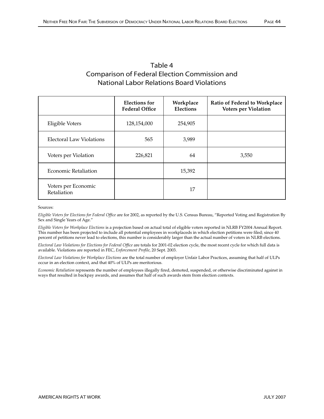| I<br>ı<br>. . |  |
|---------------|--|
|---------------|--|

| Table 4                                              |
|------------------------------------------------------|
| <b>Comparison of Federal Election Commission and</b> |
| <b>National Labor Relations Board Violations</b>     |

|                                    | <b>Elections for</b><br><b>Federal Office</b> | Workplace<br>Elections | Ratio of Federal to Workplace<br>Voters per Violation |
|------------------------------------|-----------------------------------------------|------------------------|-------------------------------------------------------|
| Eligible Voters                    | 128,154,000                                   | 254,905                |                                                       |
| Electoral Law Violations           | 565                                           | 3,989                  |                                                       |
| Voters per Violation               | 226,821                                       | 64                     | 3,550                                                 |
| <b>Economic Retaliation</b>        |                                               | 15,392                 |                                                       |
| Voters per Economic<br>Retaliation |                                               | 17                     |                                                       |

Sources:

*Eligible Voters for Elections for Federal Office* are for 2002, as reported by the U.S. Census Bureau, "Reported Voting and Registration By Sex and Single Years of Age."

*Eligible Voters for Workplace Elections* is a projection based on actual total of eligible voters reported in NLRB FY2004 Annual Report. This number has been projected to include all potential employees in workplaceds in which election petitions were filed; since 40 percent of petitions never lead to elections, this number is considerably larger than the actual number of voters in NLRB elections.

*Electoral Law Violations for Elections for Federal Office* are totals for 2001-02 election cycle, the most recent cycle for which full data is available. Violations are reported in FEC, *Enforcement Profile*, 20 Sept. 2003.

*Electoral Law Violations for Workplace Elections* are the total number of employer Unfair Labor Practices, assuming that half of ULPs occur in an election context, and that 40% of ULPs are meritorious.

*Economic Retaliation* represents the number of employees illegally fired, demoted, suspended, or otherwise discriminated against in ways that resulted in backpay awards, and assumes that half of such awards stem from election contexts.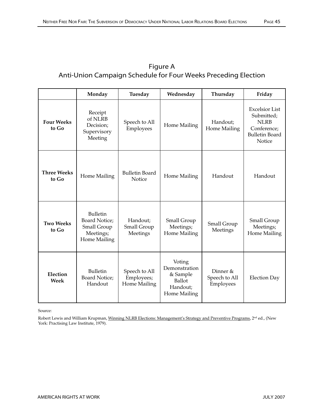| Figure A                                                       |
|----------------------------------------------------------------|
| Anti-Union Campaign Schedule for Four Weeks Preceding Election |

|                             | Monday                                                                              | Tuesday                                     | Wednesday                                                                 | Thursday                               | Friday                                                                                               |
|-----------------------------|-------------------------------------------------------------------------------------|---------------------------------------------|---------------------------------------------------------------------------|----------------------------------------|------------------------------------------------------------------------------------------------------|
| <b>Four Weeks</b><br>to Go  | Receipt<br>of NLRB<br>Decision;<br>Supervisory<br>Meeting                           | Speech to All<br>Employees                  | Home Mailing                                                              | Handout;<br>Home Mailing               | <b>Excelsior List</b><br>Submitted;<br><b>NLRB</b><br>Conference;<br><b>Bulletin Board</b><br>Notice |
| <b>Three Weeks</b><br>to Go | Home Mailing                                                                        | <b>Bulletin Board</b><br>Notice             | Home Mailing                                                              | Handout                                | Handout                                                                                              |
| <b>Two Weeks</b><br>to Go   | <b>Bulletin</b><br><b>Board Notice;</b><br>Small Group<br>Meetings;<br>Home Mailing | Handout;<br>Small Group<br>Meetings         | Small Group<br>Meetings;<br>Home Mailing                                  | Small Group<br>Meetings                | Small Group<br>Meetings;<br>Home Mailing                                                             |
| Election<br><b>Week</b>     | <b>Bulletin</b><br><b>Board Notice;</b><br>Handout                                  | Speech to All<br>Employees;<br>Home Mailing | Voting<br>Demonstration<br>& Sample<br>Ballot<br>Handout;<br>Home Mailing | Dinner &<br>Speech to All<br>Employees | <b>Election Day</b>                                                                                  |

Source:

Robert Lewis and William Krupman, Winning NLRB Elections: Management's Strategy and Preventive Programs, 2<sup>nd</sup> ed., (New York: Practising Law Institute, 1979).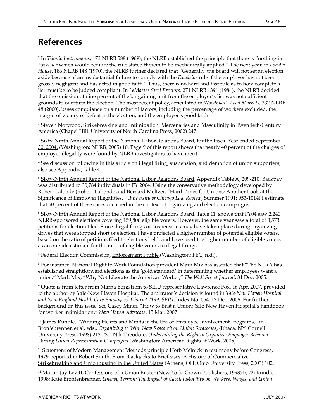1 In *Telonic Instruments*, 173 NLRB 588 (1969), the NLRB established the principle that there is "nothing in *Excelsior* which would require the rule stated therein to be mechanically applied." The next year, in *Lobster House*, 186 NLRB 148 (1970), the NLRB further declared that "Generally, the Board will not set an election aside because of an insubstantial failure to comply with the *Excelsior* rule if the employer has not been grossly negligent and has acted in good faith." Thus, there is no hard and fast rule as to how complete a list must be to be judged compliant. In *LeMaster Steel Erectors*, 271 NLRB 1391 (1984), the NLRB decided that the omission of nine percent of the bargaining unit from the employer's list was not sufficient grounds to overturn the election. The most recent policy, articulated in *Woodman's Food Markets*, 332 NLRB 48 (2000), bases compliance on a number of factors, including the percentage of workers excluded, the margin of victory or defeat in the election, and the employer's good faith.

<sup>2</sup> Steven Norwood, <u>Strikebreaking and Intimidation: Mercenaries and Masculinity in Twentieth-Century</u> America (Chapel Hill: University of North Carolina Press, 2002) 247.

<sup>3</sup> Sixty-Ninth Annual Report of the National Labor Relations Board, for the Fiscal Year ended September 30, 2004. *(*Washington: NLRB, 2005) 10. Page 9 of this report shows that nearly 40 percent of the charges of employer illegality were found by NLRB investigators to have merit.

4 See discussion following in this article on illegal firing, suspension, and demotion of union supporters; also see Appendix, Table 4.

<sup>5</sup> Sixty-Ninth Annual Report of the National Labor Relations Board, Appendix Table A, 209-210. Backpay was distributed to 30,784 individuals in FY 2004. Using the conservative methodology developed by Robert Lalonde (Robert LaLonde and Bernard Meltzer, "Hard Times for Unions: Another Look at the Significance of Employer Illegalities," *University of Chicago Law Review*, Summer 1991: 953-1014) I estimate that 50 percent of these cases occurred in the context of organizing and election campaigns.

<sup>6</sup> Sixty-Ninth Annual Report of the National Labor Relations Board, Table 11, shows that FY04 saw 2,240 NLRB-sponsored elections covering 159,806 eligible voters. However, the same year saw a total of 3,573 petitions for election filed. Since illegal firings or suspensions may have taken place during organizing drives that were stopped short of election, I have projected a higher number of potential eligible voters, based on the ratio of petitions filed to elections held, and have used the higher number of eligible voters as an outside estimate for the ratio of eligible voters to illegal firings.

<sup>7</sup> Federal Election Commission, <u>Enforcement Profile</u>.(Washington: FEC, n.d.).

 $^8$  For instance, National Right to Work Foundation president Mark Mix has asserted that "The NLRA has  $\,$ established straightforward elections as the 'gold standard' in determining whether employees want a union." Mark Mix, "Why Not Liberate the American Worker," *The Wall Street Journal*, 31 Dec. 2005.

9 Quote is from letter from Marna Borgstrom to SEIU representative Lawrence Fox, 16 Apr. 2007, provided to the author by Yale-New Haven Hospital. The arbitrator's decision is found in *Yale-New Haven Hospital and New England Health Care Employees, District 1199, SEIU*, Index No. 054, 13 Dec. 2006. For further background on this issue, see Casey Miner, "How to Bust a Union: Yale-New Haven Hospital's handbook for worker intimidation," *New Haven Advocate*, 15 Mar. 2007.

 $10$  James Rundle, "Winning Hearts and Minds in the Era of Employee Involvement Programs," in Bronfebrenner, et al. eds., *Organizing to Win: New Research on Union Strategies*, (Ithaca, NY: Cornell University Press, 1998) 213-231; Nik Theodore, *Undermining the Right to Organize: Employer Behavior During Union Representation Campaigns* (Washington: American Rights at Work, 2005)

<sup>11</sup> Statement of Modern Management Methods principle Herb Melnick in testimony before Congress, 1979, reported in Robert Smith, From Blackjacks to Briefcases: A History of Commercialized Strikebreaking and Unionbusting in the United States (Athens, OH: Ohio University Press, 2003) 102.

<sup>12</sup> Martin Jay Levitt, Confessions of a Union Buster (New York: Crown Publishers, 1993) 5, 72; Rundle 1998; Kate Bronfenbrenner, *Uneasy Terrain: The Impact of Capital Mobility on Workers, Wages, and Union*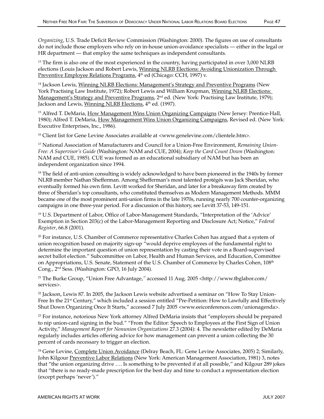*Organizing*, U.S. Trade Deficit Review Commission (Washington: 2000). The figures on use of consultants do not include those employers who rely on in-house union-avoidance specialists — either in the legal or HR department — that employ the same techniques as independent consultants.

<sup>13</sup> The firm is also one of the most experienced in the country, having participated in over 3,000 NLRB elections (Louis Jackson and Robert Lewis, Winning NLRB Elections: Avoiding Unionization Through Preventive Employee Relations Programs, 4<sup>th</sup> ed (Chicago: CCH, 1997) v.

<sup>14</sup> Jackson Lewis, Winning NLRB Elections: Management's Strategy and Preventive Programs (New York Practising Law Institute, 1972); Robert Lewis and William Krupman, Winning NLRB Elections: Management's Strategy and Preventive Programs, 2<sup>nd</sup> ed. (New York: Practising Law Institute, 1979); Jackson and Lewis, Winning NLRB Elections, 4<sup>th</sup> ed. (1997).

<sup>15</sup> Alfred T. DeMaria, How Management Wins Union Organizing Campaigns (New Jersey: Prentice-Hall, 1980); Alfred T. DeMaria, How Management Wins Union Organizing Campaigns, Revised ed. (New York: Executive Enterprises, Inc., 1986).

<sup>16</sup> Client list for Gene Levine Associates available at <www.genelevine.com/clientele.htm>.

17 National Association of Manufacturers and Council for a Union-Free Environment, *Remaining Union-Free: A Supervisor's Guide* (Washington: NAM and CUE, 2004); *Keep the Card Count Down* (Washington: NAM and CUE, 1985). CUE was formed as an educational subsidiary of NAM but has been an independent organization since 1994.

<sup>18</sup> The field of anti-union consulting is widely acknowledged to have been pioneered in the 1940s by former NLRB member Nathan Shefferman. Among Shefferman's most talented protégés was Jack Sheridan, who eventually formed his own firm. Levitt worked for Sheridan, and later for a breakaway firm created by three of Sheridan's top consultants, who constituted themselves as Modern Management Methods. MMM became one of the most prominent anti-union firms in the late 1970s, running nearly 700 counter-organizing campaigns in one three-year period. For a discussion of this history, see Levitt 37-53, 149-151.

19 U.S. Department of Labor, Office of Labor-Management Standards, "Interpretation of the 'Advice' Exemption in Section 203(c) of the Labor-Management Reporting and Disclosure Act; Notice," *Federal Register*, 66.8 (2001).

<sup>20</sup> For instance, U.S. Chamber of Commerce representative Charles Cohen has argued that a system of union recognition based on majority sign-up "would deprive employees of the fundamental right to determine the important question of union representation by casting their vote in a Board-supervised secret ballot election." Subcommittee on Labor, Health and Human Services, and Education, Committee on Appropriations, U.S. Senate, Statement of the U.S. Chamber of Commerce by Charles Cohen, 108<sup>th</sup> Cong., 2nd Sess. (Washington: GPO, 16 July 2004).

21 The Burke Group, "Union Free Advantage,*"* accessed 11 Aug. 2005 <http://www.tbglabor.com/ services>.

 $22$  Jackson, Lewis 87. In 2005, the Jackson Lewis website advertised a seminar on "How To Stay Union-Free In the 21<sup>st</sup> Century," which included a session entitled "Pre-Petition: How to Lawfully and Effectively Shut Down Organizing Once It Starts," accessed 7 July 2005 <www.eeiconferences.com/unionagenda>.

23 For instance, notorious New York attorney Alfred DeMaria insists that "employers should be prepared to nip union-card signing in the bud." "From the Editor: Speech to Employees at the First Sign of Union Activity," *Management Report for Nonunion Organizations* 27.3 (2004): 4. The newsletter edited by DeMaria regularly includes articles offering advice for how management can prevent a union collecting the 30 percent of cards necessary to trigger an election.

<sup>24</sup> Gene Levine, Complete Union Avoidance (Delray Beach, FL: Gene Levine Associates, 2005) 2; Similarly, John Kilgour Preventive Labor Relations (New York: American Management Association, 1981) 3, notes that "the union organizing drive …. Is something to be prevented if at all possible," and Kilgour 289 jokes that "there is no ready-made prescription for the best day and time to conduct a representation election (except perhaps 'never')."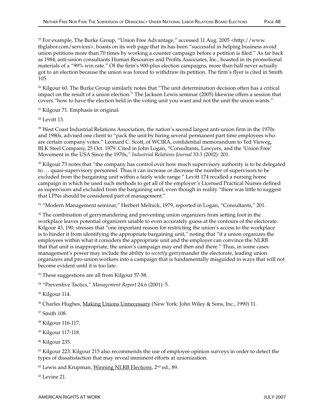<sup>26</sup> Kilgour 60. The Burke Group similarly notes that "The unit determination decision often has a critical impact on the result of a union election." The Jackson Lewis seminar (2005) likewise offers a session that covers "how to have the election held in the voting unit you want and not the unit the union wants."

27 Kilgour 71. Emphasis in original.

28 Levitt 13.

<sup>29</sup> West Coast Industrial Relations Association, the nation's second largest anti-union firm in the 1970s and 1980s, advised one client to "pack the unit by hiring several permanent part time employees who are certain company votes." Leonard C. Scott, of WCIRA, confidential memorandum to Ted Vieweg, BLK Steel Company, 25 Oct. 1979. Cited in John Logan, "Consultants, Lawyers, and the 'Union Free' Movement in the USA Since the 1970s,*" Industrial Relations Journal* 33:3 (2002): 201.

<sup>30</sup> Kilgour 73 notes that "the company has control over how much supervisory authority is to be delegated to … quasi-supervisory personnel. Thus it can increase or decrease the number of supervisors to be excluded from the bargaining unit within a fairly wide range." Levitt 174 recalled a nursing home campaign in which he used such methods to get all of the employer's Licensed Practical Nurses defined as supervisors and excluded from the bargaining unit, even though in reality "there was little to suggest that LPNs should be considered part of management."

31 "Modern Management seminar," Herbert Melnick, 1979, reported in Logan, "Consultants," 201.

<sup>32</sup> The combination of gerrymandering and preventing union organizers from setting foot in the workplace leaves potential organizers unable to even accurately guess at the contours of the electorate. Kilgour 43, 190, stresses that "one important reason for restricting the union's access to the workplace is to hinder it from identifying the appropriate bargaining unit," noting that "if a union organizes the employees within what it considers the appropriate unit and the employer can convince the NLRB that that unit is inappropriate, the union's campaign may end then and there." Thus, in some cases management's power may include the ability to *secretly* gerrymander the electorate, leading union organizers and pro-union workers into a campaign that is fundamentally misguided in ways that will not become evident until it is too late.

<sup>33</sup> These suggestions are all from Kilgour 57-58.

34 "Preventive Tactics," *Management Report* 24.6 (2001): 5.

35 Kilgour 114.

<sup>36</sup> Charles Hughes, Making Unions Unnecessary (New York: John Wiley & Sons, Inc., 1990) 11.

37 Smith 108.

38 Kilgour 116-117.

39 Kilgour 117-118.

40 Kilgour 235.

41 Kilgour 223. Kilgour 215 also recommends the use of employee opinion surveys in order to detect the types of dissatisfaction that may reveal imminent efforts at unionization.

<sup>42</sup> Lewis and Krupman, Winning NLRB Elections, 2<sup>nd</sup> ed., 89.

43 Levine 21.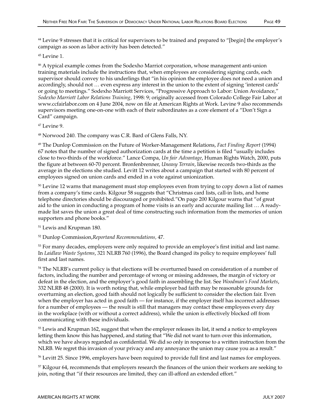45 Levine 1.

46 A typical example comes from the Sodexho Marriot corporation, whose management anti-union training materials include the instructions that, when employees are considering signing cards, each supervisor should convey to his underlings that "in his opinion the employee does not need a union and accordingly, should not … even express any interest in the union to the extent of signing 'interest cards' or going to meetings." Sodexho Marriott Services, "Progressive Approach to Labor: Union Avoidance," *Sodexho Marriott Labor Relations Training*, 1998: 9; originally accessed from Colorado College Fair Labor at www.ccfairlabor.com on 4 June 2004, now on file at American Rights at Work. Levine 9 also recommends supervisors meeting one-on-one with each of their subordinates as a core element of a "Don't Sign a Card" campaign.

47 Levine 9.

48 Norwood 240. The company was C.R. Bard of Glens Falls, NY.

49 The Dunlop Commission on the Future of Worker-Management Relations, *Fact Finding Report* (1994) 67 notes that the number of signed authorization cards at the time a petition is filed "usually includes close to two-thirds of the workforce." Lance Compa, *Un fair Advantage*, Human Rights Watch, 2000, puts the figure at between 60-70 percent. Bronfenbrenner, *Uneasy Terrain*, likewise records two-thirds as the average in the elections she studied. Levitt 12 writes about a campaign that started with 80 percent of employees signed on union cards and ended in a vote against unionization.

<sup>50</sup> Levine 12 warns that management must stop employees even from trying to copy down a list of names from a company's time cards. Kilgour 58 suggests that "Christmas card lists, call-in lists, and home telephone directories should be discouraged or prohibited."On page 200 Kilgour warns that "of great aid to the union in conducting a program of home visits is an early and accurate mailing list … A readymade list saves the union a great deal of time constructing such information from the memories of union supporters and phone books."

51 Lewis and Krupman 180.

52 Dunlop Commission,*Reportand Recommendations,* 47.

<sup>53</sup> For many decades, employers were only required to provide an employee's first initial and last name. In *Laidlaw Waste Systems*, 321 NLRB 760 (1996), the Board changed its policy to require employees' full first and last names.

54 The NLRB's current policy is that elections will be overturned based on consideration of a number of factors, including the number and percentage of wrong or missing addresses, the margin of victory or defeat in the election, and the employer's good faith in assembling the list. See *Woodman's Food Markets*, 332 NLRB 48 (2000). It is worth noting that, while employer bad faith may be reasonable grounds for overturning an election, good faith should not logically be sufficient to consider the election fair. Even when the employer has acted in good faith — for instance, if the employer itself has incorrect addresses for a number of employees — the result is still that managers may contact these employees every day in the workplace (with or without a correct address), while the union is effectively blocked off from communicating with these individuals.

<sup>55</sup> Lewis and Krupman 162, suggest that when the employer releases its list, it send a notice to employees letting them know this has happened, and stating that "We did not want to turn over this information, which we have always regarded as confidential. We did so only in response to a written instruction from the NLRB. We regret this invasion of your privacy and any annoyance the union may cause you as a result."

<sup>56</sup> Levitt 25. Since 1996, employers have been required to provide full first and last names for employees.

57 Kilgour 64, recommends that employers research the finances of the union their workers are seeking to join, noting that "if their resources are limited, they can ill-afford an extended effort."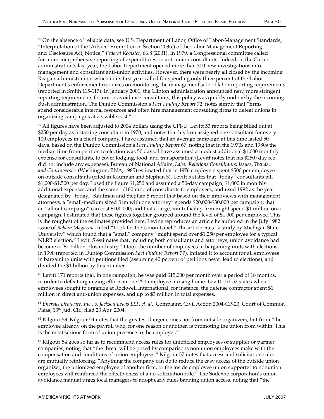<sup>58</sup> On the absence of reliable data, see U.S. Department of Labor, Office of Labor-Management Standards, "Interpretation of the 'Advice' Exemption in Section 203(c) of the Labor-Management Reporting and Disclosure Act; Notice," *Federal Register*, 66.8 (2001). In 1979, a Congressional committee called for more comprehensive reporting of expenditures on anti-union consultants. Indeed, in the Carter administration's last year, the Labor Department opened more than 300 new investigations into management and consultant anti-union activities. However, there were nearly all closed by the incoming Reagan administration, which in its first year called for spending only three percent of the Labor Department's enforcement resources on monitoring the management side of labor reporting requirements (reported in Smith 115-117). In January 2001, the Clinton administration announced new, more stringent reporting requirements for union-avoidance consultants; this policy was quickly undone by the incoming Bush administration. The Dunlop Commission's *Fact Finding Report* 72, notes simply that "firms spend considerable internal resources and often hire management consulting firms to defeat unions in organizing campaigns at a sizable cost."

<sup>59</sup> All figures have been adjusted to 2004 dollars using the CPI-U. Levitt 53 reports being billed out at \$250 per day as a starting consultant in 1970, and notes that his firm assigned one consultant for every 100 employees in a client company. I have assumed that an average campaign at this time lasted 50 days, based on the Dunlop Commission's *Fact Finding Report* 67, noting that in the 1970s and 1980s the median time from petition to election was 50 days. I have assumed a modest additional \$1,000 monthly expense for consultants, to cover lodging, food, and transportation (Levitt notes that his \$250/day fee did not include any expenses). Bureau of National Affairs, *Labor Relations Consultants: Issues, Trends, and Controversies* (Washington: BNA, 1985) estimated that in 1976 employers spent \$500 per employee on outside consultants (cited in Kaufman and Stephan 5). Levitt 5 states that "today" consultants bill \$1,000-\$1,500 per day. I used the figure \$1,250 and assumed a 50-day campaign, \$1,000 in monthly additional expenses, and the same 1/100 ratio of consultants to employees, and used 1992 as the year designated by "today." Kaufman and Stephan 5 report that based on their interviews with management attorneys, a "small-medium sized firm with one attorney" spends \$20,000-\$30,000 per campaign; that an "all out campaign" can cost \$100,000; and that a large, multi-facility firm might spend \$1 million on a campaign. I estimated that these figures together grouped around the level of \$1,000 per employee. This is the roughest of the estimates provided here. Levine reproduces an article he authored in the July 1982 issue of *Bobbin Magazine*, titled "Look for the Union Label." The article cites "a study by Michigan State University" which found that a "small" company "might spend over \$1,250 per employee for a typical NLRB election." Levitt 5 estimates that, including both consultants and attorneys, union avoidance had become a "\$1 billion-plus industry." I took the number of employees in bargaining units with elections in 1990 (reported in Dunlop Commission *Fact Finding Report* 77), inflated it to account for all employees in bargaining units with petitions filed (assuming 40 percent of petitions never lead to elections), and divided the \$1 billion by this number.

 $60$  Levitt 171 reports that, in one campaign, he was paid \$15,000 per month over a period of 18 months, in order to defeat organizing efforts in one 250-employee nursing home. Levitt 151-52 states when employees sought to organize at Rockwell International, for instance, the defense contractor spent \$1 million in direct anti-union expenses, and up to \$3 million in total expenses.

<sup>61</sup> *Enersys Delaware, Inc., v. Jackson Lewis LLP, et. al*., Complaint, Civil Action 2004-CP-23, Court of Common Pleas, 13<sup>th</sup> Jud. Cir., filed 23 Apr. 2004.

 $62$  Kilgour 53. Kilgour 54 notes that the greatest danger comes not from outside organizers, but from "the employee already on the payroll who, for one reason or another, is promoting the union from within. This is the most serious form of union presence to the employer."

63 Kilgour 54 goes so far as to recommend access rules for unionized employees of supplier or partner companies, noting that "the threat will be posed by comparisons nonunion employees make with the compensation and conditions of union employees." Kilgour 57 notes that access and solicitation rules are mutually reinforcing. "Anything the company can do to reduce the easy access of the outside union organizer, the unionized employee of another firm, or the inside employee union supporter to nonunion employees will reinforced the effectiveness of a no-solicitation rule." The Sodexho corporation's union avoidance manual urges local managers to adopt early rules banning union access, noting that "the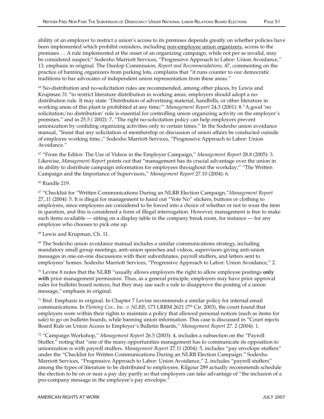ability of an employer to restrict a union's access to its premises depends greatly on whether policies have been implemented which prohibit outsiders, including non-employee union organizers, access to the premises … A rule implemented at the onset of an organizing campaign, while not per se invalid, may be considered suspect;" Sodexho Marriott Services, "Progressive Approach to Labor: Union Avoidance," 13, emphasis in original. The Dunlop Commission, *Report and Recommendations,* 47, commenting on the practice of banning organizers from parking lots, complains that "it runs counter to our democratic traditions to bar advocates of independent union representation from these areas."

<sup>64</sup> No-distribution and no-solicitation rules are recommended, among other places, by Lewis and Krupman 31 "to restrict literature distribution in working areas, employers should adopt a nodistribution rule. It may state: 'Distribution of advertising material, handbills, or other literature in working areas of this plant is prohibited at any time;'" *Management Report* 24.3 (2001): 8."A good 'no solicitation/no distribution' rule is essential for controlling union organizing activity on the employer's premises," and in 25.5 ( 2002): 7, "The right no-solicitation policy can help employers prevent unionization by confiding organizing activities only to certain times." In the Sodexho union avoidance manual, "Insist that any solicitation of membership or discussion of union affairs be conducted outside of employee working time.;" Sodexho Marriott Services, "Progressive Approach to Labor: Union Avoidance."

65 "From the Editor: The Use of Videos in the Employer Campaign," *Management Report* 28.8 (2005): 3. Likewise, *Management Report* points out that "management has its crucial advantage over the union in its ability to distribute campaign information for employees throughout the workday;" "The Written Campaign and the Importance of Supervisors," *Management Report* 27.10 (2004): 6.

66 Rundle 219.

67 "Checklist for "Written Communications During an NLRB Election Campaign,"*Management Report* 27,.11 (2004): 5. It is illegal for management to hand out "Vote No" stickers, buttons or clothing to employees, since employees are considered to be forced into a choice of whether or not to wear the item in question, and this is considered a form of illegal interrogation. However, management is free to make such items available — sitting on a display table in the company break room, for instance — for any employee who chooses to pick one up.

68 Lewis and Krupman, Ch. 11.

 $\Theta$  The Sodexho union avoidance manual includes a similar communications strategy, including mandatory small group meetings, anti-union speeches and videos, supervisors giving anti-union messages in one-on-one discussions with their subordinates, payroll stuffers, and letters sent to employees' homes. Sodexho Marriott Services, "Progressive Approach to Labor: Union Avoidance," 2.

70 Levine 8 notes that the NLRB "usually allows employers the right to allow employee postings **only with** prior management permission. Thus, as a general principle, employers may have prior approval rules for bulletin board notices, but they may use such a rule to disapprove the posting of a union message," emphasis in original.

 $71$  Ibid. Emphasis in original. In Chapter 7 Levine recommends a similar policy for internal email communications. In *Fleming Cos., Inc. v. NLRB*, 173 LRRM 2621 (7<sup>th</sup> Cir. 2003), the court found that employers were within their rights to maintain a policy that allowed personal notices (such as items for sale) to go on bulletin boards, while banning union information. This case is discussed in "Court rejects Board Rule on Union Access to Employer's Bulletin Boards," *Management Report* 27. 2 (2004): 1.

72 "Campaign Workshop," *Management Report* 26.5 (2003): 4, includes a subsection on the "Payroll Stuffer," noting that "one of the many opportunities management has to communicate its opposition to unionization is with payroll stuffers. *Management Report* 27.11 (2004): 5, includes "pay envelope stuffers" under the "Checklist for Written Communications During an NLRB Election Campaign." Sodexho Marriott Services, "Progressive Approach to Labor: Union Avoidance," 2, includes "payroll stuffers" among the types of literature to be distributed to employees. Kilgour 289 actually recommends schedule the election to be on or near a pay day partly so that employers can take advantage of "the inclusion of a pro-company message in the employee's pay envelope."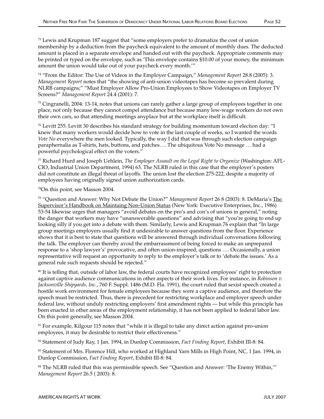$73$  Lewis and Krupman 187 suggest that "some employers prefer to dramatize the cost of union membership by a deduction from the paycheck equivalent to the amount of monthly dues. The deducted amount is placed in a separate envelope and handed out with the paycheck. Appropriate comments may be printed or typed on the envelope, such as 'This envelope contains \$10.00 of your money, the minimum amount the union would take out of your paycheck every month.'"

74 "From the Editor: The Use of Videos in the Employer Campaign," *Management Report* 28.8 (2005): 3. *Management Report* notes that "the showing of anti-union videotapes has become so prevalent during NLRB campaigns;" "Must Employer Allow Pro-Union Employees to Show Videotapes on Employer TV Screens?" *Management Report* 24.4 (2001): 7.

 $75$  Cingranelli, 2004: 13-14, notes that unions can rarely gather a large group of employees together in one place, not only because they cannot compel attendance but because many low-wage workers do not own their own cars, so that attending meetings anyplace but at the workplace itself is difficult.

76 Levitt 255. Levitt 30 describes his standard strategy for building momentum toward election day: "I knew that many workers would decide how to vote in the last couple of weeks, so I wanted the words *Vote No* everywhere the men looked. Typically, the way I did that was through such election campaign paraphernalia as T-shirts, hats, buttons, and patches…. The ubiquitous Vote No message … had a powerful psychological effect on the voters."

77 Richard Hurd and Joseph Uehlein, *The Employer Assault on the Legal Right to Organize* (Washington: AFL-CIO, Industrial Union Department, 1994) 63. The NLRB ruled in this case that the employer's posters did not constitute an illegal threat of layoffs. The union lost the election 275-222, despite a majority of employees having originally signed union authorization cards.

78On this point, see Masson 2004.

79 "Question and Answer: Why Not Debate the Union?" *Management Report* 26 8 (2003): 8. DeMaria's The Supervisor's Handbook on Maintaing Non-Union Status (New York: Executive Enterprises, Inc., 1986) 53-54 likewise urges that managers "avoid debates on the pro's and con's of unions in general," noting the danger that workers may have "unanswerable questions" and advising that "you're going to end up looking silly if you get into a debate with them. Similarly, Lewis and Krupman 76 explain that "In large group meetings employers usually find it undesirable to answer questions from the floor. Experience shows that it is best to state that questions will be answered through individual conversations following the talk. The employer can thereby avoid the embarrassment of being forced to make an unprepared response to a 'shop lawyer's' provocative, and often union-inspired, questions …. Occasionally, a union representative will request an opportunity to reply to the employer's talk or to 'debate the issues.' As a general rule such requests should be rejected."

<sup>80</sup> It is telling that, outside of labor law, the federal courts have recognized employees' right to protection against captive audience communications in other aspects of their work lives. For instance, in *Robinson v. Jacksonville Shipyards, Inc.*, 760 F. Suppl. 1486 (M.D. Fla. 1991), the court ruled that sexist speech created a hostile work environment for female employees because they were a captive audience, and therefore the speech must be restricted. Thus, there is precedent for restricting workplace and employer speech under federal law, without unduly restricting employers' first amendment rights — but while this principle has been enacted in other areas of the employment relationship, it has not been applied to federal labor law. On this point generally, see Masson 2004.

81 For example, Kilgour 115 notes that "while it is illegal to take any direct action against pro-union employees, it may be desirable to restrict their effectiveness."

82 Statement of Judy Ray, 1 Jan. 1994, in Dunlop Commission, *Fact Finding Report*, Exhibit III-8: 84.

83 Statement of Mrs. Florence Hill, who worked at Highland Yarn Mills in High Point, NC, 1 Jan. 1994, in Dunlop Commission, *Fact Finding Report*, Exhibit III-8: 84.

84 The NLRB ruled that this was permissible speech. See "Question and Answer: 'The Enemy Within,'" *Management Report* 26.5 ( 2003): 8.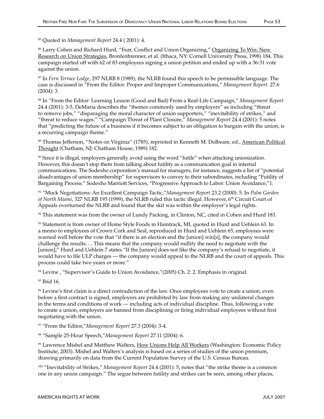85 Quoted in *Management Report* 24.4 ( 2001): 4.

86 Larry Cohen and Richard Hurd, "Fear, Conflict and Union Organizing," Organizing To Win: New Research on Union Strategies, Bronfenbrenner, et al. (Ithaca, NY: Cornell University Press, 1998) 184. This campaign started off with 62 of 83 employees signing a union petition and ended up with a 36-31 vote against the union.

87 In *Fern Terrace Lodge*, 297 NLRB 8 (1989), the NLRB found this speech to be permissible language. The case is discussed in "From the Editor: Proper and Improper Communications," *Management Report*. 27.6 (2004): 3.

88 In "From the Editor: Learning Lesson (Good and Bad) From a Real-Life Campaign," *Management Report* 24.4 (2001): 3-5, DeMaria describes the "themes commonly used by employers" as including "threat to remove jobs," "disparaging the moral character of union supporters," "inevitability of strikes," and "threat to reduce wages." "Campaign Threat of Plant Closure," *Management Report* 24.4 (2001): 5 notes that "predicting the future of a business if it becomes subject to an obligation to bargain with the union, is a recurring campaign theme."

89 Thomas Jefferson, "Notes on Virginia" (1785), reprinted in Kenneth M. Dolbeare, ed., American Political Thought (Chatham, NJ: Chatham House, 1989) 182.

90 Since it is illegal, employers generally avoid using the word "futile" when attacking unionization. However, this doesn't stop them from talking about futility as a communication goal in internal communications. The Sodexho corporation's manual for managers, for instance, suggests a list of "potential disadvantages of union membership" for supervisors to convey to their subordinates, including "Futility of Bargaining Process." Sodexho Marriott Services, "Progressive Approach to Labor: Union Avoidance,"1.

91 "Mock Negotiations: An Excellent Campaign Tactic,"*Management Report* 23.2 (2000): 5. In *Palm Garden of North Miami*, 327 NLRB 195 (1999), the NLRB ruled this tactic illegal. However, 6th Circuit Court of Appeals overturned the NLRB and found that the skit was within the employer's legal rights.

 $92$  This statement was from the owner of Lundy Packing, in Clinton, NC, cited in Cohen and Hurd 183.

93 Statement is from owner of Home Style Foods in Hamtrack, MI, quoted in Hurd and Uehlein 63. In a memo to employees of Crown Cork and Seal, reproduced in Hurd and Uehlein 65, employees were warned well before the vote that "if there is an election and the [union] win[s], the company would challenge the results…. This means that the company would nullify the need to negotiate with the [union];" Hurd and Uehlein 7 states "If the [union] does not like the company's refusal to negotiate, it would have to file ULP charges — the company would appeal to the NLRB and the court of appeals. This process could take two years or more."

<sup>94</sup> Levine, "Supervisor's Guide to Union Avoidance,"(2005) Ch. 2: 2. Emphasis in original.

95 Ibid 16.

96 Levine's first claim is a direct contradiction of the law. Once employees vote to create a union, even before a first contract is signed, employers are prohibited by law from making any unilateral changes in the terms and conditions of work — including acts of individual discipline. Thus, following a vote to create a union, employers are banned from disciplining or firing individual employees without first negotiating with the union.

97 "From the Editor,"*Management Report* 27.3 (2004): 3-4.

98 "Sample 25-Hour Speech,"*Management Report* 27.11 (2004): 6.

<sup>99</sup> Lawrence Mishel and Matthew Walters, How Unions Help All Workers (Washington: Economic Policy Institute, 2003). Mishel and Walters's analysis is based on a series of studies of the union premium, drawing primarily on data from the Current Population Survey of the U.S. Census Bureau.

100 "Inevitability of Strikes," *Management Report* 24.4 (2001): 5, notes that "the strike theme is a common one in any union campaign." The segue between futility and strikes can be seen, among other places,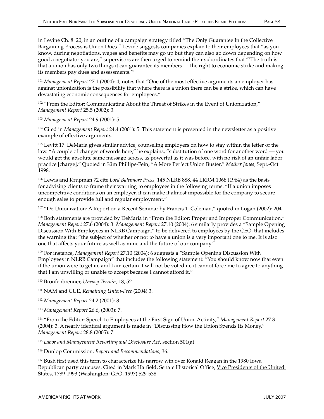<sup>101</sup> *Management Report* 27.1 (2004): 4, notes that "One of the most effective arguments an employer has against unionization is the possibility that where there is a union there can be a strike, which can have devastating economic consequences for employees."

<sup>102</sup> "From the Editor: Communicating About the Threat of Strikes in the Event of Unionization," *Management Report* 25.5 (2002): 3.

<sup>103</sup> *Management Report* 24.9 (2001): 5.

104 Cited in *Management Report* 24.4 (2001): 5. This statement is presented in the newsletter as a positive example of effective arguments.

<sup>105</sup> Levitt 17. DeMaria gives similar advice, counseling employers on how to stay within the letter of the law. "A couple of changes of words here," he explains, "substitution of one word for another word — you would get the absolute same message across, as powerful as it was before, with no risk of an unfair labor practice [charge]." Quoted in Kim Phillips-Fein, "A More Perfect Union Buster," *Mother Jones,* Sept.-Oct. 1998.

106 Lewis and Krupman 72 cite *Lord Baltimore Press*, 145 NLRB 888, 44 LRRM 1068 (1964) as the basis for advising clients to frame their warning to employees in the following terms: "If a union imposes uncompetitive conditions on an employer, it can make it almost impossible for the company to secure enough sales to provide full and regular employment."

<sup>107</sup> "De-Unionization: A Report on a Recent Seminar by Francis T. Coleman," quoted in Logan (2002): 204.

108 Both statements are provided by DeMaria in "From the Editor: Proper and Improper Communication," *Management Report* 27.6 (2004): 3. *Management Report* 27.10 (2004): 6 similarly provides a "Sample Opening Discussion With Employees in NLRB Campaign," to be delivered to employees by the CEO, that includes the warning that "the subject of whether or not to have a union is a very important one to me. It is also one that affects your future as well as mine and the future of our company."

109 For instance, *Management Report* 27.10 (2004): 6 suggests a "Sample Opening Discussion With Employees in NLRB Campaign" that includes the following statement: "You should know now that even if the union were to get in, and I am certain it will not be voted in, it cannot force me to agree to anything that I am unwilling or unable to accept because I cannot afford it."

110 Bronfenbrenner, *Uneasy Terrain,* 18, 52.

111 NAM and CUE, *Remaining Union-Free* (2004) 3.

<sup>112</sup> *Management Report* 24.2 (2001): 8.

<sup>113</sup> *Management Report* 26.6, (2003): 7.

114 "From the Editor: Speech to Employees at the First Sign of Union Activity," *Management Report* 27.3 (2004): 3. A nearly identical argument is made in "Discussing How the Union Spends Its Money," *Management Report* 28.8 (2005): 7.

<sup>115</sup> *Labor and Management Reporting and Disclosure Act*, section 501(a).

116 Dunlop Commission, *Report and Recommendations,* 36.

<sup>117</sup> Bush first used this term to characterize his narrow win over Ronald Reagan in the 1980 Iowa Republican party caucuses. Cited in Mark Hatfield, Senate Historical Office, Vice Presidents of the United States, 1789-1993 (Washington: GPO, 1997) 529-538.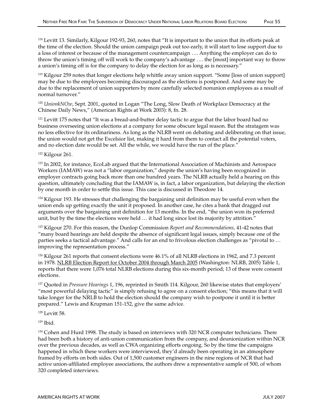118 Levitt 13. Similarly, Kilgour 192-93, 260, notes that "It is important to the union that its efforts peak at the time of the election. Should the union campaign peak out too early, it will start to lose support due to a loss of interest or because of the management countercampaign …. Anything the employer can do to throw the union's timing off will work to the company's advantage …. the [most] important way to throw a union's timing off is for the company to delay the election for as long as is necessary."

119 Kilgour 259 notes that longer elections help whittle away union support. "Some [loss of union support] may be due to the employees becoming discouraged as the elections is postponed. And some may be due to the replacement of union supporters by more carefully selected nonunion employees as a result of normal turnover."

<sup>120</sup> *UnionkNOw*, Sept. 2001, quoted in Logan "The Long, Slow Death of Workplace Democracy at the Chinese Daily News," (American Rights at Work 2003): 8, fn. 28.

<sup>121</sup> Levitt 175 notes that "It was a bread-and-butter delay tactic to argue that the labor board had no business overseeing union elections at a company for some obscure legal reason. But the stratagem was no less effective for its ordinariness. As long as the NLRB went on debating and deliberating on that issue, the union would not get the Excelsior list, making it hard from them to contact all the potential voters, and no election date would be set. All the while, we would have the run of the place."

122 Kilgour 261.

123 In 2002, for instance, EcoLab argued that the International Association of Machinists and Aerospace Workers (IAMAW) was not a "labor organization," despite the union's having been recognized in employer contracts going back more than one hundred years. The NLRB actually held a hearing on this question, ultimately concluding that the IAMAW is, in fact, a labor organization, but delaying the election by one month in order to settle this issue. This case is discussed in Theodore 14.

<sup>124</sup> Kilgour 193. He stresses that challenging the bargaining unit definition may be useful even when the union ends up getting exactly the unit it proposed. In another case, he cites a bank that dragged out arguments over the bargaining unit definition for 13 months. In the end, "the union won its preferred unit, but by the time the elections were held … it had long since lost its majority by attrition."

125 Kilgour 270. For this reason, the Dunlop Commission *Report and Recommendations,* 41-42 notes that "many board hearings are held despite the absence of significant legal issues, simply because one of the parties seeks a tactical advantage." And calls for an end to frivolous election challenges as "pivotal to … improving the representation process."

126 Kilgour 261 reports that consent elections were 46.1% of all NLRB elections in 1962, and 7.3 percent in 1978. NLRB Election Report for October 2004 through March 2005 (Washington: NLRB, 2005) Table 1, reports that there were 1,076 total NLRB elections during this six-month period; 13 of these were consent elections.

127 Quoted in *Pressure Hearings* 1, 196, reprinted in Smith 114. Kilgour, 260 likewise states that employers' "most powerful delaying tactic" is simply refusing to agree on a consent election; "this means that it will take longer for the NRLB to hold the election should the company wish to postpone it until it is better prepared." Lewis and Krupman 151-152, give the same advice.

128 Levitt 58.

129 Ibid.

<sup>130</sup> Cohen and Hurd 1998. The study is based on interviews with 320 NCR computer technicians. There had been both a history of anti-union communication from the company, and deunionization within NCR over the previous decades, as well as CWA organizing efforts ongoing. So by the time the campaigns happened in which these workers were interviewed, they'd already been operating in an atmosphere framed by efforts on both sides. Out of 1,500 customer engineers in the nine regions of NCR that had active union-affiliated employee associations, the authors drew a representative sample of 500, of whom 320 completed interviews.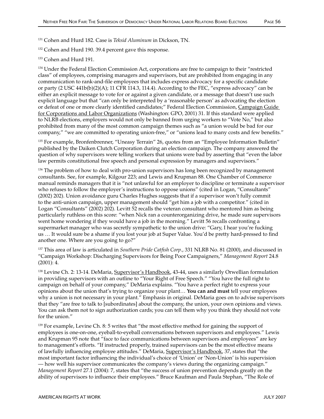131 Cohen and Hurd 182. Case is *Teksid Aluminum* in Dickson, TN.

132 Cohen and Hurd 190. 39.4 percent gave this response.

<sup>133</sup> Cohen and Hurd 191.

<sup>134</sup> Under the Federal Election Commission Act, corporations are free to campaign to their "restricted" class" of employees, comprising managers and supervisors, but are prohibited from engaging in any communication to rank-and-file employees that includes express advocacy for a specific candidate or party (2 USC 441b(b)(2)(A); 11 CFR 114.3, 114.4). According to the FEC, "express advocacy" can be either an explicit message to vote for or against a given candidate, or a message that doesn't use such explicit language but that "can only be interpreted by a 'reasonable person' as advocating the election or defeat of one or more clearly identified candidates;" Federal Election Commission, Campaign Guide for Corporations and Labor Organizations (Washington: GPO, 2001) 31. If this standard were applied to NLRB elections, employers would not only be banned from urging workers to "Vote No," but also prohibited from many of the most common campaign themes such as "a union would be bad for our company," "we are committed to operating union-free," or "unions lead to many costs and few benefits."

135 For example, Bronfenbrenner, "Uneasy Terrain" 26, quotes from an "Employee Information Bulletin" published by the Daiken Clutch Corporation during an election campaign. The company answered the question of why supervisors were telling workers that unions were bad by asserting that "even the labor law permits constitutional free speech and personal expression by managers and supervisors."

<sup>136</sup> The problem of how to deal with pro-union supervisors has long been recognized by management consultants. See, for example, Kilgour 223; and Lewis and Krupman 88. One Chamber of Commerce manual reminds managers that it is "not unlawful for an employer to discipline or terminate a supervisor who refuses to follow the employer's instructions to oppose unions" (cited in Logan, "Consultants" (2002) 202). Union avoidance guru Charles Hughes suggests that if a supervisor won't fully commit to the anti-union campaign, upper management should "get him a job with a competitor." (cited in Logan "Consultants" (2002) 202). Levitt 52 recalls the veteran consultant who mentored him as being particularly ruthless on this score: "when Nick ran a counterorganizing drive, he made sure supervisors went home wondering if they would have a job in the morning." Levitt 56 recalls confronting a supermarket manager who was secretly sympathetic to the union drive: "Gary, I hear you're fucking us … It would sure be a shame if you lost your job at Super Value. You'd be pretty hard-pressed to find another one. Where are you going to go?"

137 This area of law is articulated in *Southern Pride Catfish Corp*., 331 NLRB No. 81 (2000), and discussed in "Campaign Workshop: Discharging Supervisors for Being Poor Campaigners," *Management Report* 24.8 (2001): 4.

<sup>138</sup> Levine Ch. 2: 13-14. DeMaria, Supervisor's Handbook, 43-44, uses a similarly Orwellian formulation in providing supervisors with an outline to "Your Right of Free Speech." "You have the full right to campaign on behalf of your company," DeMaria explains. "You have a perfect right to express your opinions about the union that's trying to organize your plant… **You can and must** tell your employees why a union is not necessary in your plant." Emphasis in original. DeMaria goes on to advise supervisors that they "are free to talk to [subordinates] about the company, the union, your own opinions and views. You can ask them not to sign authorization cards; you can tell them why you think they should not vote for the union."

<sup>139</sup> For example, Levine Ch. 8: 5 writes that "the most effective method for gaining the support of employees is one-on-one, eyeball-to-eyeball conversations between supervisors and employees." Lewis and Krupman 95 note that "face to face communications between supervisors and employees" are key to management's efforts. "If instructed properly, trained supervisors can be the most effective means of lawfully influencing employee attitudes." DeMaria, Supervisor's Handbook, 37, states that "the most important factor influencing the individual's choice of 'Union' or 'Non-Union' is his supervision — how well his supervisor communicates the company's views during the organizing campaign." *Management Report* 27.1 (2004): 7, states that "the success of union prevention depends greatly on the ability of supervisors to influence their employees." Bruce Kaufman and Paula Stephan, "The Role of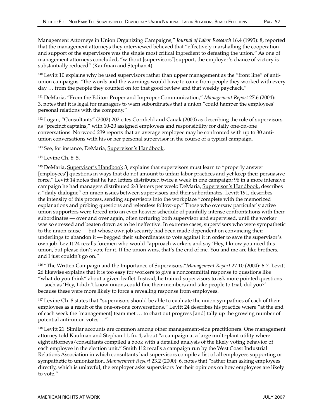Management Attorneys in Union Organizing Campaigns," *Journal of Labor Research* 16.4 (1995): 8, reported that the management attorneys they interviewed believed that "effectively marshalling the cooperation and support of the supervisors was the single most critical ingredient to defeating the union." As one of management attorneys concluded, "without [supervisors'] support, the employer's chance of victory is substantially reduced" (Kaufman and Stephan 4).

<sup>140</sup> Levitt 10 explains why he used supervisors rather than upper management as the "front line" of antiunion campaigns: "the words and the warnings would have to come from people they worked with every day … from the people they counted on for that good review and that weekly paycheck."

141 DeMaria, "From the Editor: Proper and Improper Communication," *Management Report* 27.6 (2004): 3, notes that it is legal for managers to warn subordinates that a union "could hamper the employees' personal relations with the company."

142 Logan, "Consultants" (2002) 202 cites Cornfield and Canak (2000) as describing the role of supervisors as "precinct captains," with 10-20 assigned employees and responsibility for daily one-on-one conversations. Norwood 239 reports that an average employee may be confronted with up to 30 antiunion conversations with his or her personal supervisor in the course of a typical campaign.

<sup>143</sup> See, for instance, DeMaria, Supervisor's Handbook.

#### 144 Levine Ch. 8: 5.

<sup>145</sup> DeMaria, Supervisor's Handbook 3, explains that supervisors must learn to "properly answer [employees'] questions in ways that do not amount to unfair labor practices and yet keep their persuasive force." Levitt 14 notes that he had letters distributed twice a week in one campaign; 96 in a more intensive campaign he had managers distributed 2-3 letters per week; DeMaria, Supervisor's Handbook, describes a "daily dialogue" on union issues between supervisors and their subordinates. Levitt 191, describes the intensity of this process, sending supervisors into the workplace "complete with the memorized explanations and probing questions and relentless follow-up." Those who oversaw particularly active union supporters were forced into an even heavier schedule of painfully intense confrontations with their subordinates — over and over again, often torturing both supervisor and supervised, until the worker was so stressed and beaten down as to be ineffective. In extreme cases, supervisors who were sympathetic to the union cause — but whose own job security had been made dependent on convincing their underlings to abandon it — begged their subordinates to vote against it in order to save the supervisor's own job. Levitt 24 recalls foremen who would "approach workers and say 'Hey, I know you need this union, but please don't vote for it. If the union wins, that's the end of me. You and me are like brothers, and I just couldn't go on."

146 "The Written Campaign and the Importance of Supervisors,"*Management Report* 27.10 (2004): 6-7. Levitt 26 likewise explains that it is too easy for workers to give a noncommittal response to questions like "what do you think" about a given leaflet. Instead, he trained supervisors to ask more pointed questions — such as 'Hey, I didn't know unions could fine their members and take people to trial, did you?' because these were more likely to force a revealing response from employees.

<sup>147</sup> Levine Ch. 8 states that "supervisors should be able to evaluate the union sympathies of each of their employees as a result of the one-on-one conversations." Levitt 24 describes his practice where "at the end of each week the [management] team met … to chart out progress [and] tally up the growing number of potential anti-union votes …"

<sup>148</sup> Levitt 21. Similar accounts are common among other management-side practitioners. One management attorney told Kaufman and Stephan 11, fn. 4, about "a campaign at a large multi-plant utility where eight attorneys/consultants compiled a book with a detailed analysis of the likely voting behavior of each employee in the election unit." Smith 112 recalls a campaign run by the West Coast Industrial Relations Association in which consultants had supervisors compile a list of all employees supporting or sympathetic to unionization. *Management Report* 23.2 (2000): 6, notes that "rather than asking employees directly, which is unlawful, the employer asks supervisors for their opinions on how employees are likely to vote."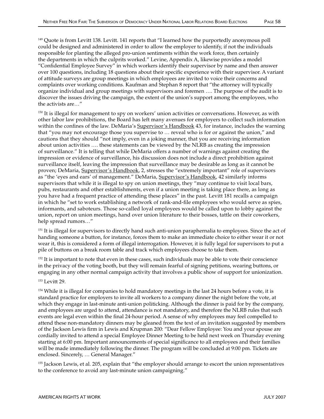<sup>149</sup> Quote is from Levitt 138. Levitt. 141 reports that "I learned how the purportedly anonymous poll could be designed and administered in order to allow the employer to identify, if not the individuals responsible for planting the alleged pro-union sentiments within the work force, then certainly the departments in which the culprits worked." Levine, Appendix A, likewise provides a model "Confidential Employee Survey" in which workers identify their supervisor by name and then answer over 100 questions, including 18 questions about their specific experience with their supervisor. A variant of attitude surveys are group meetings in which employees are invited to voice their concerns and complaints over working conditions. Kaufman and Stephan 8 report that "the attorney will typically organize individual and group meetings with supervisors and foremen …. The purpose of the audit is to discover the issues driving the campaign, the extent of the union's support among the employees, who the activists are…"

150 It is illegal for management to spy on workers' union activities or conversations. However, as with other labor law prohibitions, the Board has left many avenues for employers to collect such information within the confines of the law. DeMaria's Supervisor's Handbook 43, for instance, includes the warning that "you may not encourage those you supervise to … reveal who is for or against the union," and cautions that they should "not imply, even in a joking manner, that you are receiving information about union activities …. these statements can be viewed by the NLRB as creating the impression of surveillance." It is telling that while DeMaria offers a number of warnings against creating the impression or evidence of surveillance, his discussion does not include a direct prohibition against surveillance itself, leaving the impression that surveillance may be desirable as long as it cannot be proven; DeMaria, Supervisor's Handbook, 2, stresses the "extremely important" role of supervisors as "the 'eyes and ears' of management." DeMaria, Supervisor's Handbook, 42 similarly informs supervisors that while it is illegal to spy on union meetings, they "may continue to visit local bars, pubs, restaurants and other establishments, even if a union meeting is taking place there, as long as you have had a frequent practice of attending these places" in the past. Levitt 181 recalls a campaign in which he "set to work establishing a network of rank-and-file employees who would serve as spies, informants, and saboteurs. Those so-called loyal employees would be called upon to lobby against the union, report on union meetings, hand over union literature to their bosses, tattle on their coworkers, help spread rumors…"

<sup>151</sup> It is illegal for supervisors to directly hand such anti-union paraphernalia to employees. Since the act of handing someone a button, for instance, forces them to make an immediate choice to either wear it or not wear it, this is considered a form of illegal interrogation. However, it is fully legal for supervisors to put a pile of buttons on a break room table and track which employees choose to take them.

<sup>152</sup> It is important to note that even in these cases, such individuals may be able to vote their conscience in the privacy of the voting booth, but they will remain fearful of signing petitions, wearing buttons, or engaging in any other normal campaign activity that involves a public show of support for unionization.

#### 153 Levitt 29.

<sup>154</sup> While it is illegal for companies to hold mandatory meetings in the last 24 hours before a vote, it is standard practice for employers to invite all workers to a company dinner the night before the vote, at which they engage in last-minute anti-union politicking. Although the dinner is paid for by the company, and employees are urged to attend, attendance is not mandatory, and therefore the NLRB rules that such events are legal even within the final 24-hour period. A sense of why employees may feel compelled to attend these non-mandatory dinners may be gleaned from the text of an invitation suggested by members of the Jackson Lewis firm in Lewis and Krupman 200: "Dear Fellow Employee: You and your spouse are cordially invited to attend a special Employee Dinner Meeting to be held next week on Thursday evening starting at 6:00 pm. Important announcements of special significance to all employees and their families will be made immediately following the dinner. The program will be concluded at 9:00 pm. Tickets are enclosed. Sincerely, … General Manager."

155 Jackson Lewis, et al. 205, explain that "the employer should arrange to escort the union representatives to the conference to avoid any last-minute union campaigning."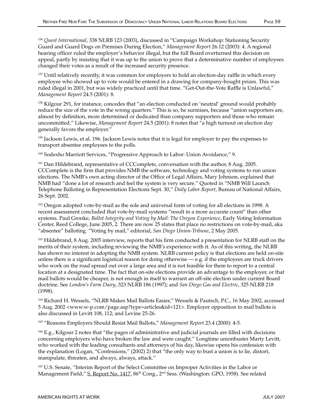<sup>157</sup> Until relatively recently, it was common for employers to hold an election-day raffle in which every employee who showed up to vote would be entered in a drawing for company-bought prizes. This was ruled illegal in 2001, but was widely practiced until that time. "Get-Out-the-Vote Raffle is Unlawful," *Management Report* 24.5 (2001): 8.

158 Kilgour 291, for instance, concedes that "an election conducted on 'neutral' ground would probably reduce the size of the vote in the wrong quarters." This is so, he surmises, because "union supporters are, almost by definition, more determined or dedicated than company supporters and those who remain uncommitted." Likewise, *Management Report* 24.5 (2001): 8 notes that "a high turnout on election day generally favors the employer."

159 Jackson Lewis, et al. 196. Jackson Lewis notes that it is legal for employer to pay the expenses to transport absentee employees to the polls.

160 Sodexho Marriott Services, "Progressive Approach to Labor: Union Avoidance," 9.

161 Dan Hildebrand, representative of CCComplete, conversation with the author, 8 Aug. 2005. CCComplete is the firm that provides NMB the software, technology and voting systems to run union elections. The NMB's own acting director of the Office of Legal Affairs, Mary Johnson, explained that NMB had "done a lot of research and feel the system is very secure." Quoted in "NMB Will Launch Telephone Balloting in Representation Elections Sept. 30," *Daily Labor Report*, Bureau of National Affairs, 26 Sept. 2002.

<sup>162</sup> Oregon adopted vote-by-mail as the sole and universal form of voting for all elections in 1998. A recent assessment concluded that vote-by-mail systems "result in a more accurate count" than other systems. Paul Gronke, *Ballot Integrity and Voting by Mail: The Oregon Experience*, Early Voting Information Center, Reed College, June 2005, 2. There are now 25 states that place no restrictions on vote-by-mail, aka "absentee" balloting. "Voting by mail," editorial, *San Diego Union-Tribune*, 2 May 2005.

163 Hildebrand, 8 Aug. 2005 interview, reports that his firm conducted a presentation for NLRB staff on the merits of their system, including reviewing the NMB's experience with it. As of this writing, the NLRB has shown no interest in adopting the NMB system. NLRB current policy is that elections are held on-site unless there is a significant logistical reason for doing otherwise  $-e.g.$  if the employees are truck drivers who work on the road spread out over a large area and it is not feasible for them to report to a central location at a designated time. The fact that on-site elections provide an advantage to the employer, or that mail ballots would be cheaper, is not enough in itself to warrant an off-site election under current Board doctrine. See *London's Farm Dairy*, 323 NLRB 186 (1997); and *San Diego Gas and Electric*, 325 NLRB 218 (1998).

164 Richard H. Wessels, "NLRB Makes Mail Ballots Easier," Wessels & Pautsch, P.C., 16 May 2002, accessed 5 Aug. 2002 <www.w-p.com/page.asp?type=articles&id=121>. Employer opposition to mail ballots is also discussed in Levitt 108, 112; and Levine 25-26.

165 "Reasons Employers Should Resist Mail Ballots," *Management Report* 23.4 (2000): 4-5.

166 E.g., Kilgour 2 notes that "the pages of administrative and judicial journals are filled with decisions concerning employers who have broken the law and were caught." Longtime unionbuster Marty Levitt, who worked with the leading consultants and attorneys of his day, likewise opens his confession with the explanation (Logan, "Confessions," (2002) 2) that "the only way to bust a union is to lie, distort, manipulate, threaten, and always, always, attack."

<sup>167</sup> U.S. Senate, "Interim Report of the Select Committee on Improper Activities in the Labor or Management Field," S. Report No. 1417, 86<sup>th</sup> Cong., 2<sup>nd</sup> Sess. (Washington: GPO, 1958). See related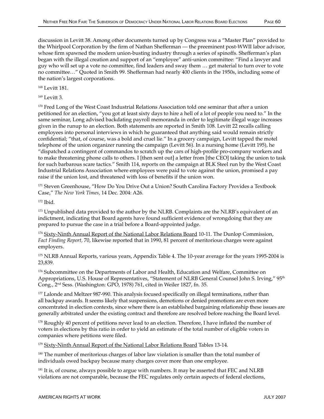discussion in Levitt 38. Among other documents turned up by Congress was a "Master Plan" provided to the Whirlpool Corporation by the firm of Nathan Shefferman — the preeminent post-WWII labor advisor, whose firm spawned the modern union-busting industry through a series of spinoffs. Shefferman's plan began with the illegal creation and support of an "employee" anti-union committee: "Find a lawyer and guy who will set up a vote no committee, find leaders and sway them … get material to turn over to vote no committee…" Quoted in Smith 99. Shefferman had nearly 400 clients in the 1950s, including some of the nation's largest corporations.

168 Levitt 181.

169 Levitt 3.

<sup>170</sup> Fred Long of the West Coast Industrial Relations Association told one seminar that after a union petitioned for an election, "you got at least sixty days to hire a hell of a lot of people you need to." In the same seminar, Long advised backdating payroll memoranda in order to legitimate illegal wage increases given in the runup to an election. Both statements are reported in Smith 108. Levitt 22 recalls calling employees into personal interviews in which he guaranteed that anything said would remain strictly confidential; "that, of course, was a bold and cruel lie." In a grocery campaign, Levitt tapped the motel telephone of the union organizer running the campaign (Levitt 56). In a nursing home (Levitt 195), he "dispatched a contingent of commandos to scratch up the cars of high-profile pro-company workers and to make threatening phone calls to others. I [then sent out] a letter from [the CEO] taking the union to task for such barbarous scare tactics." Smith 114, reports on the campaign at BLK Steel run by the West Coast Industrial Relations Association where employees were paid to vote against the union, promised a pay raise if the union lost, and threatened with loss of benefits if the union won.

<sup>171</sup> Steven Greenhouse, "How Do You Drive Out a Union? South Carolina Factory Provides a Textbook Case," *The New York Times,* 14 Dec. 2004: A26.

172 Ibid.

<sup>173</sup> Unpublished data provided to the author by the NLRB. Complaints are the NLRB's equivalent of an indictment, indicating that Board agents have found sufficient evidence of wrongdoing that they are prepared to pursue the case in a trial before a Board-appointed judge.

<sup>174</sup> Sixty-Ninth Annual Report of the National Labor Relations Board 10-11. The Dunlop Commission, *Fact Finding Report,* 70, likewise reported that in 1990, 81 percent of meritorious charges were against employers.

175 NLRB Annual Reports, various years, Appendix Table 4. The 10-year average for the years 1995-2004 is 23,839.

<sup>176</sup> Subcommittee on the Departments of Labor and Health, Education and Welfare, Committee on Appropriations, U.S. House of Representatives, "Statement of NLRB General Counsel John S. Irving," 95<sup>th</sup> Cong., 2nd Sess. (Washington: GPO, 1978) 761, cited in Weiler 1827, fn. 35.

<sup>177</sup> Lalonde and Meltzer 987-990. This analysis focused specifically on illegal terminations, rather than all backpay awards. It seems likely that suspensions, demotions or denied promotions are even more concentrated in election contexts, since where there is an established bargaining relationship these issues are generally arbitrated under the existing contract and therefore are resolved before reaching the Board level.

178 Roughly 40 percent of petitions never lead to an election. Therefore, I have inflated the number of voters in elections by this ratio in order to yield an estimate of the total number of eligible voters in companies where petitions were filed.

<sup>179</sup> Sixty-Ninth Annual Report of the National Labor Relations Board Tables 13-14.

180 The number of meritorious charges of labor law violation is smaller than the total number of individuals owed backpay because many charges cover more than one employee.

<sup>181</sup> It is, of course, always possible to argue with numbers. It may be asserted that FEC and NLRB violations are not comparable, because the FEC regulates only certain aspects of federal elections,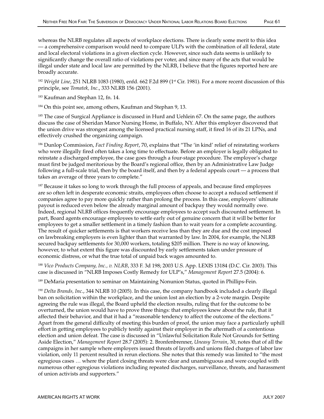whereas the NLRB regulates all aspects of workplace elections. There is clearly some merit to this idea — a comprehensive comparison would need to compare ULPs with the combination of all federal, state and local electoral violations in a given election cycle. However, since such data seems is unlikely to significantly change the overall ratio of violations per voter, and since many of the acts that would be illegal under state and local law are permitted by the NLRB, I believe that the figures reported here are broadly accurate.

<sup>182</sup> *Wright Line*, 251 NLRB 1083 (1980), enfd. 662 F.2d 899 (1<sup>st</sup> Cir. 1981). For a more recent discussion of this principle, see *Tomatek, Inc*., 333 NLRB 156 (2001).

<sup>183</sup> Kaufman and Stephan 12, fn. 14.

<sup>184</sup> On this point see, among others, Kaufman and Stephan 9, 13.

<sup>185</sup> The case of Surgical Appliance is discussed in Hurd and Uehlein 67. On the same page, the authors discuss the case of Sheridan Manor Nursing Home, in Buffalo, NY. After this employer discovered that the union drive was strongest among the licensed practical nursing staff, it fired 16 of its 21 LPNs, and effectively crushed the organizing campaign.

186 Dunlop Commission, *Fact Finding Report*, 70, explains that "The 'in kind' relief of reinstating workers who were illegally fired often takes a long time to effectuate. Before an employer is legally obligated to reinstate a discharged employee, the case goes through a four-stage procedure. The employee's charge must first be judged meritorious by the Board's regional office, then by an Administrative Law Judge following a full-scale trial, then by the board itself, and then by a federal appeals court — a process that takes an average of three years to complete."

<sup>187</sup> Because it takes so long to work through the full process of appeals, and because fired employees are so often left in desperate economic straits, employees often choose to accept a reduced settlement if companies agree to pay more quickly rather than prolong the process. In this case, employers' ultimate payout is reduced even below the already marginal amount of backpay they would normally owe. Indeed, regional NLRB offices frequently encourage employees to accept such discounted settlement. In part, Board agents encourage employees to settle early out of genuine concern that it will be better for employees to get a smaller settlement in a timely fashion than to wait years for a complete accounting. The result of quicker settlements is that workers receive less than they are due and the cost imposed on lawbreaking employers is even lighter than that warranted by law. In 2004, for example, the NLRB secured backpay settlements for 30,000 workers, totaling \$205 million. There is no way of knowing, however, to what extent this figure was discounted by early settlements taken under pressure of economic distress, or what the true total of unpaid back wages amounted to.

<sup>188</sup> *Vico Products Company, Inc., v. NLRB*, 333 F. 3d 198; 2003 U.S. App. LEXIS 13184 (D.C. Cir. 2003). This case is discussed in "NLRB Imposes Costly Remedy for ULP's," *Management Report* 27.5 (2004): 6.

<sup>189</sup> DeMaria presentation to seminar on Maintaining Nonunion Status, quoted in Phillips-Fein.

<sup>190</sup> *Delta Brands, Inc*., 344 NLRB 10 (2005). In this case, the company handbook included a clearly illegal ban on solicitation within the workplace, and the union lost an election by a 2-vote margin. Despite agreeing the rule was illegal, the Board upheld the election results, ruling that for the outcome to be overturned, the union would have to prove three things: that employees knew about the rule, that it affected their behavior, and that it had a "reasonable tendency to affect the outcome of the elections." Apart from the general difficulty of meeting this burden of proof, the union may face a particularly uphill effort in getting employees to publicly testify against their employer in the aftermath of a contentious election and union defeat. The case is discussed in "Unlawful Solicitation Rule Not Grounds for Setting Aside Election," *Management Report* 28.7 (2005): 2. Bronfenbrenner, *Uneasy Terrain*, 30, notes that of all the campaigns in her sample where employers issued threats of layoffs and unions filed charges of labor law violation, only 11 percent resulted in rerun elections. She notes that this remedy was limited to "the most egregious cases … where the plant closing threats were clear and unambiguous and were coupled with numerous other egregious violations including repeated discharges, surveillance, threats, and harassment of union activists and supporters."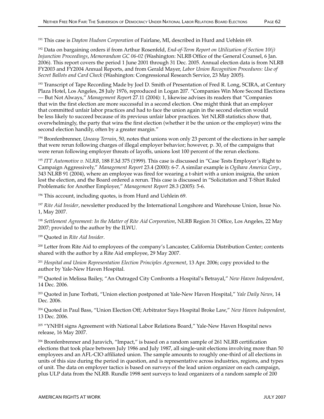191 This case is *Dayton Hudson Corporation* of Fairlane, MI, described in Hurd and Uehlein 69.

192 Data on bargaining orders if from Arthur Rosenfeld, *End-of-Term Report on Utilization of Section 10(j) Injunction Proceedings*, *Memorandum GC 06-02* (Washington: NLRB Office of the General Counsel, 6 Jan. 2006). This report covers the period 1 June 2001 through 31 Dec. 2005. Annual election data is from NLRB FY2003 and FY2004 Annual Reports, and from Gerald Mayer, *Labor Union Recognition Procedures: Use of Secret Ballots and Card Check* (Washington: Congressional Research Service, 23 May 2005).

<sup>193</sup> Transcript of Tape Recording Made by Joel D. Smith of Presentation of Fred R. Long, SCIRA, at Century Plaza Hotel, Los Angeles, 28 July 1976, reproduced in Logan 207. "Companies Win More Second Elections — But Not Always," *Management Repor*t 27.11 (2004): 1, likewise advises its readers that "Companies that win the first election are more successful in a second election. One might think that an employer that committed unfair labor practices and had to face the union again in the second election would be less likely to succeed because of its previous unfair labor practices. Yet NLRB statistics show that, overwhelmingly, the party that wins the first election (whether it be the union or the employer) wins the second election handily, often by a greater margin."

194 Bronfenbrenner, *Uneasy Terrain*, 50, notes that unions won only 23 percent of the elections in her sample that were rerun following charges of illegal employer behavior; however, p. 30, of the campaigns that were rerun following employer threats of layoffs, unions lost 100 percent of the rerun elections.

<sup>195</sup> *ITT Automotive v. NLRB*, 188 F.3d 375 (1999). This case is discussed in "Case Tests Employer's Right to Campaign Aggressively," *Management Report* 23.4 (2000): 6-7. A similar example is *Ogihara America Corp*., 343 NLRB 91 (2004), where an employee was fired for wearing a t-shirt with a union insignia, the union lost the election, and the Board ordered a rerun. This case is discussed in "Solicitation and T-Shirt Ruled Problematic for Another Employer," *Management Report* 28.3 (2005): 5-6.

196 This account, including quotes, is from Hurd and Uehlein 69.

<sup>197</sup> *Rite Aid Insider*, newsletter produced by the International Longshore and Warehouse Union, Issue No. 1, May 2007.

<sup>198</sup> *Settlement Agreement: In the Matter of Rite Aid Corporation*, NLRB Region 31 Office, Los Angeles, 22 May 2007; provided to the author by the ILWU.

199 Quoted in *Rite Aid Insider*.

200 Letter from Rite Aid to employees of the company's Lancaster, California Distribution Center; contents shared with the author by a Rite Aid employee, 29 May 2007.

<sup>201</sup> *Hospital and Union Representation Election Principles Agreement*, 13 Apr. 2006; copy provided to the author by Yale-New Haven Hospital.

202 Quoted in Melissa Bailey, "An Outraged City Confronts a Hospital's Betrayal," *New Haven Independent*, 14 Dec. 2006.

203 Quoted in June Torbati, "Union election postponed at Yale-New Haven Hospital," *Yale Daily News*, 14 Dec. 2006.

204 Quoted in Paul Bass, "Union Election Off; Arbitrator Says Hospital Broke Law," *New Haven Independent*, 13 Dec. 2006.

205 "YNHH signs Agreement with National Labor Relations Board," Yale-New Haven Hospital news release, 16 May 2007.

206 Bronfenbrenner and Juravich, "Impact," is based on a random sample of 261 NLRB certification elections that took place between July 1986 and July 1987, all single-unit elections involving more than 50 employees and an AFL-CIO affiliated union. The sample amounts to roughly one-third of all elections in units of this size during the period in question, and is representative across industries, regions, and types of unit. The data on employer tactics is based on surveys of the lead union organizer on each campaign, plus ULP data from the NLRB. Rundle 1998 sent surveys to lead organizers of a random sample of 200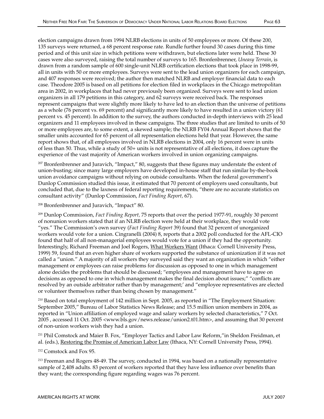election campaigns drawn from 1994 NLRB elections in units of 50 employees or more. Of these 200, 135 surveys were returned, a 68 percent response rate. Rundle further found 30 cases during this time period and of this unit size in which petitions were withdrawn, but elections later were held. These 30 cases were also surveyed, raising the total number of surveys to 165. Bronfenbrenner, *Uneasy Terrain*, is drawn from a random sample of 600 single-unit NLRB certification elections that took place in 1998-99, all in units with 50 or more employees. Surveys were sent to the lead union organizers for each campaign, and 407 responses were received; the author then matched NLRB and employer financial data to each case. Theodore 2005 is based on all petitions for election filed in workplaces in the Chicago metropolitan area in 2002, in workplaces that had never previously been organized. Surveys were sent to lead union organizers in all 179 petitions in this category, and 62 surveys were received back. The responses represent campaigns that were slightly more likely to have led to an election than the universe of petitions as a whole (76 percent vs. 69 percent) and significantly more likely to have resulted in a union victory (61 percent vs. 45 percent). In addition to the survey, the authors conducted in-depth interviews with 25 lead organizers and 11 employees involved in these campaigns. The three studies that are limited to units of 50 or more employees are, to some extent, a skewed sample; the NLRB FY04 Annual Report shows that the smaller units accounted for 65 percent of all representation elections held that year. However, the same report shows that, of all employees involved in NLRB elections in 2004, only 16 percent were in units of less than 50. Thus, while a study of 50+ units is not representative of all elections, it does capture the experience of the vast majority of American workers involved in union organizing campaigns.

<sup>207</sup> Bronfenbrenner and Juravich, "Impact," 80, suggests that these figures may understate the extent of union-busting; since many large employers have developed in-house staff that run similar by-the-book union avoidance campaigns without relying on outside consultants. When the federal government's Dunlop Commission studied this issue, it estimated that 70 percent of employers used consultants, but concluded that, due to the laxness of federal reporting requirements, "there are no accurate statistics on consultant activity" (Dunlop Commission, *Fact Finding Report,* 67).

208 Bronfenbrenner and Juravich, "Impact" 80.

209 Dunlop Commission, *Fact Finding Report,* 75 reports that over the period 1977-91, roughly 30 percent of nonunion workers stated that if an NLRB election were held at their workplace, they would vote "yes." The Commission's own survey (*Fact Finding Report* 39) found that 32 percent of unorganized workers would vote for a union. Cingranelli (2004) 8, reports that a 2002 poll conducted for the AFL-CIO found that half of all non-managerial employees would vote for a union if they had the opportunity. Interestingly, Richard Freeman and Joel Rogers, What Workers Want (Ithaca: Cornell University Press, 1999) 59, found that an even higher share of workers supported the substance of unionization if it was not called a "union." A majority of all workers they surveyed said they want an organization in which "either management or employees can raise problems for discussion as opposed to one in which management alone decides the problems that should be discussed; "employees and management have to agree on decisions as opposed to one in which management makes the final decision about issues;" "conflicts are resolved by an outside arbitrator rather than by management;' and "employee representatives are elected or volunteer themselves rather than being chosen by management."

210 Based on total employment of 142 million in Sept. 2005, as reported in "The Employment Situation: September 2005," Bureau of Labor Statistics News Release; and 15.5 million union members in 2004, as reported in "Union affiliation of employed wage and salary workers by selected characteristics," 7 Oct. 2005 , accessed 11 Oct. 2005 <www.bls.gov/news.release/union2.t01.htm>, and assuming that 30 percent of non-union workers wish they had a union.

211 Phil Comstock and Maier B. Fox, "Employer Tactics and Labor Law Reform,"in Sheldon Freidman, et al. (eds.), Restoring the Promise of American Labor Law (Ithaca, NY: Cornell University Press, 1994).

212 Comstock and Fox 95.

<sup>213</sup> Freeman and Rogers 48-49. The survey, conducted in 1994, was based on a nationally representative sample of 2,408 adults. 83 percent of workers reported that they have less influence over benefits than they want; the corresponding figure regarding wages was 76 percent.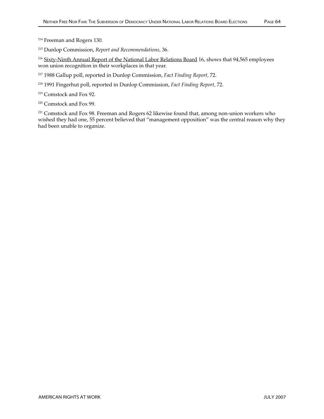214 Freeman and Rogers 130.

215 Dunlop Commission, *Report and Recommendations,* 36.

<sup>216</sup> Sixty-Ninth Annual Report of the National Labor Relations Board 16, shows that 94,565 employees won union recognition in their workplaces in that year.

- 217 1988 Gallup poll, reported in Dunlop Commission, *Fact Finding Report,* 72.
- 218 1991 Fingerhut poll, reported in Dunlop Commission, *Fact Finding Report,* 72.
- 219 Comstock and Fox 92.
- 220 Comstock and Fox 99.

<sup>221</sup> Comstock and Fox 98. Freeman and Rogers 62 likewise found that, among non-union workers who wished they had one, 55 percent believed that "management opposition" was the central reason why they had been unable to organize.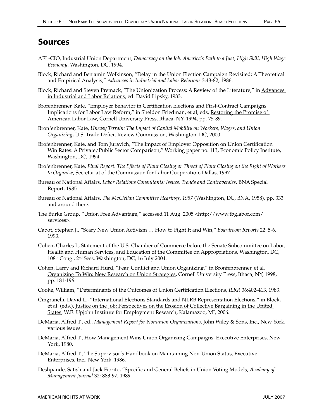## Sources

- AFL-CIO, Industrial Union Department, *Democracy on the Job: America's Path to a Just, High Skill, High Wage Economy*, Washington, DC, 1994.
- Block, Richard and Benjamin Wolkinson, "Delay in the Union Election Campaign Revisited: A Theoretical and Empirical Analysis," *Advances in Industrial and Labor Relations* 3:43-82, 1986.
- Block, Richard and Steven Premack, "The Unionization Process: A Review of the Literature," in Advances in Industrial and Labor Relations, ed. David Lipsky, 1983.
- Brofenbrenner, Kate, "Employer Behavior in Certification Elections and First-Contract Campaigns: Implications for Labor Law Reform," in Sheldon Friedman, et al, eds, Restoring the Promise of American Labor Law, Cornell University Press, Ithaca, NY, 1994, pp. 75-89.
- Bronfenbrenner, Kate, *Uneasy Terrain: The Impact of Capital Mobility on Workers, Wages, and Union Organizing*, U.S. Trade Deficit Review Commission, Washington. DC, 2000.
- Brofenbrenner, Kate, and Tom Juravich, "The Impact of Employer Opposition on Union Certification Win Rates: A Private/Public Sector Comparison," Working paper no. 113, Economic Policy Institute, Washington, DC, 1994.
- Brofenbrenner, Kate, *Final Report: The Effects of Plant Closing or Threat of Plant Closing on the Right of Workers to Organize*, Secretariat of the Commission for Labor Cooperation, Dallas, 1997.
- Bureau of National Affairs, *Labor Relations Consultants: Issues, Trends and Controversies*, BNA Special Report, 1985.
- Bureau of National Affairs, *The McClellan Committee Hearings, 1957* (Washington, DC, BNA, 1958), pp. 333 and around there.
- The Burke Group, "Union Free Advantage,*"* accessed 11 Aug. 2005 <http://www.tbglabor.com/ services>.
- Cabot, Stephen J., "Scary New Union Activism … How to Fight It and Win," *Boardroom Reports* 22: 5-6, 1993.
- Cohen, Charles I., Statement of the U.S. Chamber of Commerce before the Senate Subcommittee on Labor, Health and Human Services, and Education of the Committee on Appropriations, Washington, DC, 108th Cong., 2nd Sess. Washington, DC, 16 July 2004.
- Cohen, Larry and Richard Hurd, "Fear, Conflict and Union Organizing," in Bronfenbrenner, et al. Organizing To Win: New Research on Union Strategies, Cornell University Press, Ithaca, NY, 1998, pp. 181-196.
- Cooke, William, "Determinants of the Outcomes of Union Certification Elections, *ILRR* 36:402-413, 1983.
- Cingranelli, David L., "International Elections Standards and NLRB Representation Elections," in Block, et al. (eds.), Justice on the Job: Perspectives on the Erosion of Collective Bargaining in the United States, W.E. Upjohn Institute for Employment Research, Kalamazoo, MI, 2006.
- DeMaria, Alfred T., ed., *Management Report for Nonunion Organizations*, John Wiley & Sons, Inc., New York, various issues.
- DeMaria, Alfred T., How Management Wins Union Organizing Campaigns, Executive Enterprises, New York, 1980.
- DeMaria, Alfred T., The Supervisor's Handbook on Maintaining Non-Union Status, Executive Enterprises, Inc., New York, 1986.
- Deshpande, Satish and Jack Fiorito, "Specific and General Beliefs in Union Voting Models, *Academy of Management Journal* 32: 883-97, 1989.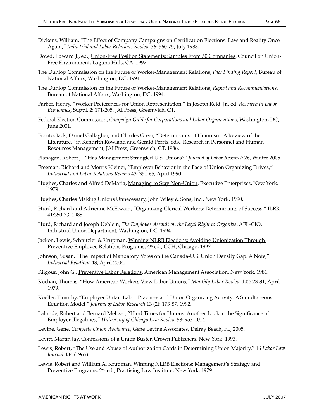- Dickens, William, "The Effect of Company Campaigns on Certification Elections: Law and Reality Once Again," *Industrial and Labor Relations Review* 36: 560-75, July 1983.
- Dowd, Edward J., ed., Union-Free Position Statements: Samples From 50 Companies, Council on Union-Free Environment, Laguna Hills, CA, 1997.
- The Dunlop Commission on the Future of Worker-Management Relations, *Fact Finding Report*, Bureau of National Affairs, Washington, DC, 1994.
- The Dunlop Commission on the Future of Worker-Management Relations, *Report and Recommendations*, Bureau of National Affairs, Washington, DC, 1994.
- Farber, Henry, "Worker Preferences for Union Representation," in Joseph Reid, Jr., ed, *Research in Labor Economics*, Suppl. 2: 171-205, JAI Press, Greenwich, CT.
- Federal Election Commission, *Campaign Guide for Corporations and Labor Organizations*, Washington, DC, June 2001.
- Fiorito, Jack, Daniel Gallagher, and Charles Greer, "Determinants of Unionism: A Review of the Literature," in Kendrith Rowland and Gerald Ferris, eds., Research in Personnel and Human Resources Management, JAI Press, Greenwich, CT, 1986.
- Flanagan, Robert J., "Has Management Strangled U.S. Unions?" *Journal of Labor Research* 26, Winter 2005.
- Freeman, Richard and Morris Kleiner, "Employer Behavior in the Face of Union Organizing Drives," *Industrial and Labor Relations Review* 43: 351-65, April 1990.
- Hughes, Charles and Alfred DeMaria, Managing to Stay Non-Union, Executive Enterprises, New York, 1979.
- Hughes, Charles Making Unions Unnecessary, John Wiley & Sons, Inc., New York, 1990.
- Hurd, Richard and Adrienne McElwain, "Organizing Clerical Workers: Determinants of Success," ILRR 41:350-73, 1988.
- Hurd, Richard and Joseph Uehlein, *The Employer Assault on the Legal Right to Organize*, AFL-CIO, Industrial Union Department, Washington, DC, 1994.
- Jackon, Lewis, Schnitzler & Krupman, Winning NLRB Elections: Avoiding Unionization Through Preventive Employee Relations Programs, 4<sup>th</sup> ed., CCH, Chicago, 1997.
- Johnson, Susan, "The Impact of Mandatory Votes on the Canada-U.S. Union Density Gap: A Note," *Industrial Relations* 43, April 2004.
- Kilgour, John G., Preventive Labor Relations, American Management Association, New York, 1981.
- Kochan, Thomas, "How American Workers View Labor Unions," *Monthly Labor Review* 102: 23-31, April 1979.
- Koeller, Timothy, "Employer Unfair Labor Practices and Union Organizing Activity: A Simultaneous Equation Model," *Journal of Labor Research* 13 (2): 173-87, 1992.
- Lalonde, Robert and Bernard Meltzer, "Hard Times for Unions: Another Look at the Significance of Employer Illegalities," *University of Chicago Law Review* 58: 953-1014.
- Levine, Gene, *Complete Union Avoidance*, Gene Levine Associates, Delray Beach, FL, 2005.
- Levitt, Martin Jay, Confessions of a Union Buster, Crown Publishers, New York, 1993.
- Lewis, Robert, "The Use and Abuse of Authorization Cards in Determining Union Majority," 16 *Labor Law Journal* 434 (1965).
- Lewis, Robert and William A. Krupman, Winning NLRB Elections: Management's Strategy and Preventive Programs, 2<sup>nd</sup> ed., Practising Law Institute, New York, 1979.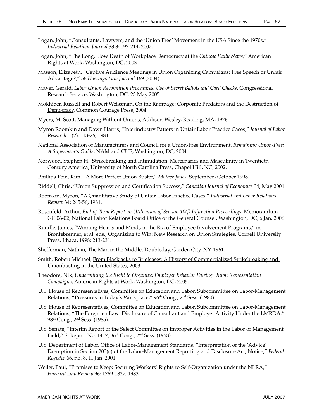- Logan, John, "Consultants, Lawyers, and the 'Union Free' Movement in the USA Since the 1970s," *Industrial Relations Journal* 33:3: 197-214, 2002.
- Logan, John, "The Long, Slow Death of Workplace Democracy at the *Chinese Daily News*," American Rights at Work, Washington, DC, 2003.
- Masson, Elizabeth, "Captive Audience Meetings in Union Organizing Campaigns: Free Speech or Unfair Advantage?," 56 *Hastings Law Journal* 169 (2004).
- Mayer, Gerald, *Labor Union Recognition Procedures: Use of Secret Ballots and Card Checks*, Congressional Research Service, Washington, DC, 23 May 2005.
- Mokhiber, Russell and Robert Weissman, On the Rampage: Corporate Predators and the Destruction of Democracy, Common Courage Press, 2004.
- Myers, M. Scott, Managing Without Unions, Addison-Wesley, Reading, MA, 1976.
- Myron Roomkin and Dawn Harris, "Interindustry Patters in Unfair Labor Practice Cases," *Journal of Labor Research* 5 (2): 113-26, 1984.
- National Association of Manufacturers and Council for a Union-Free Environment, *Remaining Union-Free: A Supervisor's Guide*, NAM and CUE, Washington, DC, 2004.
- Norwood, Stephen H., Strikebreaking and Intimidation: Mercenaries and Masculinity in Twentieth-Century America, University of North Carolina Press, Chapel Hill, NC, 2002.
- Phillips-Fein, Kim, "A More Perfect Union Buster," *Mother Jones*, September/October 1998.
- Riddell, Chris, "Union Suppression and Certification Success," *Canadian Journal of Economics* 34, May 2001.
- Roomkin, Myron, "A Quantitative Study of Unfair Labor Practice Cases," *Industrial and Labor Relations Review* 34: 245-56, 1981.
- Rosenfeld, Arthur, *End-of-Term Report on Utilization of Section 10(j) Injunction Proceedings*, Memorandum GC 06-02, National Labor Relations Board Office of the General Counsel, Washington, DC, 6 Jan. 2006.
- Rundle, James, "Winning Hearts and Minds in the Era of Employee Involvement Programs," in Bronfebrenner, et al. eds., Organizing to Win: New Research on Union Strategies, Cornell University Press, Ithaca, 1998: 213-231.
- Shefferman, Nathan, The Man in the Middle, Doubleday, Garden City, NY, 1961.
- Smith, Robert Michael, From Blackjacks to Briefcases: A History of Commercialized Strikebreaking and Unionbusting in the United States, 2003.
- Theodore, Nik, *Undermining the Right to Organize: Employer Behavior During Union Representation Campaigns*, American Rights at Work, Washington, DC, 2005.
- U.S. House of Representatives, Committee on Education and Labor, Subcommittee on Labor-Management Relations, "Pressures in Today's Workplace," 96<sup>th</sup> Cong., 2<sup>nd</sup> Sess. (1980).
- U.S. House of Representatives, Committee on Education and Labor, Subcommittee on Labor-Management Relations, "The Forgotten Law: Disclosure of Consultant and Employer Activity Under the LMRDA," 98th Cong., 2nd Sess. (1985).
- U.S. Senate, "Interim Report of the Select Committee on Improper Activities in the Labor or Management Field," S. Report No. 1417, 86th Cong., 2nd Sess. (1958).
- U.S. Department of Labor, Office of Labor-Management Standards, "Interpretation of the 'Advice' Exemption in Section 203(c) of the Labor-Management Reporting and Disclosure Act; Notice," *Federal Register* 66, no. 8, 11 Jan. 2001.
- Weiler, Paul, "Promises to Keep: Securing Workers' Rights to Self-Organization under the NLRA," *Harvard Law Review* 96: 1769-1827, 1983.